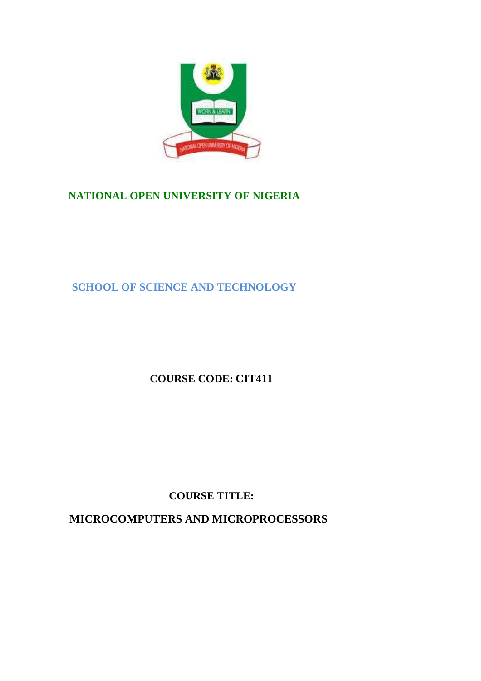

# **NATIONAL OPEN UNIVERSITY OF NIGERIA**

**SCHOOL OF SCIENCE AND TECHNOLOGY**

**COURSE CODE: CIT411**

**COURSE TITLE:**

 **MICROCOMPUTERS AND MICROPROCESSORS**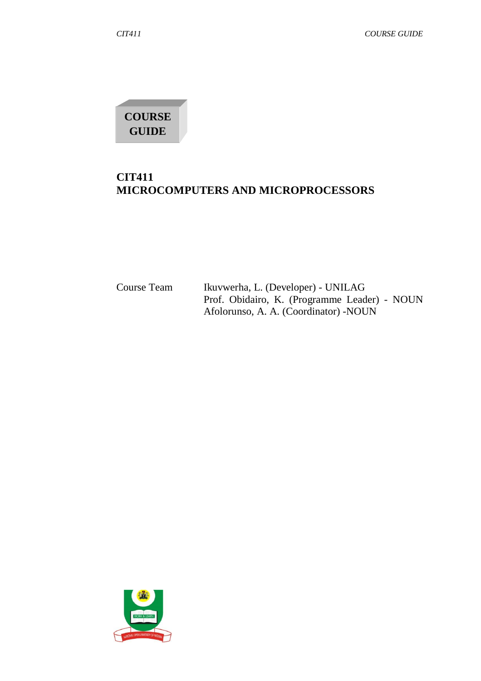**COURSE GUIDE**

# **CIT411 MICROCOMPUTERS AND MICROPROCESSORS**

| Course Team | Ikuvwerha, L. (Developer) - UNILAG           |
|-------------|----------------------------------------------|
|             | Prof. Obidairo, K. (Programme Leader) - NOUN |
|             | Afolorunso, A. A. (Coordinator) - NOUN       |

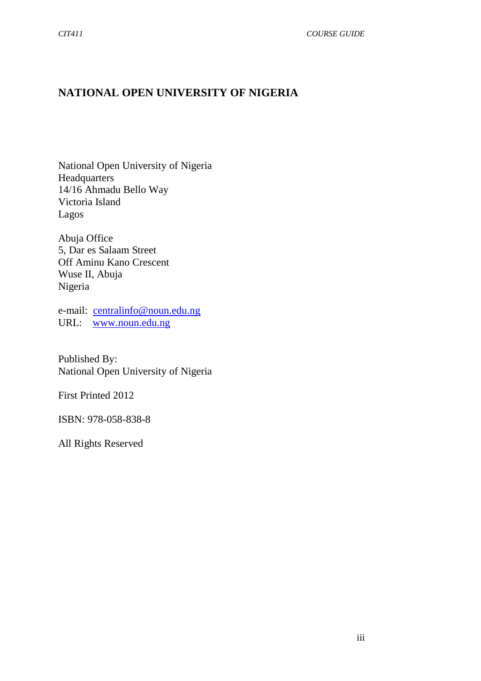# **NATIONAL OPEN UNIVERSITY OF NIGERIA**

National Open University of Nigeria Headquarters 14/16 Ahmadu Bello Way Victoria Island Lagos

Abuja Office 5, Dar es Salaam Street Off Aminu Kano Crescent Wuse II, Abuja Nigeria

e-mail: centralinfo@noun.edu.ng URL: www.noun.edu.ng

Published By: National Open University of Nigeria

First Printed 2012

ISBN: 978-058-838-8

All Rights Reserved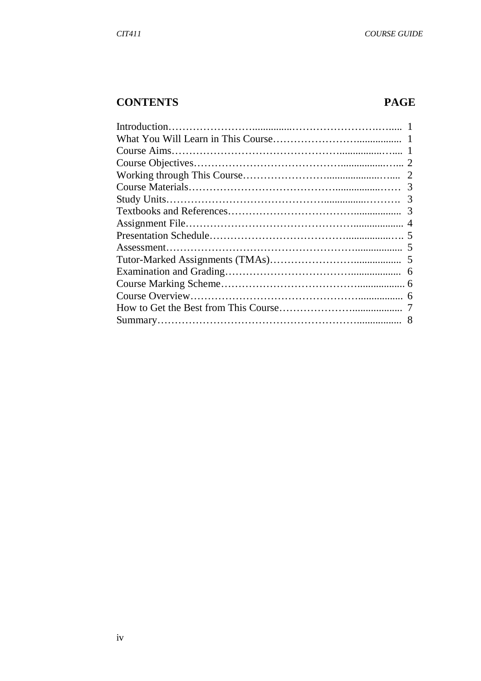## **CONTENTS PAGE**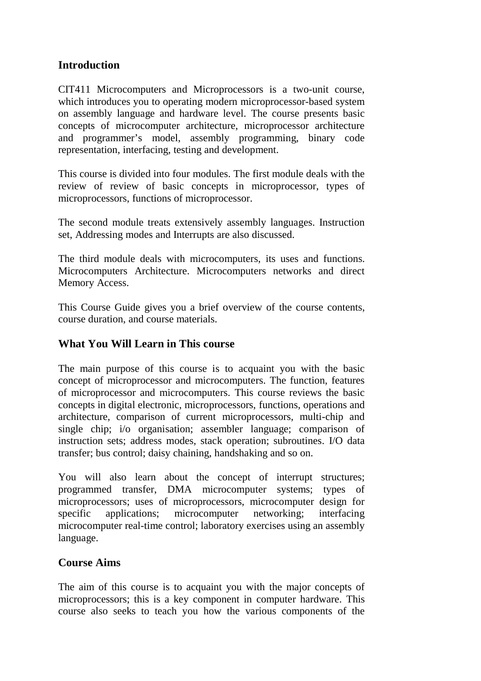## **Introduction**

CIT411 Microcomputers and Microprocessors is a two-unit course, which introduces you to operating modern microprocessor-based system on assembly language and hardware level. The course presents basic concepts of microcomputer architecture, microprocessor architecture and programmer's model, assembly programming, binary code representation, interfacing, testing and development.

This course is divided into four modules. The first module deals with the review of review of basic concepts in microprocessor, types of microprocessors, functions of microprocessor.

The second module treats extensively assembly languages. Instruction set, Addressing modes and Interrupts are also discussed.

The third module deals with microcomputers, its uses and functions. Microcomputers Architecture. Microcomputers networks and direct Memory Access.

This Course Guide gives you a brief overview of the course contents, course duration, and course materials.

## **What You Will Learn in This course**

The main purpose of this course is to acquaint you with the basic concept of microprocessor and microcomputers. The function, features of microprocessor and microcomputers. This course reviews the basic concepts in digital electronic, microprocessors, functions, operations and architecture, comparison of current microprocessors, multi-chip and single chip; i/o organisation; assembler language; comparison of instruction sets; address modes, stack operation; subroutines. I/O data transfer; bus control; daisy chaining, handshaking and so on.

You will also learn about the concept of interrupt structures; programmed transfer, DMA microcomputer systems; types of microprocessors; uses of microprocessors, microcomputer design for specific applications; microcomputer networking; interfacing microcomputer real-time control; laboratory exercises using an assembly language.

#### **Course Aims**

The aim of this course is to acquaint you with the major concepts of microprocessors; this is a key component in computer hardware. This course also seeks to teach you how the various components of the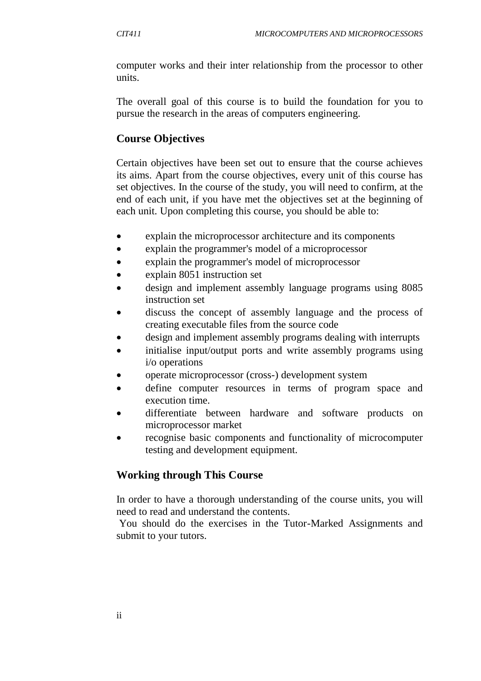computer works and their inter relationship from the processor to other units.

The overall goal of this course is to build the foundation for you to pursue the research in the areas of computers engineering.

#### **Course Objectives**

Certain objectives have been set out to ensure that the course achieves its aims. Apart from the course objectives, every unit of this course has set objectives. In the course of the study, you will need to confirm, at the end of each unit, if you have met the objectives set at the beginning of each unit. Upon completing this course, you should be able to:

- explain the microprocessor architecture and its components
- explain the programmer's model of a microprocessor
- explain the programmer's model of microprocessor
- explain 8051 instruction set
- design and implement assembly language programs using 8085 instruction set
- discuss the concept of assembly language and the process of creating executable files from the source code
- design and implement assembly programs dealing with interrupts
- initialise input/output ports and write assembly programs using i/o operations
- operate microprocessor (cross-) development system
- define computer resources in terms of program space and execution time.
- differentiate between hardware and software products on microprocessor market
- recognise basic components and functionality of microcomputer testing and development equipment.

## **Working through This Course**

In order to have a thorough understanding of the course units, you will need to read and understand the contents.

You should do the exercises in the Tutor-Marked Assignments and submit to your tutors.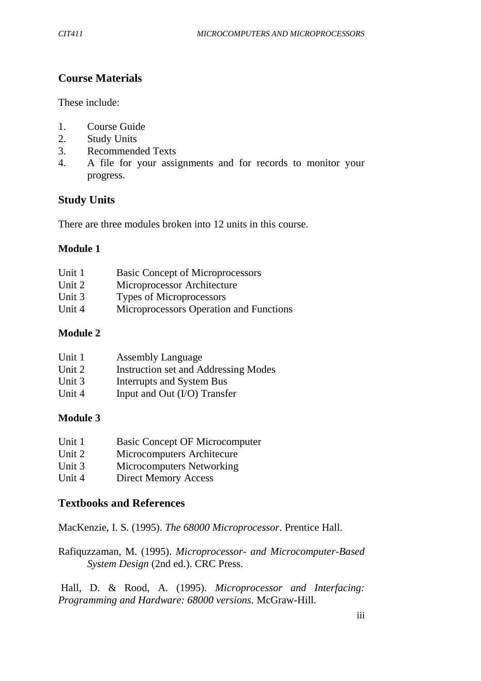## **Course Materials**

These include:

- 1. Course Guide
- 2. Study Units
- 3. Recommended Texts
- 4. A file for your assignments and for records to monitor your progress.

## **Study Units**

There are three modules broken into 12 units in this course.

#### **Module 1**

| Unit 1 | <b>Basic Concept of Microprocessors</b> |
|--------|-----------------------------------------|
| Unit 2 | Microprocessor Architecture             |
| Unit 3 | <b>Types of Microprocessors</b>         |
| Unit 4 | Microprocessors Operation and Functions |
|        |                                         |

## **Module 2**

| Unit 1 | <b>Assembly Language</b>                    |
|--------|---------------------------------------------|
| Unit 2 | <b>Instruction set and Addressing Modes</b> |
| Unit 3 | Interrupts and System Bus                   |
| Unit 4 | Input and Out $(I/O)$ Transfer              |

#### **Module 3**

| Unit 1 | <b>Basic Concept OF Microcomputer</b> |
|--------|---------------------------------------|
| Unit 2 | Microcomputers Architecure            |
| Unit 3 | Microcomputers Networking             |

Unit 4 Direct Memory Access

## **Textbooks and References**

MacKenzie, I. S. (1995). *The 68000 Microprocessor*. Prentice Hall.

Rafiquzzaman, M. (1995). *Microprocessor- and Microcomputer-Based System Design* (2nd ed.). CRC Press.

Hall, D. & Rood, A. (1995). *Microprocessor and Interfacing: Programming and Hardware: 68000 versions*. McGraw-Hill.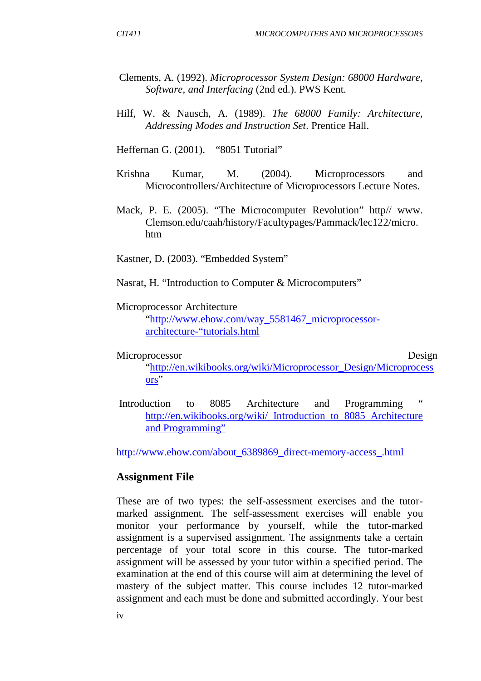- Clements, A. (1992). *Microprocessor System Design: 68000 Hardware, Software, and Interfacing* (2nd ed.). PWS Kent.
- Hilf, W. & Nausch, A. (1989). *The 68000 Family: Architecture, Addressing Modes and Instruction Set*. Prentice Hall.

Heffernan G. (2001). "8051 Tutorial"

- Krishna Kumar, M. (2004). Microprocessors and Microcontrollers/Architecture of Microprocessors Lecture Notes.
- Mack, P. E. (2005). "The Microcomputer Revolution" http// www. Clemson.edu/caah/history/Facultypages/Pammack/lec122/micro. htm

Kastner, D. (2003). "Embedded System"

Nasrat, H. "Introduction to Computer & Microcomputers"

#### Microprocessor Architecture

"http://www.ehow.com/way\_5581467\_microprocessorarchitecture-"tutorials.html

#### Microprocessor Design

"http://en.wikibooks.org/wiki/Microprocessor\_Design/Microprocess ors"

Introduction to 8085 Architecture and Programming http://en.wikibooks.org/wiki/ Introduction to 8085 Architecture and Programming"

http://www.ehow.com/about\_6389869\_direct-memory-access\_.html

#### **Assignment File**

These are of two types: the self-assessment exercises and the tutormarked assignment. The self-assessment exercises will enable you monitor your performance by yourself, while the tutor-marked assignment is a supervised assignment. The assignments take a certain percentage of your total score in this course. The tutor-marked assignment will be assessed by your tutor within a specified period. The examination at the end of this course will aim at determining the level of mastery of the subject matter. This course includes 12 tutor-marked assignment and each must be done and submitted accordingly. Your best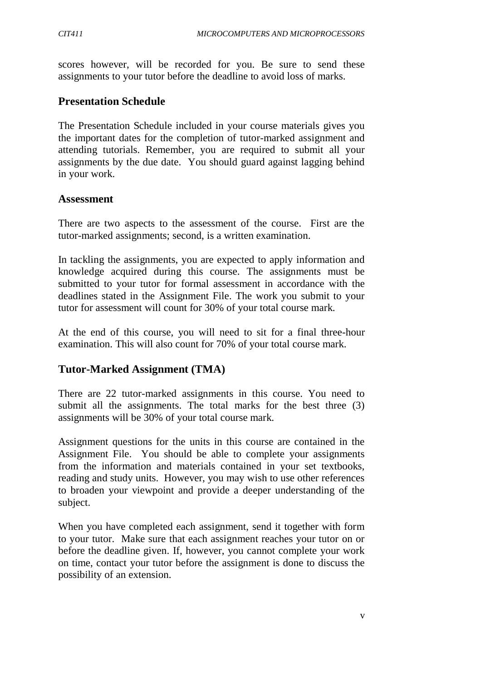scores however, will be recorded for you. Be sure to send these assignments to your tutor before the deadline to avoid loss of marks.

#### **Presentation Schedule**

The Presentation Schedule included in your course materials gives you the important dates for the completion of tutor-marked assignment and attending tutorials. Remember, you are required to submit all your assignments by the due date. You should guard against lagging behind in your work.

#### **Assessment**

There are two aspects to the assessment of the course. First are the tutor-marked assignments; second, is a written examination.

In tackling the assignments, you are expected to apply information and knowledge acquired during this course. The assignments must be submitted to your tutor for formal assessment in accordance with the deadlines stated in the Assignment File. The work you submit to your tutor for assessment will count for 30% of your total course mark.

At the end of this course, you will need to sit for a final three-hour examination. This will also count for 70% of your total course mark.

## **Tutor-Marked Assignment (TMA)**

There are 22 tutor-marked assignments in this course. You need to submit all the assignments. The total marks for the best three (3) assignments will be 30% of your total course mark.

Assignment questions for the units in this course are contained in the Assignment File. You should be able to complete your assignments from the information and materials contained in your set textbooks, reading and study units. However, you may wish to use other references to broaden your viewpoint and provide a deeper understanding of the subject.

When you have completed each assignment, send it together with form to your tutor. Make sure that each assignment reaches your tutor on or before the deadline given. If, however, you cannot complete your work on time, contact your tutor before the assignment is done to discuss the possibility of an extension.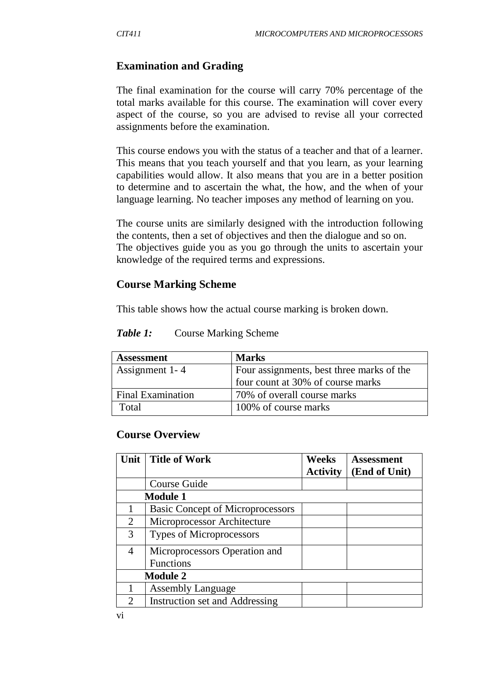## **Examination and Grading**

The final examination for the course will carry 70% percentage of the total marks available for this course. The examination will cover every aspect of the course, so you are advised to revise all your corrected assignments before the examination.

This course endows you with the status of a teacher and that of a learner. This means that you teach yourself and that you learn, as your learning capabilities would allow. It also means that you are in a better position to determine and to ascertain the what, the how, and the when of your language learning. No teacher imposes any method of learning on you.

The course units are similarly designed with the introduction following the contents, then a set of objectives and then the dialogue and so on. The objectives guide you as you go through the units to ascertain your knowledge of the required terms and expressions.

#### **Course Marking Scheme**

This table shows how the actual course marking is broken down.

| <b>Assessment</b>        | <b>Marks</b>                              |
|--------------------------|-------------------------------------------|
| Assignment 1-4           | Four assignments, best three marks of the |
|                          | four count at 30% of course marks         |
| <b>Final Examination</b> | 70% of overall course marks               |
| Total                    | 100% of course marks                      |

**Table 1:** Course Marking Scheme

#### **Course Overview**

| Unit                        | <b>Title of Work</b>                    | <b>Weeks</b>    | <b>Assessment</b> |
|-----------------------------|-----------------------------------------|-----------------|-------------------|
|                             |                                         | <b>Activity</b> | (End of Unit)     |
|                             | Course Guide                            |                 |                   |
| <b>Module 1</b>             |                                         |                 |                   |
|                             | <b>Basic Concept of Microprocessors</b> |                 |                   |
| 2                           | Microprocessor Architecture             |                 |                   |
| 3                           | Types of Microprocessors                |                 |                   |
| 4                           | Microprocessors Operation and           |                 |                   |
|                             | <b>Functions</b>                        |                 |                   |
| <b>Module 2</b>             |                                         |                 |                   |
|                             | <b>Assembly Language</b>                |                 |                   |
| $\mathcal{D}_{\mathcal{A}}$ | Instruction set and Addressing          |                 |                   |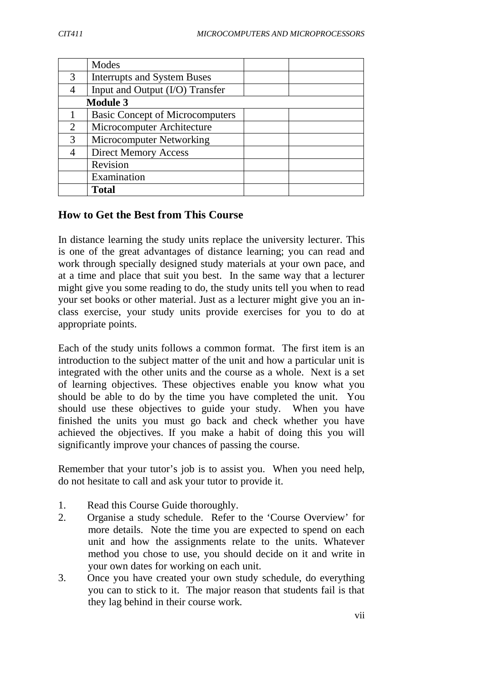|                 | Modes                                  |  |
|-----------------|----------------------------------------|--|
| 3               | <b>Interrupts and System Buses</b>     |  |
|                 | Input and Output (I/O) Transfer        |  |
| <b>Module 3</b> |                                        |  |
|                 | <b>Basic Concept of Microcomputers</b> |  |
| $\overline{2}$  | Microcomputer Architecture             |  |
| $\mathcal{R}$   | Microcomputer Networking               |  |
|                 | <b>Direct Memory Access</b>            |  |
|                 | Revision                               |  |
|                 | Examination                            |  |
|                 | <b>Total</b>                           |  |

## **How to Get the Best from This Course**

In distance learning the study units replace the university lecturer. This is one of the great advantages of distance learning; you can read and work through specially designed study materials at your own pace, and at a time and place that suit you best. In the same way that a lecturer might give you some reading to do, the study units tell you when to read your set books or other material. Just as a lecturer might give you an inclass exercise, your study units provide exercises for you to do at appropriate points.

Each of the study units follows a common format. The first item is an introduction to the subject matter of the unit and how a particular unit is integrated with the other units and the course as a whole. Next is a set of learning objectives. These objectives enable you know what you should be able to do by the time you have completed the unit. You should use these objectives to guide your study. When you have finished the units you must go back and check whether you have achieved the objectives. If you make a habit of doing this you will significantly improve your chances of passing the course.

Remember that your tutor's job is to assist you. When you need help, do not hesitate to call and ask your tutor to provide it.

- 1. Read this Course Guide thoroughly.
- 2. Organise a study schedule. Refer to the 'Course Overview' for more details. Note the time you are expected to spend on each unit and how the assignments relate to the units. Whatever method you chose to use, you should decide on it and write in your own dates for working on each unit.
- 3. Once you have created your own study schedule, do everything you can to stick to it. The major reason that students fail is that they lag behind in their course work.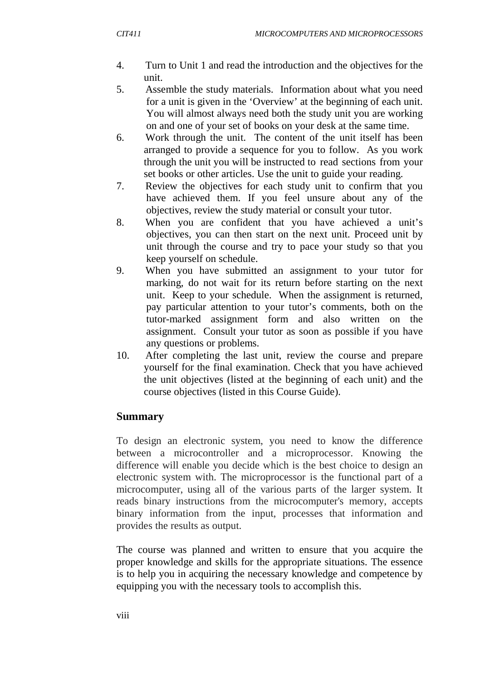- 4. Turn to Unit 1 and read the introduction and the objectives for the unit.
- 5. Assemble the study materials. Information about what you need for a unit is given in the 'Overview' at the beginning of each unit. You will almost always need both the study unit you are working on and one of your set of books on your desk at the same time.
- 6. Work through the unit. The content of the unit itself has been arranged to provide a sequence for you to follow. As you work through the unit you will be instructed to read sections from your set books or other articles. Use the unit to guide your reading.
- 7. Review the objectives for each study unit to confirm that you have achieved them. If you feel unsure about any of the objectives, review the study material or consult your tutor.
- 8. When you are confident that you have achieved a unit's objectives, you can then start on the next unit. Proceed unit by unit through the course and try to pace your study so that you keep yourself on schedule.
- 9. When you have submitted an assignment to your tutor for marking, do not wait for its return before starting on the next unit. Keep to your schedule. When the assignment is returned, pay particular attention to your tutor's comments, both on the tutor-marked assignment form and also written on the assignment. Consult your tutor as soon as possible if you have any questions or problems.
- 10. After completing the last unit, review the course and prepare yourself for the final examination. Check that you have achieved the unit objectives (listed at the beginning of each unit) and the course objectives (listed in this Course Guide).

## **Summary**

To design an electronic system, you need to know the difference between a microcontroller and a microprocessor. Knowing the difference will enable you decide which is the best choice to design an electronic system with. The microprocessor is the functional part of a microcomputer, using all of the various parts of the larger system. It reads binary instructions from the microcomputer's memory, accepts binary information from the input, processes that information and provides the results as output.

The course was planned and written to ensure that you acquire the proper knowledge and skills for the appropriate situations. The essence is to help you in acquiring the necessary knowledge and competence by equipping you with the necessary tools to accomplish this.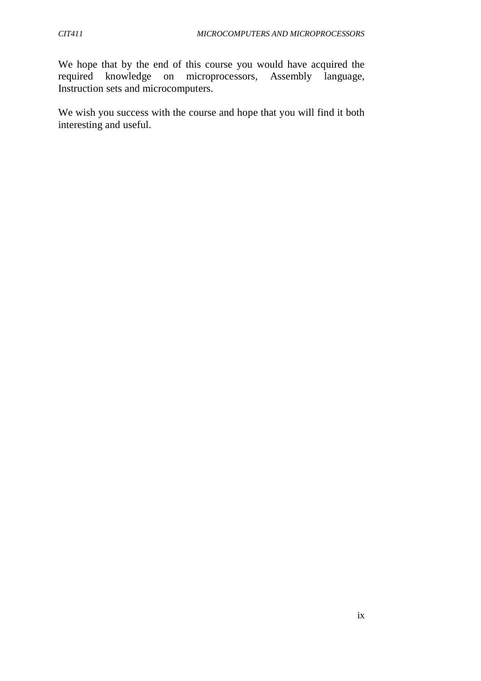We hope that by the end of this course you would have acquired the required knowledge on microprocessors, Assembly language, microprocessors, Assembly language, Instruction sets and microcomputers.

We wish you success with the course and hope that you will find it both interesting and useful.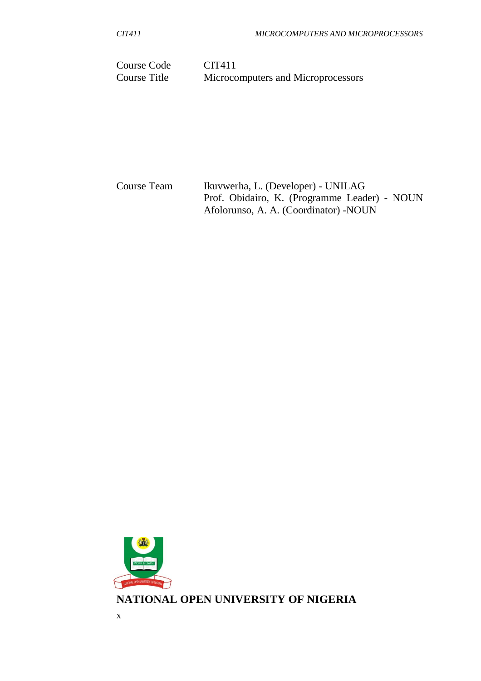Course Code CIT411<br>Course Title Microco Microcomputers and Microprocessors

Course Team Ikuvwerha, L. (Developer) - UNILAG Prof. Obidairo, K. (Programme Leader) - NOUN Afolorunso, A. A. (Coordinator) -NOUN

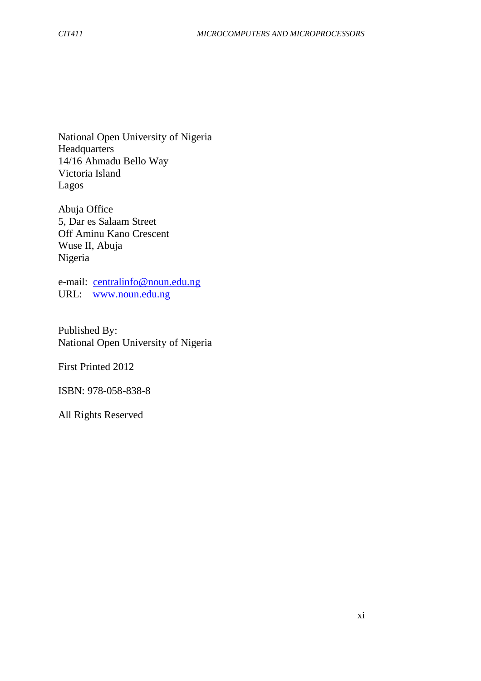National Open University of Nigeria **Headquarters** 14/16 Ahmadu Bello Way Victoria Island Lagos

Abuja Office 5, Dar es Salaam Street Off Aminu Kano Crescent Wuse II, Abuja Nigeria

e-mail: centralinfo@noun.edu.ng URL: www.noun.edu.ng

Published By: National Open University of Nigeria

First Printed 2012

ISBN: 978-058-838-8

All Rights Reserved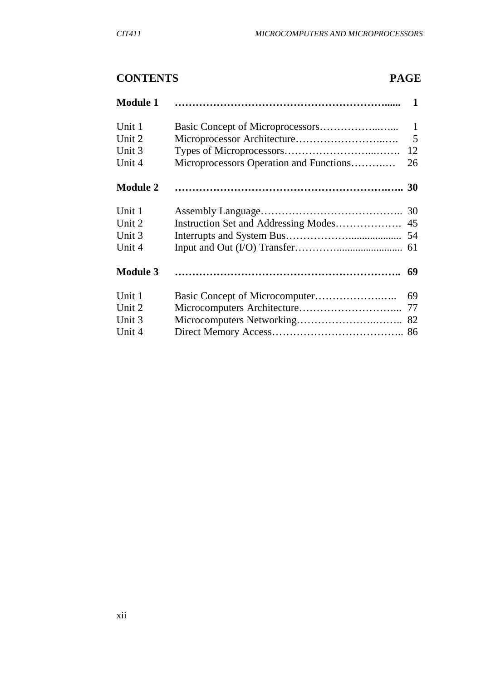# **CONTENTS PAGE**

| <b>Module 1</b> |                                         | $\mathbf 1$  |
|-----------------|-----------------------------------------|--------------|
| Unit 1          |                                         | $\mathbf{1}$ |
| Unit 2          |                                         | 5            |
| Unit 3          |                                         | 12           |
| Unit 4          | Microprocessors Operation and Functions | 26           |
| <b>Module 2</b> |                                         |              |
| Unit 1          |                                         | 30           |
| Unit 2          |                                         | 45           |
| Unit 3          |                                         | 54           |
| Unit 4          |                                         | 61           |
| <b>Module 3</b> |                                         | 69           |
| Unit 1          |                                         | 69           |
| Unit 2          |                                         | 77           |
| Unit 3          |                                         | 82           |
| Unit 4          |                                         |              |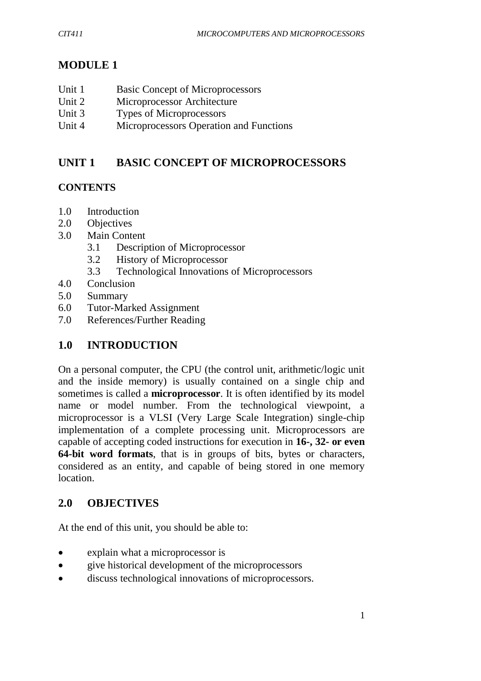# **MODULE 1**

- Unit 1 Basic Concept of Microprocessors
- Unit 2 Microprocessor Architecture
- Unit 3 Types of Microprocessors
- Unit 4 Microprocessors Operation and Functions

# **UNIT 1 BASIC CONCEPT OF MICROPROCESSORS**

## **CONTENTS**

- 1.0 Introduction
- 2.0 Objectives
- 3.0 Main Content
	- 3.1 Description of Microprocessor
	- 3.2 History of Microprocessor
	- 3.3 Technological Innovations of Microprocessors
- 4.0 Conclusion
- 5.0 Summary
- 6.0 Tutor-Marked Assignment
- 7.0 References/Further Reading

# **1.0 INTRODUCTION**

On a personal computer, the CPU (the control unit, arithmetic/logic unit and the inside memory) is usually contained on a single chip and sometimes is called a **microprocessor**. It is often identified by its model name or model number. From the technological viewpoint, a microprocessor is a VLSI (Very Large Scale Integration) single-chip implementation of a complete processing unit. Microprocessors are capable of accepting coded instructions for execution in **16-, 32- or even 64-bit word formats**, that is in groups of bits, bytes or characters, considered as an entity, and capable of being stored in one memory location.

# **2.0 OBJECTIVES**

At the end of this unit, you should be able to:

- explain what a microprocessor is
- give historical development of the microprocessors
- discuss technological innovations of microprocessors.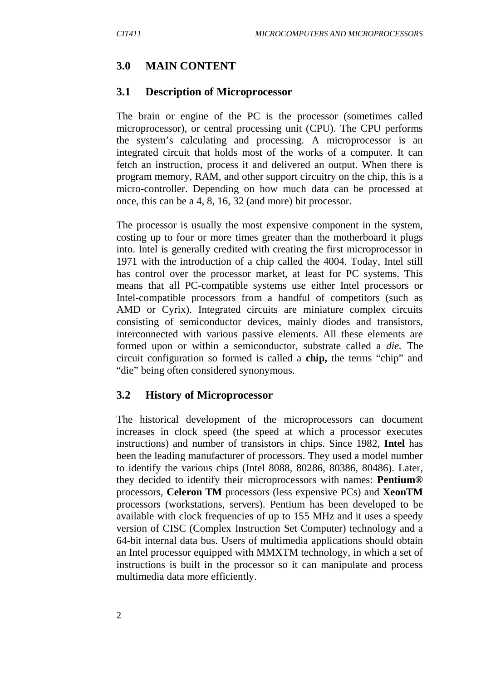#### **3.0 MAIN CONTENT**

#### **3.1 Description of Microprocessor**

The brain or engine of the PC is the processor (sometimes called microprocessor), or central processing unit (CPU). The CPU performs the system's calculating and processing. A microprocessor is an integrated circuit that holds most of the works of a computer. It can fetch an instruction, process it and delivered an output. When there is program memory, RAM, and other support circuitry on the chip, this is a micro-controller. Depending on how much data can be processed at once, this can be a 4, 8, 16, 32 (and more) bit processor.

The processor is usually the most expensive component in the system, costing up to four or more times greater than the motherboard it plugs into. Intel is generally credited with creating the first microprocessor in 1971 with the introduction of a chip called the 4004. Today, Intel still has control over the processor market, at least for PC systems. This means that all PC-compatible systems use either Intel processors or Intel-compatible processors from a handful of competitors (such as AMD or Cyrix). Integrated circuits are miniature complex circuits consisting of semiconductor devices, mainly diodes and transistors, interconnected with various passive elements. All these elements are formed upon or within a semiconductor, substrate called a *die.* The circuit configuration so formed is called a **chip,** the terms "chip" and "die" being often considered synonymous.

#### **3.2 History of Microprocessor**

The historical development of the microprocessors can document increases in clock speed (the speed at which a processor executes instructions) and number of transistors in chips. Since 1982, **Intel** has been the leading manufacturer of processors. They used a model number to identify the various chips (Intel 8088, 80286, 80386, 80486). Later, they decided to identify their microprocessors with names: **Pentium®**  processors, **Celeron TM** processors (less expensive PCs) and **XeonTM**  processors (workstations, servers). Pentium has been developed to be available with clock frequencies of up to 155 MHz and it uses a speedy version of CISC (Complex Instruction Set Computer) technology and a 64-bit internal data bus. Users of multimedia applications should obtain an Intel processor equipped with MMXTM technology, in which a set of instructions is built in the processor so it can manipulate and process multimedia data more efficiently.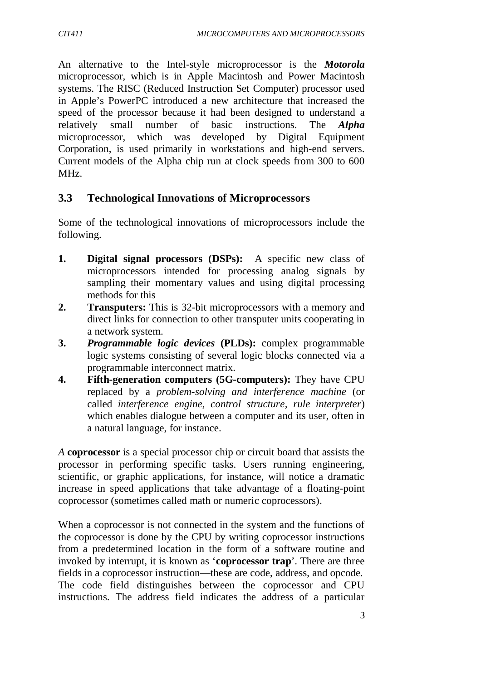An alternative to the Intel-style microprocessor is the *Motorola*  microprocessor, which is in Apple Macintosh and Power Macintosh systems. The RISC (Reduced Instruction Set Computer) processor used in Apple's PowerPC introduced a new architecture that increased the speed of the processor because it had been designed to understand a relatively small number of basic instructions. The *Alpha*  microprocessor, which was developed by Digital Equipment Corporation, is used primarily in workstations and high-end servers. Current models of the Alpha chip run at clock speeds from 300 to 600 MHz.

## **3.3 Technological Innovations of Microprocessors**

Some of the technological innovations of microprocessors include the following.

- **1. Digital signal processors (DSPs):** A specific new class of microprocessors intended for processing analog signals by sampling their momentary values and using digital processing methods for this
- **2. Transputers:** This is 32-bit microprocessors with a memory and direct links for connection to other transputer units cooperating in a network system.
- **3.** *Programmable logic devices* **(PLDs):** complex programmable logic systems consisting of several logic blocks connected via a programmable interconnect matrix.
- **4. Fifth-generation computers (5G-computers):** They have CPU replaced by a *problem-solving and interference machine* (or called *interference engine, control structure, rule interpreter*) which enables dialogue between a computer and its user, often in a natural language, for instance.

*A* **coprocessor** is a special processor chip or circuit board that assists the processor in performing specific tasks. Users running engineering, scientific, or graphic applications, for instance, will notice a dramatic increase in speed applications that take advantage of a floating-point coprocessor (sometimes called math or numeric coprocessors).

When a coprocessor is not connected in the system and the functions of the coprocessor is done by the CPU by writing coprocessor instructions from a predetermined location in the form of a software routine and invoked by interrupt, it is known as '**coprocessor trap**'. There are three fields in a coprocessor instruction—these are code, address, and opcode. The code field distinguishes between the coprocessor and CPU instructions. The address field indicates the address of a particular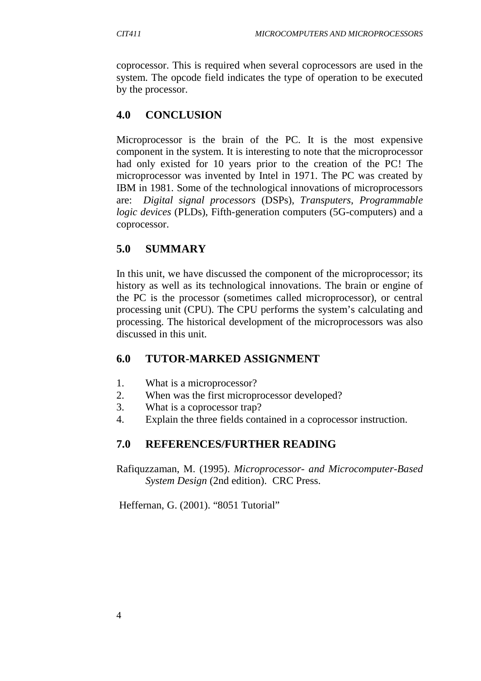coprocessor. This is required when several coprocessors are used in the system. The opcode field indicates the type of operation to be executed by the processor.

# **4.0 CONCLUSION**

Microprocessor is the brain of the PC. It is the most expensive component in the system. It is interesting to note that the microprocessor had only existed for 10 years prior to the creation of the PC! The microprocessor was invented by Intel in 1971. The PC was created by IBM in 1981. Some of the technological innovations of microprocessors are: *Digital signal processors* (DSPs), *Transputers*, *Programmable logic devices* (PLDs), Fifth-generation computers (5G-computers) and a coprocessor.

# **5.0 SUMMARY**

In this unit, we have discussed the component of the microprocessor; its history as well as its technological innovations. The brain or engine of the PC is the processor (sometimes called microprocessor), or central processing unit (CPU). The CPU performs the system's calculating and processing. The historical development of the microprocessors was also discussed in this unit.

# **6.0 TUTOR-MARKED ASSIGNMENT**

- 1. What is a microprocessor?
- 2. When was the first microprocessor developed?
- 3. What is a coprocessor trap?
- 4. Explain the three fields contained in a coprocessor instruction.

# **7.0 REFERENCES/FURTHER READING**

Rafiquzzaman, M. (1995). *Microprocessor- and Microcomputer-Based System Design* (2nd edition). CRC Press.

Heffernan, G. (2001). "8051 Tutorial"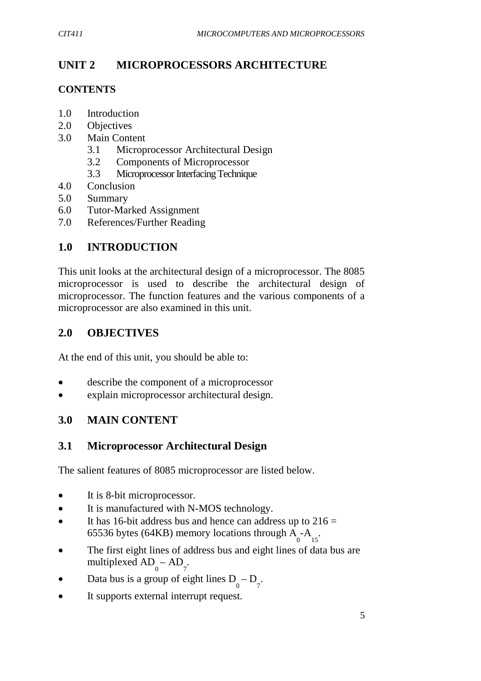# **UNIT 2 MICROPROCESSORS ARCHITECTURE**

## **CONTENTS**

- 1.0 Introduction
- 2.0 Objectives
- 3.0 Main Content
	- 3.1 Microprocessor Architectural Design
	- 3.2 Components of Microprocessor
	- 3.3 Microprocessor Interfacing Technique
- 4.0 Conclusion
- 5.0 Summary
- 6.0 Tutor-Marked Assignment
- 7.0 References/Further Reading

## **1.0 INTRODUCTION**

This unit looks at the architectural design of a microprocessor. The 8085 microprocessor is used to describe the architectural design of microprocessor. The function features and the various components of a microprocessor are also examined in this unit.

## **2.0 OBJECTIVES**

At the end of this unit, you should be able to:

- describe the component of a microprocessor
- explain microprocessor architectural design.

## **3.0 MAIN CONTENT**

## **3.1 Microprocessor Architectural Design**

The salient features of 8085 microprocessor are listed below.

- It is 8-bit microprocessor.
- It is manufactured with N-MOS technology.
- It has 16-bit address bus and hence can address up to  $216 =$ 65536 bytes (64KB) memory locations through  $A_0$ - $A_{15}$ .
- The first eight lines of address bus and eight lines of data bus are multiplexed  $AD_0 - AD_7$ .
- Data bus is a group of eight lines  $D_0 D_7$ .
- It supports external interrupt request.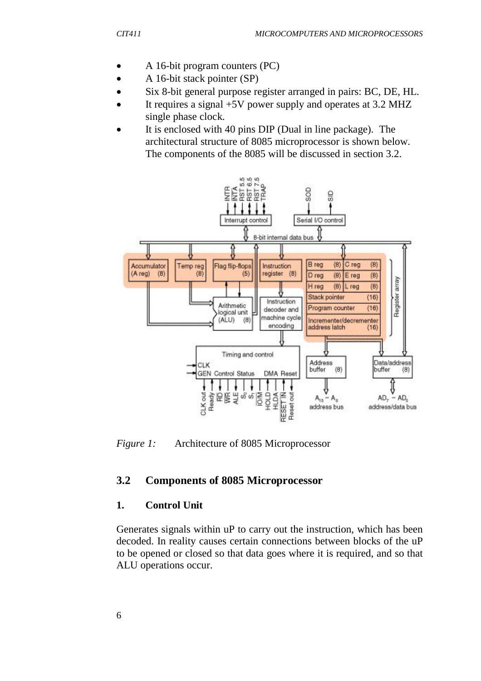- A 16-bit program counters (PC)
- A 16-bit stack pointer (SP)
- Six 8-bit general purpose register arranged in pairs: BC, DE, HL.
- It requires a signal +5V power supply and operates at 3.2 MHZ single phase clock.
- It is enclosed with 40 pins DIP (Dual in line package). The architectural structure of 8085 microprocessor is shown below. The components of the 8085 will be discussed in section 3.2.



*Figure 1:* Architecture of 8085 Microprocessor

#### **3.2 Components of 8085 Microprocessor**

#### **1. Control Unit**

Generates signals within uP to carry out the instruction, which has been decoded. In reality causes certain connections between blocks of the uP to be opened or closed so that data goes where it is required, and so that ALU operations occur.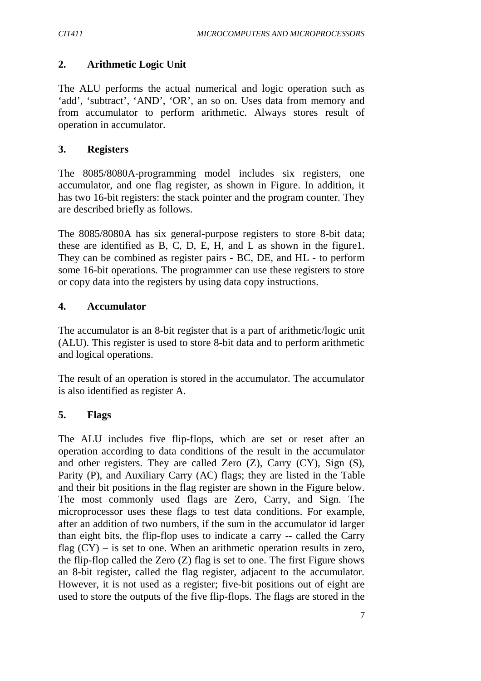## **2. Arithmetic Logic Unit**

The ALU performs the actual numerical and logic operation such as 'add', 'subtract', 'AND', 'OR', an so on. Uses data from memory and from accumulator to perform arithmetic. Always stores result of operation in accumulator.

#### **3. Registers**

The 8085/8080A-programming model includes six registers, one accumulator, and one flag register, as shown in Figure. In addition, it has two 16-bit registers: the stack pointer and the program counter. They are described briefly as follows.

The 8085/8080A has six general-purpose registers to store 8-bit data; these are identified as B, C, D, E, H, and L as shown in the figure1. They can be combined as register pairs - BC, DE, and HL - to perform some 16-bit operations. The programmer can use these registers to store or copy data into the registers by using data copy instructions.

## **4. Accumulator**

The accumulator is an 8-bit register that is a part of arithmetic/logic unit (ALU). This register is used to store 8-bit data and to perform arithmetic and logical operations.

The result of an operation is stored in the accumulator. The accumulator is also identified as register A.

## **5. Flags**

The ALU includes five flip-flops, which are set or reset after an operation according to data conditions of the result in the accumulator and other registers. They are called Zero (Z), Carry (CY), Sign (S), Parity (P), and Auxiliary Carry (AC) flags; they are listed in the Table and their bit positions in the flag register are shown in the Figure below. The most commonly used flags are Zero, Carry, and Sign. The microprocessor uses these flags to test data conditions. For example, after an addition of two numbers, if the sum in the accumulator id larger than eight bits, the flip-flop uses to indicate a carry -- called the Carry flag  $(CY)$  – is set to one. When an arithmetic operation results in zero, the flip-flop called the Zero (Z) flag is set to one. The first Figure shows an 8-bit register, called the flag register, adjacent to the accumulator. However, it is not used as a register; five-bit positions out of eight are used to store the outputs of the five flip-flops. The flags are stored in the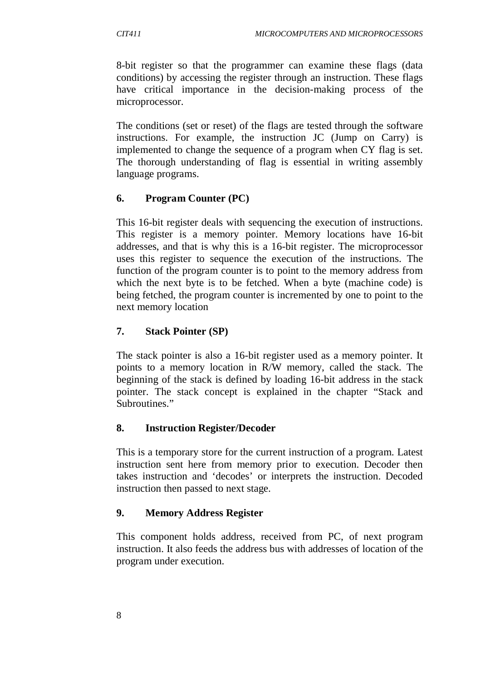8-bit register so that the programmer can examine these flags (data conditions) by accessing the register through an instruction. These flags have critical importance in the decision-making process of the microprocessor.

The conditions (set or reset) of the flags are tested through the software instructions. For example, the instruction JC (Jump on Carry) is implemented to change the sequence of a program when CY flag is set. The thorough understanding of flag is essential in writing assembly language programs.

# **6. Program Counter (PC)**

This 16-bit register deals with sequencing the execution of instructions. This register is a memory pointer. Memory locations have 16-bit addresses, and that is why this is a 16-bit register. The microprocessor uses this register to sequence the execution of the instructions. The function of the program counter is to point to the memory address from which the next byte is to be fetched. When a byte (machine code) is being fetched, the program counter is incremented by one to point to the next memory location

## **7. Stack Pointer (SP)**

The stack pointer is also a 16-bit register used as a memory pointer. It points to a memory location in R/W memory, called the stack. The beginning of the stack is defined by loading 16-bit address in the stack pointer. The stack concept is explained in the chapter "Stack and Subroutines."

## **8. Instruction Register/Decoder**

This is a temporary store for the current instruction of a program. Latest instruction sent here from memory prior to execution. Decoder then takes instruction and 'decodes' or interprets the instruction. Decoded instruction then passed to next stage.

## **9. Memory Address Register**

This component holds address, received from PC, of next program instruction. It also feeds the address bus with addresses of location of the program under execution.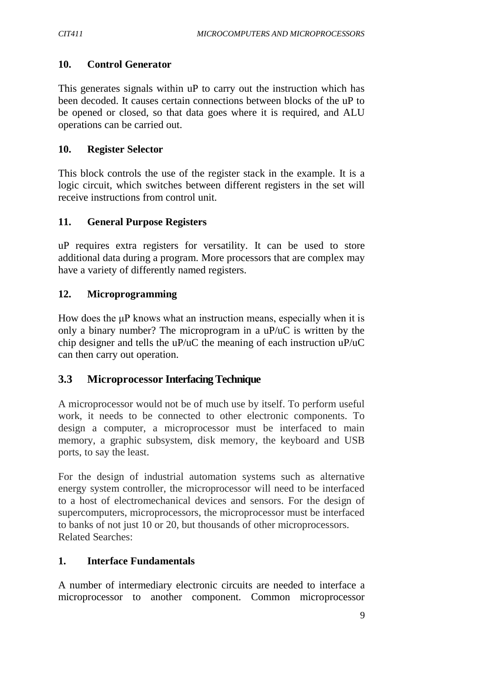#### **10. Control Generator**

This generates signals within uP to carry out the instruction which has been decoded. It causes certain connections between blocks of the uP to be opened or closed, so that data goes where it is required, and ALU operations can be carried out.

#### **10. Register Selector**

This block controls the use of the register stack in the example. It is a logic circuit, which switches between different registers in the set will receive instructions from control unit.

#### **11. General Purpose Registers**

uP requires extra registers for versatility. It can be used to store additional data during a program. More processors that are complex may have a variety of differently named registers.

#### **12. Microprogramming**

How does the μP knows what an instruction means, especially when it is only a binary number? The microprogram in a uP/uC is written by the chip designer and tells the uP/uC the meaning of each instruction uP/uC can then carry out operation.

## **3.3 Microprocessor Interfacing Technique**

A microprocessor would not be of much use by itself. To perform useful work, it needs to be connected to other electronic components. To design a computer, a microprocessor must be interfaced to main memory, a graphic subsystem, disk memory, the keyboard and USB ports, to say the least.

For the design of industrial automation systems such as alternative energy system controller, the microprocessor will need to be interfaced to a host of electromechanical devices and sensors. For the design of supercomputers, microprocessors, the microprocessor must be interfaced to banks of not just 10 or 20, but thousands of other microprocessors. Related Searches:

#### **1. Interface Fundamentals**

A number of intermediary electronic circuits are needed to interface a microprocessor to another component. Common microprocessor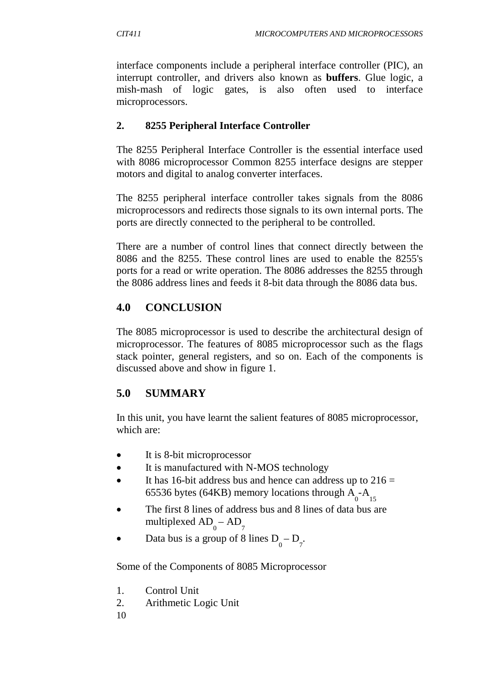interface components include a peripheral interface controller (PIC), an interrupt controller, and drivers also known as **buffers**. Glue logic, a mish-mash of logic gates, is also often used to interface microprocessors.

## **2. 8255 Peripheral Interface Controller**

The 8255 Peripheral Interface Controller is the essential interface used with 8086 microprocessor Common 8255 interface designs are stepper motors and digital to analog converter interfaces.

The 8255 peripheral interface controller takes signals from the 8086 microprocessors and redirects those signals to its own internal ports. The ports are directly connected to the peripheral to be controlled.

There are a number of control lines that connect directly between the 8086 and the 8255. These control lines are used to enable the 8255's ports for a read or write operation. The 8086 addresses the 8255 through the 8086 address lines and feeds it 8-bit data through the 8086 data bus.

# **4.0 CONCLUSION**

The 8085 microprocessor is used to describe the architectural design of microprocessor. The features of 8085 microprocessor such as the flags stack pointer, general registers, and so on. Each of the components is discussed above and show in figure 1.

# **5.0 SUMMARY**

In this unit, you have learnt the salient features of 8085 microprocessor, which are:

- It is 8-bit microprocessor
- It is manufactured with N-MOS technology
- It has 16-bit address bus and hence can address up to  $216 =$ 65536 bytes (64KB) memory locations through  $A_{0}$ - $A_{15}$
- The first 8 lines of address bus and 8 lines of data bus are multiplexed  $AD_{0} - AD_{7}$
- Data bus is a group of 8 lines  $D_0 D_7$ .

Some of the Components of 8085 Microprocessor

- 1. Control Unit
- 2. Arithmetic Logic Unit
- 10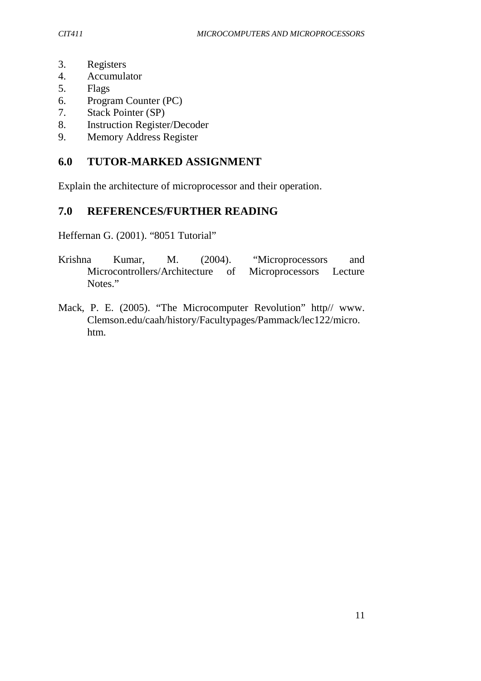- 3. Registers
- 4. Accumulator
- 5. Flags
- 6. Program Counter (PC)
- 7. Stack Pointer (SP)
- 8. Instruction Register/Decoder
- 9. Memory Address Register

# **6.0 TUTOR-MARKED ASSIGNMENT**

Explain the architecture of microprocessor and their operation.

# **7.0 REFERENCES/FURTHER READING**

Heffernan G. (2001). "8051 Tutorial"

- Krishna Kumar, M. (2004). "Microprocessors and Microcontrollers/Architecture of Microprocessors Lecture Notes."
- Mack, P. E. (2005). "The Microcomputer Revolution" http// www. Clemson.edu/caah/history/Facultypages/Pammack/lec122/micro. htm.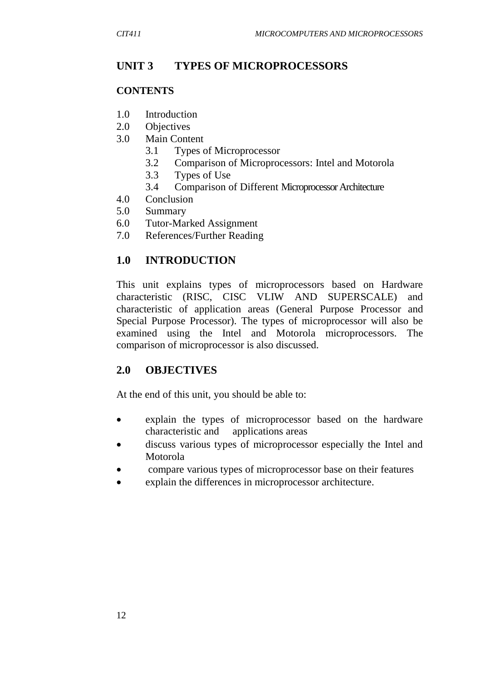## **UNIT 3 TYPES OF MICROPROCESSORS**

#### **CONTENTS**

- 1.0 Introduction
- 2.0 Objectives
- 3.0 Main Content
	- 3.1 Types of Microprocessor
	- 3.2 Comparison of Microprocessors: Intel and Motorola
	- 3.3 Types of Use
	- 3.4 Comparison of Different Microprocessor Architecture
- 4.0 Conclusion
- 5.0 Summary
- 6.0 Tutor-Marked Assignment
- 7.0 References/Further Reading

## **1.0 INTRODUCTION**

This unit explains types of microprocessors based on Hardware characteristic (RISC, CISC VLIW AND SUPERSCALE) and characteristic of application areas (General Purpose Processor and Special Purpose Processor). The types of microprocessor will also be examined using the Intel and Motorola microprocessors. The comparison of microprocessor is also discussed.

## **2.0 OBJECTIVES**

At the end of this unit, you should be able to:

- explain the types of microprocessor based on the hardware characteristic and applications areas
- discuss various types of microprocessor especially the Intel and Motorola
- compare various types of microprocessor base on their features
- explain the differences in microprocessor architecture.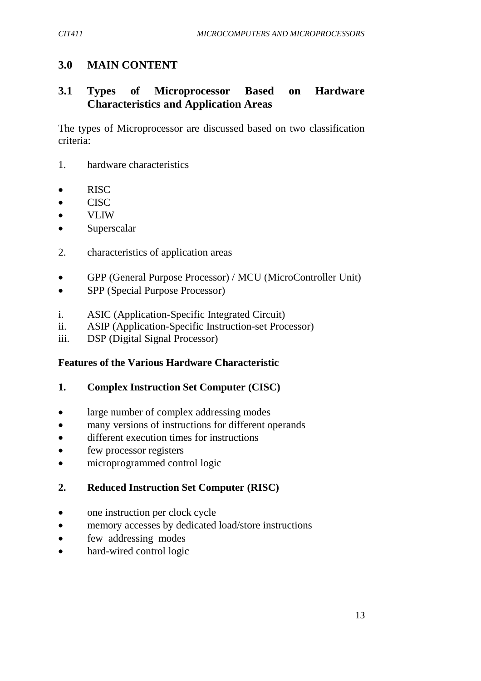# **3.0 MAIN CONTENT**

## **3.1 Types of Microprocessor Based on Hardware Characteristics and Application Areas**

The types of Microprocessor are discussed based on two classification criteria:

- 1. hardware characteristics
- RISC
- CISC
- VLIW
- Superscalar
- 2. characteristics of application areas
- GPP (General Purpose Processor) / MCU (MicroController Unit)
- SPP (Special Purpose Processor)
- i. ASIC (Application-Specific Integrated Circuit)
- ii. ASIP (Application-Specific Instruction-set Processor)
- iii. DSP (Digital Signal Processor)

#### **Features of the Various Hardware Characteristic**

#### **1. Complex Instruction Set Computer (CISC)**

- large number of complex addressing modes
- many versions of instructions for different operands
- different execution times for instructions
- few processor registers
- microprogrammed control logic

## **2. Reduced Instruction Set Computer (RISC)**

- one instruction per clock cycle
- memory accesses by dedicated load/store instructions
- few addressing modes
- hard-wired control logic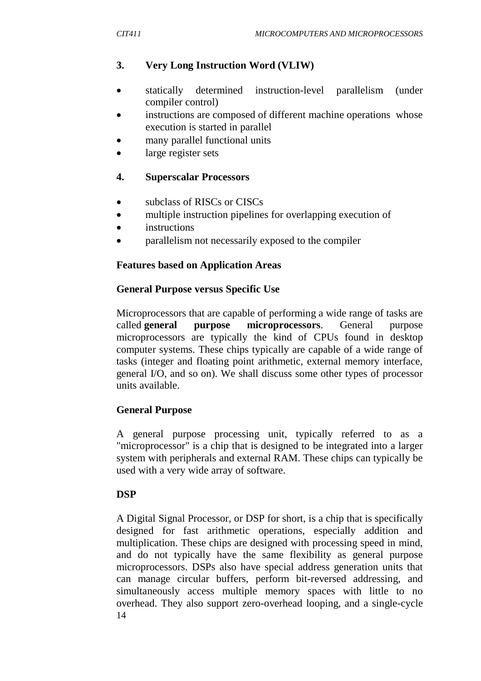# **3. Very Long Instruction Word (VLIW)**

- statically determined instruction-level parallelism (under compiler control)
- instructions are composed of different machine operations whose execution is started in parallel
- many parallel functional units
- large register sets

## **4. Superscalar Processors**

- subclass of RISCs or CISCs
- multiple instruction pipelines for overlapping execution of
- instructions
- parallelism not necessarily exposed to the compiler

## **Features based on Application Areas**

## **General Purpose versus Specific Use**

Microprocessors that are capable of performing a wide range of tasks are called **general purpose microprocessors**. General purpose microprocessors are typically the kind of CPUs found in desktop computer systems. These chips typically are capable of a wide range of tasks (integer and floating point arithmetic, external memory interface, general I/O, and so on). We shall discuss some other types of processor units available.

# **General Purpose**

A general purpose processing unit, typically referred to as a "microprocessor" is a chip that is designed to be integrated into a larger system with peripherals and external RAM. These chips can typically be used with a very wide array of software.

# **DSP**

14 A Digital Signal Processor, or DSP for short, is a chip that is specifically designed for fast arithmetic operations, especially addition and multiplication. These chips are designed with processing speed in mind, and do not typically have the same flexibility as general purpose microprocessors. DSPs also have special address generation units that can manage circular buffers, perform bit-reversed addressing, and simultaneously access multiple memory spaces with little to no overhead. They also support zero-overhead looping, and a single-cycle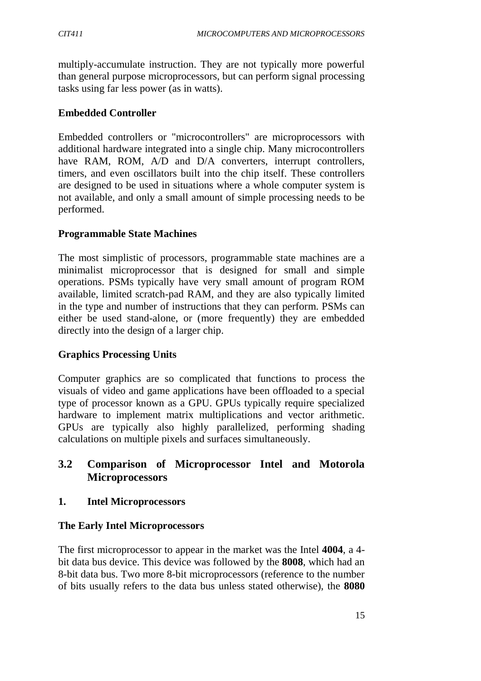multiply-accumulate instruction. They are not typically more powerful than general purpose microprocessors, but can perform signal processing tasks using far less power (as in watts).

## **Embedded Controller**

Embedded controllers or "microcontrollers" are microprocessors with additional hardware integrated into a single chip. Many microcontrollers have RAM, ROM, A/D and D/A converters, interrupt controllers, timers, and even oscillators built into the chip itself. These controllers are designed to be used in situations where a whole computer system is not available, and only a small amount of simple processing needs to be performed.

## **Programmable State Machines**

The most simplistic of processors, programmable state machines are a minimalist microprocessor that is designed for small and simple operations. PSMs typically have very small amount of program ROM available, limited scratch-pad RAM, and they are also typically limited in the type and number of instructions that they can perform. PSMs can either be used stand-alone, or (more frequently) they are embedded directly into the design of a larger chip.

#### **Graphics Processing Units**

Computer graphics are so complicated that functions to process the visuals of video and game applications have been offloaded to a special type of processor known as a GPU. GPUs typically require specialized hardware to implement matrix multiplications and vector arithmetic. GPUs are typically also highly parallelized, performing shading calculations on multiple pixels and surfaces simultaneously.

## **3.2 Comparison of Microprocessor Intel and Motorola Microprocessors**

#### **1. Intel Microprocessors**

#### **The Early Intel Microprocessors**

The first microprocessor to appear in the market was the Intel **4004**, a 4 bit data bus device. This device was followed by the **8008**, which had an 8-bit data bus. Two more 8-bit microprocessors (reference to the number of bits usually refers to the data bus unless stated otherwise), the **8080**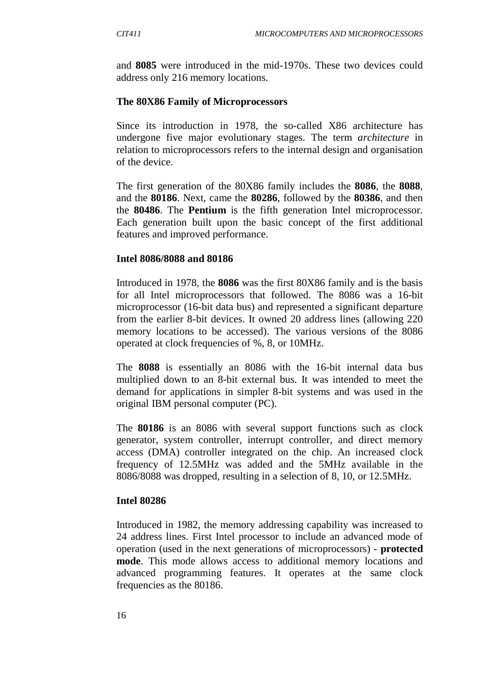and **8085** were introduced in the mid-1970s. These two devices could address only 216 memory locations.

#### **The 80X86 Family of Microprocessors**

Since its introduction in 1978, the so-called X86 architecture has undergone five major evolutionary stages. The term *architecture* in relation to microprocessors refers to the internal design and organisation of the device.

The first generation of the 80X86 family includes the **8086**, the **8088**, and the **80186**. Next, came the **80286**, followed by the **80386**, and then the **80486**. The **Pentium** is the fifth generation Intel microprocessor. Each generation built upon the basic concept of the first additional features and improved performance.

#### **Intel 8086/8088 and 80186**

Introduced in 1978, the **8086** was the first 80X86 family and is the basis for all Intel microprocessors that followed. The 8086 was a 16-bit microprocessor (16-bit data bus) and represented a significant departure from the earlier 8-bit devices. It owned 20 address lines (allowing 220 memory locations to be accessed). The various versions of the 8086 operated at clock frequencies of %, 8, or 10MHz.

The **8088** is essentially an 8086 with the 16-bit internal data bus multiplied down to an 8-bit external bus. It was intended to meet the demand for applications in simpler 8-bit systems and was used in the original IBM personal computer (PC).

The **80186** is an 8086 with several support functions such as clock generator, system controller, interrupt controller, and direct memory access (DMA) controller integrated on the chip. An increased clock frequency of 12.5MHz was added and the 5MHz available in the 8086/8088 was dropped, resulting in a selection of 8, 10, or 12.5MHz.

#### **Intel 80286**

Introduced in 1982, the memory addressing capability was increased to 24 address lines. First Intel processor to include an advanced mode of operation (used in the next generations of microprocessors) - **protected mode**. This mode allows access to additional memory locations and advanced programming features. It operates at the same clock frequencies as the 80186.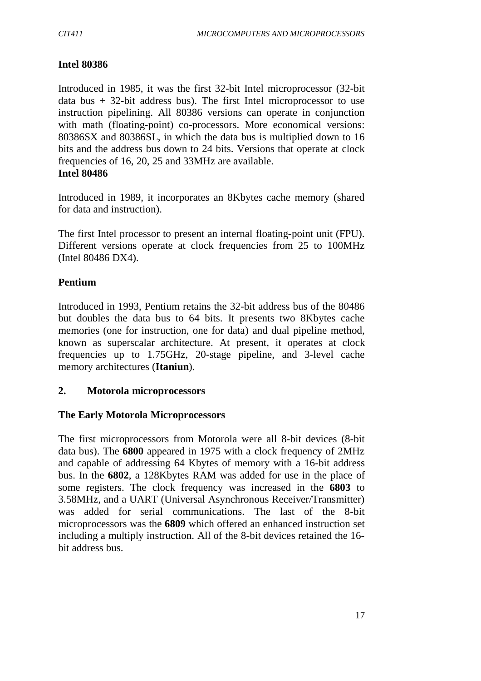#### **Intel 80386**

Introduced in 1985, it was the first 32-bit Intel microprocessor (32-bit data bus  $+32$ -bit address bus). The first Intel microprocessor to use instruction pipelining. All 80386 versions can operate in conjunction with math (floating-point) co-processors. More economical versions: 80386SX and 80386SL, in which the data bus is multiplied down to 16 bits and the address bus down to 24 bits. Versions that operate at clock frequencies of 16, 20, 25 and 33MHz are available. **Intel 80486**

Introduced in 1989, it incorporates an 8Kbytes cache memory (shared for data and instruction).

The first Intel processor to present an internal floating-point unit (FPU). Different versions operate at clock frequencies from 25 to 100MHz (Intel 80486 DX4).

#### **Pentium**

Introduced in 1993, Pentium retains the 32-bit address bus of the 80486 but doubles the data bus to 64 bits. It presents two 8Kbytes cache memories (one for instruction, one for data) and dual pipeline method, known as superscalar architecture. At present, it operates at clock frequencies up to 1.75GHz, 20-stage pipeline, and 3-level cache memory architectures (**Itaniun**).

#### **2. Motorola microprocessors**

#### **The Early Motorola Microprocessors**

The first microprocessors from Motorola were all 8-bit devices (8-bit data bus). The **6800** appeared in 1975 with a clock frequency of 2MHz and capable of addressing 64 Kbytes of memory with a 16-bit address bus. In the **6802**, a 128Kbytes RAM was added for use in the place of some registers. The clock frequency was increased in the **6803** to 3.58MHz, and a UART (Universal Asynchronous Receiver/Transmitter) was added for serial communications. The last of the 8-bit microprocessors was the **6809** which offered an enhanced instruction set including a multiply instruction. All of the 8-bit devices retained the 16 bit address bus.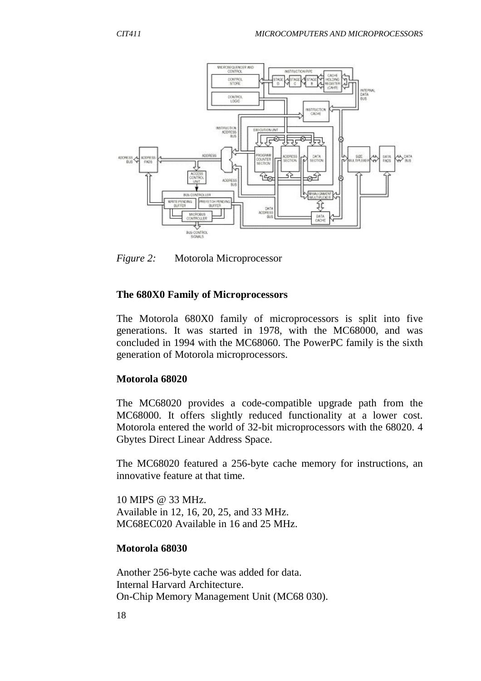

*Figure 2:* Motorola Microprocessor

#### **The 680X0 Family of Microprocessors**

The Motorola 680X0 family of microprocessors is split into five generations. It was started in 1978, with the MC68000, and was concluded in 1994 with the MC68060. The PowerPC family is the sixth generation of Motorola microprocessors.

#### **Motorola 68020**

The MC68020 provides a code-compatible upgrade path from the MC68000. It offers slightly reduced functionality at a lower cost. Motorola entered the world of 32-bit microprocessors with the 68020. 4 Gbytes Direct Linear Address Space.

The MC68020 featured a 256-byte cache memory for instructions, an innovative feature at that time.

10 MIPS @ 33 MHz. Available in 12, 16, 20, 25, and 33 MHz. MC68EC020 Available in 16 and 25 MHz.

#### **Motorola 68030**

Another 256-byte cache was added for data. Internal Harvard Architecture. On-Chip Memory Management Unit (MC68 030).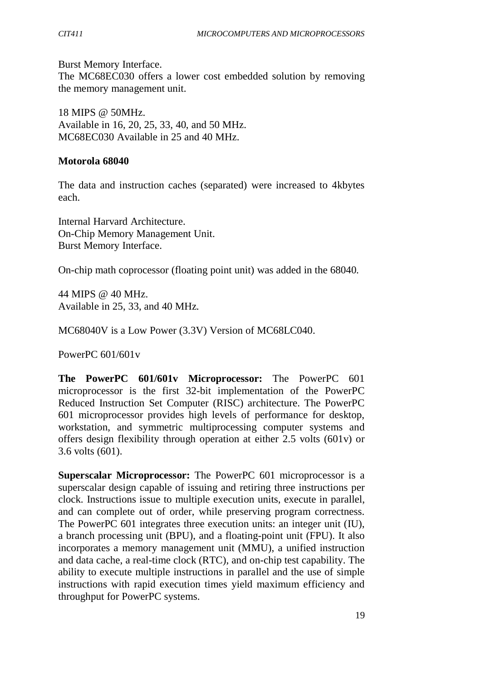Burst Memory Interface. The MC68EC030 offers a lower cost embedded solution by removing the memory management unit.

18 MIPS @ 50MHz. Available in 16, 20, 25, 33, 40, and 50 MHz. MC68EC030 Available in 25 and 40 MHz.

#### **Motorola 68040**

The data and instruction caches (separated) were increased to 4kbytes each.

Internal Harvard Architecture. On-Chip Memory Management Unit. Burst Memory Interface.

On-chip math coprocessor (floating point unit) was added in the 68040.

44 MIPS @ 40 MHz. Available in 25, 33, and 40 MHz.

MC68040V is a Low Power (3.3V) Version of MC68LC040.

PowerPC 601/601v

**The PowerPC 601/601v Microprocessor:** The PowerPC 601 microprocessor is the first 32-bit implementation of the PowerPC Reduced Instruction Set Computer (RISC) architecture. The PowerPC 601 microprocessor provides high levels of performance for desktop, workstation, and symmetric multiprocessing computer systems and offers design flexibility through operation at either 2.5 volts (601v) or 3.6 volts (601).

**Superscalar Microprocessor:** The PowerPC 601 microprocessor is a superscalar design capable of issuing and retiring three instructions per clock. Instructions issue to multiple execution units, execute in parallel, and can complete out of order, while preserving program correctness. The PowerPC 601 integrates three execution units: an integer unit (IU), a branch processing unit (BPU), and a floating-point unit (FPU). It also incorporates a memory management unit (MMU), a unified instruction and data cache, a real-time clock (RTC), and on-chip test capability. The ability to execute multiple instructions in parallel and the use of simple instructions with rapid execution times yield maximum efficiency and throughput for PowerPC systems.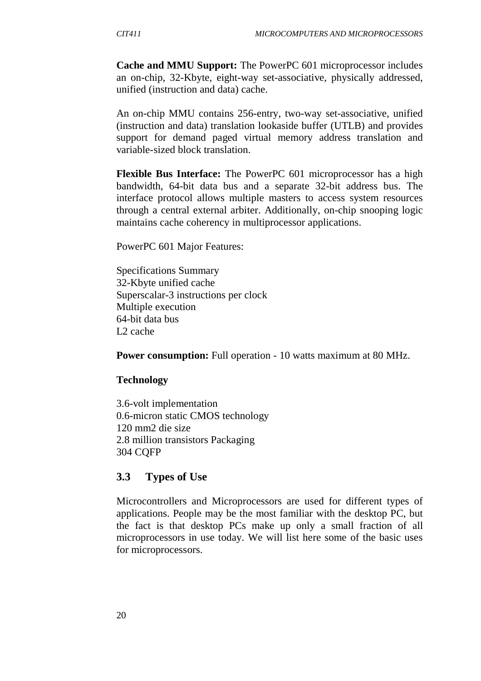**Cache and MMU Support:** The PowerPC 601 microprocessor includes an on-chip, 32-Kbyte, eight-way set-associative, physically addressed, unified (instruction and data) cache.

An on-chip MMU contains 256-entry, two-way set-associative, unified (instruction and data) translation lookaside buffer (UTLB) and provides support for demand paged virtual memory address translation and variable-sized block translation.

**Flexible Bus Interface:** The PowerPC 601 microprocessor has a high bandwidth, 64-bit data bus and a separate 32-bit address bus. The interface protocol allows multiple masters to access system resources through a central external arbiter. Additionally, on-chip snooping logic maintains cache coherency in multiprocessor applications.

PowerPC 601 Major Features:

Specifications Summary 32-Kbyte unified cache Superscalar-3 instructions per clock Multiple execution 64-bit data bus L2 cache

**Power consumption:** Full operation - 10 watts maximum at 80 MHz.

#### **Technology**

3.6-volt implementation 0.6-micron static CMOS technology 120 mm2 die size 2.8 million transistors Packaging 304 CQFP

#### **3.3 Types of Use**

Microcontrollers and Microprocessors are used for different types of applications. People may be the most familiar with the desktop PC, but the fact is that desktop PCs make up only a small fraction of all microprocessors in use today. We will list here some of the basic uses for microprocessors.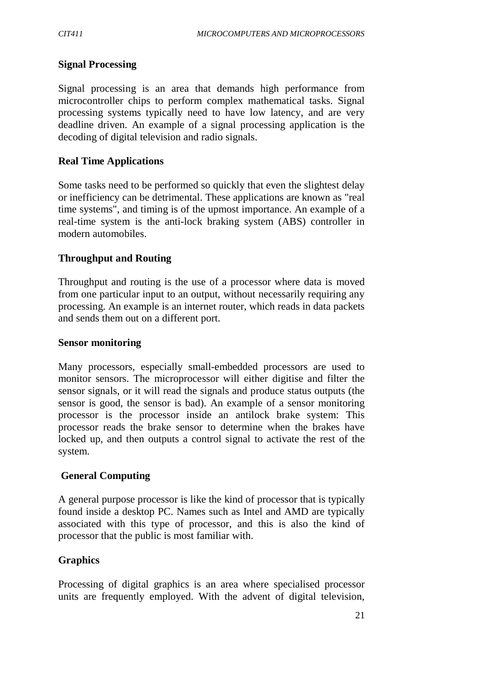### **Signal Processing**

Signal processing is an area that demands high performance from microcontroller chips to perform complex mathematical tasks. Signal processing systems typically need to have low latency, and are very deadline driven. An example of a signal processing application is the decoding of digital television and radio signals.

#### **Real Time Applications**

Some tasks need to be performed so quickly that even the slightest delay or inefficiency can be detrimental. These applications are known as "real time systems", and timing is of the upmost importance. An example of a real-time system is the anti-lock braking system (ABS) controller in modern automobiles.

### **Throughput and Routing**

Throughput and routing is the use of a processor where data is moved from one particular input to an output, without necessarily requiring any processing. An example is an internet router, which reads in data packets and sends them out on a different port.

#### **Sensor monitoring**

Many processors, especially small-embedded processors are used to monitor sensors. The microprocessor will either digitise and filter the sensor signals, or it will read the signals and produce status outputs (the sensor is good, the sensor is bad). An example of a sensor monitoring processor is the processor inside an antilock brake system: This processor reads the brake sensor to determine when the brakes have locked up, and then outputs a control signal to activate the rest of the system.

### **General Computing**

A general purpose processor is like the kind of processor that is typically found inside a desktop PC. Names such as Intel and AMD are typically associated with this type of processor, and this is also the kind of processor that the public is most familiar with.

### **Graphics**

Processing of digital graphics is an area where specialised processor units are frequently employed. With the advent of digital television,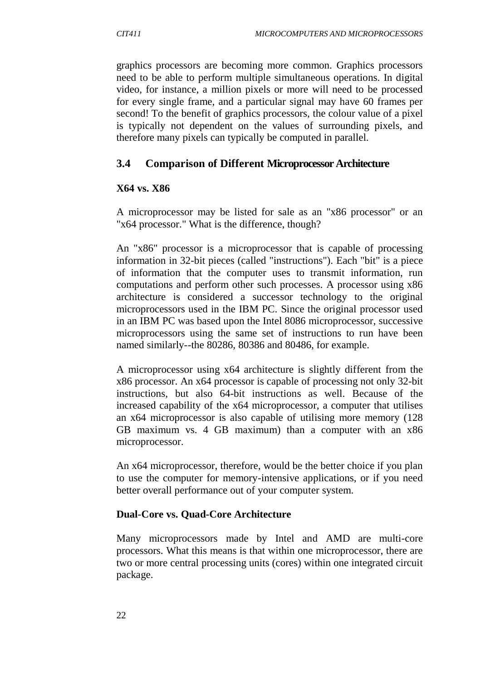graphics processors are becoming more common. Graphics processors need to be able to perform multiple simultaneous operations. In digital video, for instance, a million pixels or more will need to be processed for every single frame, and a particular signal may have 60 frames per second! To the benefit of graphics processors, the colour value of a pixel is typically not dependent on the values of surrounding pixels, and therefore many pixels can typically be computed in parallel.

# **3.4 Comparison of Different Microprocessor Architecture**

### **X64 vs. X86**

A microprocessor may be listed for sale as an "x86 processor" or an "x64 processor." What is the difference, though?

An "x86" processor is a microprocessor that is capable of processing information in 32-bit pieces (called "instructions"). Each "bit" is a piece of information that the computer uses to transmit information, run computations and perform other such processes. A processor using x86 architecture is considered a successor technology to the original microprocessors used in the IBM PC. Since the original processor used in an IBM PC was based upon the Intel 8086 microprocessor, successive microprocessors using the same set of instructions to run have been named similarly--the 80286, 80386 and 80486, for example.

A microprocessor using x64 architecture is slightly different from the x86 processor. An x64 processor is capable of processing not only 32-bit instructions, but also 64-bit instructions as well. Because of the increased capability of the x64 microprocessor, a computer that utilises an x64 microprocessor is also capable of utilising more memory (128 GB maximum vs. 4 GB maximum) than a computer with an x86 microprocessor.

An x64 microprocessor, therefore, would be the better choice if you plan to use the computer for memory-intensive applications, or if you need better overall performance out of your computer system.

### **Dual-Core vs. Quad-Core Architecture**

Many microprocessors made by Intel and AMD are multi-core processors. What this means is that within one microprocessor, there are two or more central processing units (cores) within one integrated circuit package.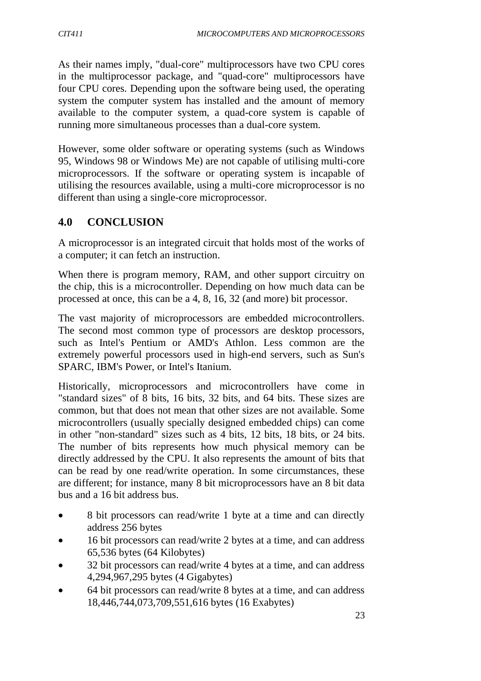As their names imply, "dual-core" multiprocessors have two CPU cores in the multiprocessor package, and "quad-core" multiprocessors have four CPU cores. Depending upon the software being used, the operating system the computer system has installed and the amount of memory available to the computer system, a quad-core system is capable of running more simultaneous processes than a dual-core system.

However, some older software or operating systems (such as Windows 95, Windows 98 or Windows Me) are not capable of utilising multi-core microprocessors. If the software or operating system is incapable of utilising the resources available, using a multi-core microprocessor is no different than using a single-core microprocessor.

# **4.0 CONCLUSION**

A microprocessor is an integrated circuit that holds most of the works of a computer; it can fetch an instruction.

When there is program memory, RAM, and other support circuitry on the chip, this is a microcontroller. Depending on how much data can be processed at once, this can be a 4, 8, 16, 32 (and more) bit processor.

The vast majority of microprocessors are embedded microcontrollers. The second most common type of processors are desktop processors, such as Intel's Pentium or AMD's Athlon. Less common are the extremely powerful processors used in high-end servers, such as Sun's SPARC, IBM's Power, or Intel's Itanium.

Historically, microprocessors and microcontrollers have come in "standard sizes" of 8 bits, 16 bits, 32 bits, and 64 bits. These sizes are common, but that does not mean that other sizes are not available. Some microcontrollers (usually specially designed embedded chips) can come in other "non-standard" sizes such as 4 bits, 12 bits, 18 bits, or 24 bits. The number of bits represents how much physical memory can be directly addressed by the CPU. It also represents the amount of bits that can be read by one read/write operation. In some circumstances, these are different; for instance, many 8 bit microprocessors have an 8 bit data bus and a 16 bit address bus.

- 8 bit processors can read/write 1 byte at a time and can directly address 256 bytes
- 16 bit processors can read/write 2 bytes at a time, and can address 65,536 bytes (64 Kilobytes)
- 32 bit processors can read/write 4 bytes at a time, and can address 4,294,967,295 bytes (4 Gigabytes)
- 64 bit processors can read/write 8 bytes at a time, and can address 18,446,744,073,709,551,616 bytes (16 Exabytes)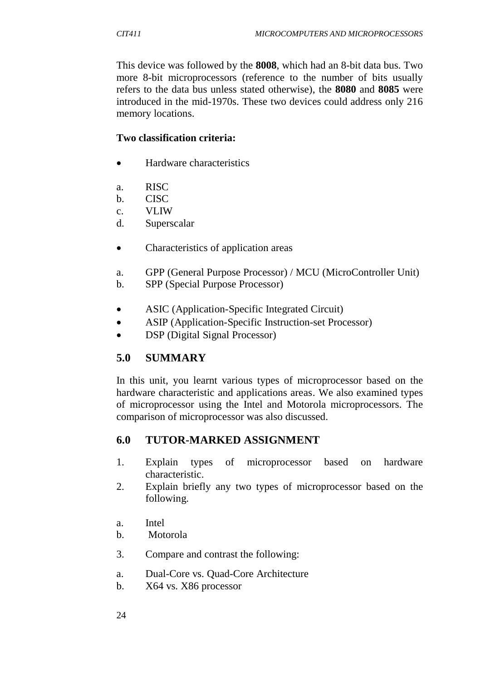This device was followed by the **8008**, which had an 8-bit data bus. Two more 8-bit microprocessors (reference to the number of bits usually refers to the data bus unless stated otherwise), the **8080** and **8085** were introduced in the mid-1970s. These two devices could address only 216 memory locations.

## **Two classification criteria:**

- Hardware characteristics
- a. RISC
- b. CISC
- c. VLIW
- d. Superscalar
- Characteristics of application areas
- a. GPP (General Purpose Processor) / MCU (MicroController Unit)
- b. SPP (Special Purpose Processor)
- ASIC (Application-Specific Integrated Circuit)
- ASIP (Application-Specific Instruction-set Processor)
- DSP (Digital Signal Processor)

# **5.0 SUMMARY**

In this unit, you learnt various types of microprocessor based on the hardware characteristic and applications areas. We also examined types of microprocessor using the Intel and Motorola microprocessors. The comparison of microprocessor was also discussed.

## **6.0 TUTOR-MARKED ASSIGNMENT**

- 1. Explain types of microprocessor based on hardware characteristic.
- 2. Explain briefly any two types of microprocessor based on the following.
- a. Intel
- b. Motorola
- 3. Compare and contrast the following:
- a. Dual-Core vs. Quad-Core Architecture
- b. X64 vs. X86 processor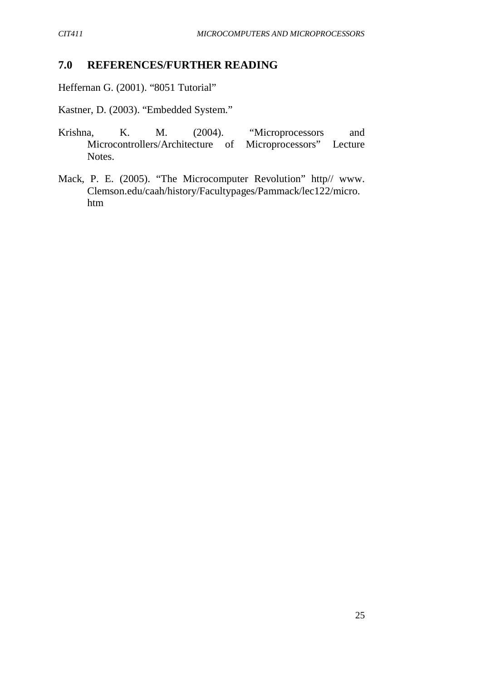# **7.0 REFERENCES/FURTHER READING**

Heffernan G. (2001). "8051 Tutorial"

Kastner, D. (2003). "Embedded System."

- Krishna, K. M. (2004). "Microprocessors and Microcontrollers/Architecture of Microprocessors" Lecture Notes.
- Mack, P. E. (2005). "The Microcomputer Revolution" http// www. Clemson.edu/caah/history/Facultypages/Pammack/lec122/micro. htm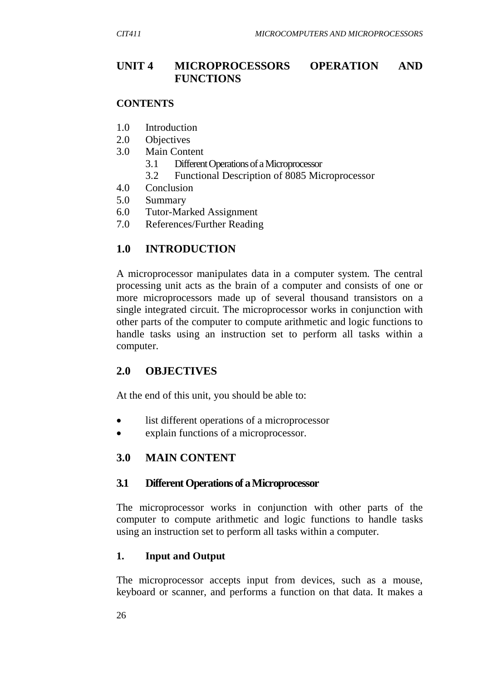## **UNIT 4 MICROPROCESSORS OPERATION AND FUNCTIONS**

#### **CONTENTS**

- 1.0 Introduction
- 2.0 Objectives
- 3.0 Main Content
	- 3.1 Different Operations of a Microprocessor
	- 3.2 Functional Description of 8085 Microprocessor
- 4.0 Conclusion
- 5.0 Summary
- 6.0 Tutor-Marked Assignment
- 7.0 References/Further Reading

## **1.0 INTRODUCTION**

A microprocessor manipulates data in a computer system. The central processing unit acts as the brain of a computer and consists of one or more microprocessors made up of several thousand transistors on a single integrated circuit. The microprocessor works in conjunction with other parts of the computer to compute arithmetic and logic functions to handle tasks using an instruction set to perform all tasks within a computer.

### **2.0 OBJECTIVES**

At the end of this unit, you should be able to:

- list different operations of a microprocessor
- explain functions of a microprocessor.

## **3.0 MAIN CONTENT**

### **3.1 Different Operations of a Microprocessor**

The microprocessor works in conjunction with other parts of the computer to compute arithmetic and logic functions to handle tasks using an instruction set to perform all tasks within a computer.

### **1. Input and Output**

The microprocessor accepts input from devices, such as a mouse, keyboard or scanner, and performs a function on that data. It makes a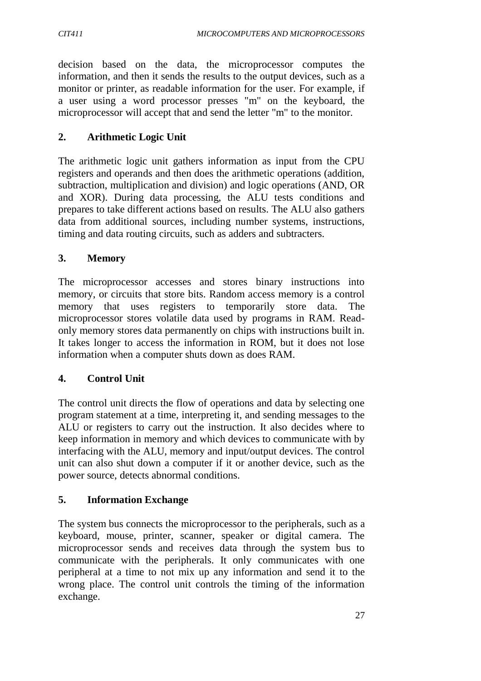decision based on the data, the microprocessor computes the information, and then it sends the results to the output devices, such as a monitor or printer, as readable information for the user. For example, if a user using a word processor presses "m" on the keyboard, the microprocessor will accept that and send the letter "m" to the monitor.

## **2. Arithmetic Logic Unit**

The arithmetic logic unit gathers information as input from the CPU registers and operands and then does the arithmetic operations (addition, subtraction, multiplication and division) and logic operations (AND, OR and XOR). During data processing, the ALU tests conditions and prepares to take different actions based on results. The ALU also gathers data from additional sources, including number systems, instructions, timing and data routing circuits, such as adders and subtracters.

## **3. Memory**

The microprocessor accesses and stores binary instructions into memory, or circuits that store bits. Random access memory is a control memory that uses registers to temporarily store data. The microprocessor stores volatile data used by programs in RAM. Readonly memory stores data permanently on chips with instructions built in. It takes longer to access the information in ROM, but it does not lose information when a computer shuts down as does RAM.

## **4. Control Unit**

The control unit directs the flow of operations and data by selecting one program statement at a time, interpreting it, and sending messages to the ALU or registers to carry out the instruction. It also decides where to keep information in memory and which devices to communicate with by interfacing with the ALU, memory and input/output devices. The control unit can also shut down a computer if it or another device, such as the power source, detects abnormal conditions.

# **5. Information Exchange**

The system bus connects the microprocessor to the peripherals, such as a keyboard, mouse, printer, scanner, speaker or digital camera. The microprocessor sends and receives data through the system bus to communicate with the peripherals. It only communicates with one peripheral at a time to not mix up any information and send it to the wrong place. The control unit controls the timing of the information exchange.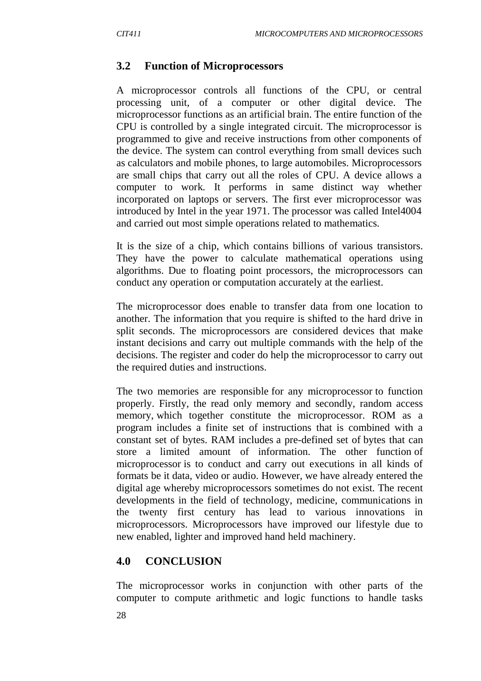## **3.2 Function of Microprocessors**

A microprocessor controls all functions of the CPU, or central processing unit, of a computer or other digital device. The microprocessor functions as an artificial brain. The entire function of the CPU is controlled by a single integrated circuit. The microprocessor is programmed to give and receive instructions from other components of the device. The system can control everything from small devices such as calculators and mobile phones, to large automobiles. Microprocessors are small chips that carry out all the roles of CPU. A device allows a computer to work. It performs in same distinct way whether incorporated on laptops or servers. The first ever microprocessor was introduced by Intel in the year 1971. The processor was called Intel4004 and carried out most simple operations related to mathematics.

It is the size of a chip, which contains billions of various transistors. They have the power to calculate mathematical operations using algorithms. Due to floating point processors, the microprocessors can conduct any operation or computation accurately at the earliest.

The microprocessor does enable to transfer data from one location to another. The information that you require is shifted to the hard drive in split seconds. The microprocessors are considered devices that make instant decisions and carry out multiple commands with the help of the decisions. The register and coder do help the microprocessor to carry out the required duties and instructions.

The two memories are responsible for any microprocessor to function properly. Firstly, the read only memory and secondly, random access memory, which together constitute the microprocessor. ROM as a program includes a finite set of instructions that is combined with a constant set of bytes. RAM includes a pre-defined set of bytes that can store a limited amount of information. The other function of microprocessor is to conduct and carry out executions in all kinds of formats be it data, video or audio. However, we have already entered the digital age whereby microprocessors sometimes do not exist. The recent developments in the field of technology, medicine, communications in the twenty first century has lead to various innovations in microprocessors. Microprocessors have improved our lifestyle due to new enabled, lighter and improved hand held machinery.

### **4.0 CONCLUSION**

The microprocessor works in conjunction with other parts of the computer to compute arithmetic and logic functions to handle tasks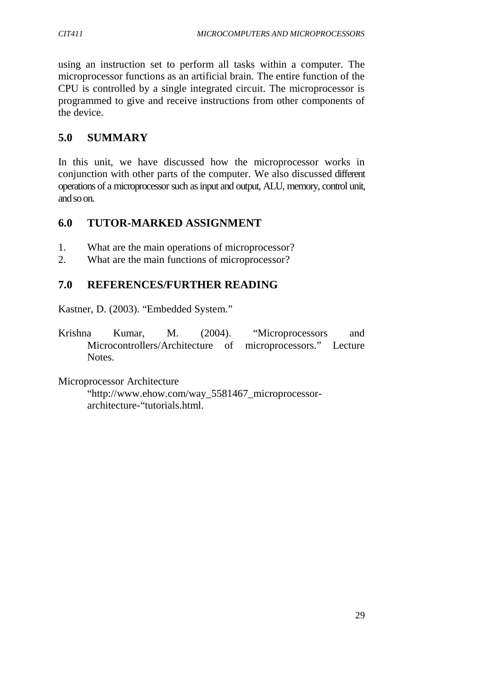using an instruction set to perform all tasks within a computer. The microprocessor functions as an artificial brain. The entire function of the CPU is controlled by a single integrated circuit. The microprocessor is programmed to give and receive instructions from other components of the device.

# **5.0 SUMMARY**

In this unit, we have discussed how the microprocessor works in conjunction with other parts of the computer. We also discussed different operations of a microprocessor such as input and output, ALU, memory, control unit, and so on.

# **6.0 TUTOR-MARKED ASSIGNMENT**

- 1. What are the main operations of microprocessor?
- 2. What are the main functions of microprocessor?

# **7.0 REFERENCES/FURTHER READING**

Kastner, D. (2003). "Embedded System."

Krishna Kumar, M. (2004). "Microprocessors and Microcontrollers/Architecture of microprocessors." Lecture Notes.

Microprocessor Architecture "http://www.ehow.com/way\_5581467\_microprocessorarchitecture-"tutorials.html.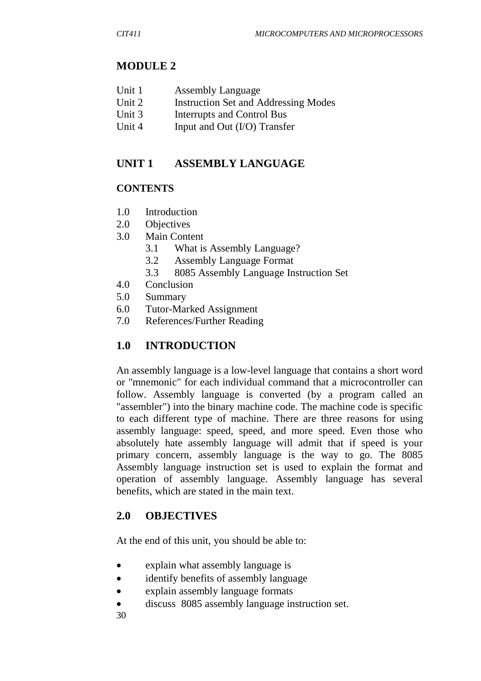# **MODULE 2**

| Unit 1 | <b>Assembly Language</b> |
|--------|--------------------------|
|--------|--------------------------|

- Unit 2 Instruction Set and Addressing Modes
- Unit 3 Interrupts and Control Bus
- Unit 4 Input and Out (I/O) Transfer

# **UNIT 1 ASSEMBLY LANGUAGE**

## **CONTENTS**

- 1.0 Introduction
- 2.0 Objectives
- 3.0 Main Content
	- 3.1 What is Assembly Language?
	- 3.2 Assembly Language Format
	- 3.3 8085 Assembly Language Instruction Set
- 4.0 Conclusion
- 5.0 Summary
- 6.0 Tutor-Marked Assignment
- 7.0 References/Further Reading

# **1.0 INTRODUCTION**

An assembly language is a low-level language that contains a short word or "mnemonic" for each individual command that a microcontroller can follow. Assembly language is converted (by a program called an "assembler") into the binary machine code. The machine code is specific to each different type of machine. There are three reasons for using assembly language: speed, speed, and more speed. Even those who absolutely hate assembly language will admit that if speed is your primary concern, assembly language is the way to go. The 8085 Assembly language instruction set is used to explain the format and operation of assembly language. Assembly language has several benefits, which are stated in the main text.

## **2.0 OBJECTIVES**

At the end of this unit, you should be able to:

- explain what assembly language is
- identify benefits of assembly language
- explain assembly language formats
- discuss 8085 assembly language instruction set.
- 30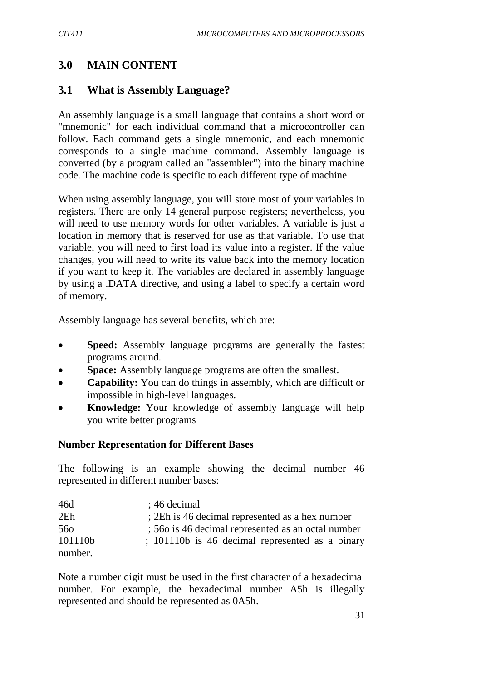## **3.0 MAIN CONTENT**

#### **3.1 What is Assembly Language?**

An assembly language is a small language that contains a short word or "mnemonic" for each individual command that a microcontroller can follow. Each command gets a single mnemonic, and each mnemonic corresponds to a single machine command. Assembly language is converted (by a program called an "assembler") into the binary machine code. The machine code is specific to each different type of machine.

When using assembly language, you will store most of your variables in registers. There are only 14 general purpose registers; nevertheless, you will need to use memory words for other variables. A variable is just a location in memory that is reserved for use as that variable. To use that variable, you will need to first load its value into a register. If the value changes, you will need to write its value back into the memory location if you want to keep it. The variables are declared in assembly language by using a .DATA directive, and using a label to specify a certain word of memory.

Assembly language has several benefits, which are:

- **Speed:** Assembly language programs are generally the fastest programs around.
- **Space:** Assembly language programs are often the smallest.
- **Capability:** You can do things in assembly, which are difficult or impossible in high-level languages.
- **Knowledge:** Your knowledge of assembly language will help you write better programs

#### **Number Representation for Different Bases**

The following is an example showing the decimal number 46 represented in different number bases:

| 46d             | $: 46$ decimal                                     |
|-----------------|----------------------------------------------------|
| 2E <sub>h</sub> | : 2Eh is 46 decimal represented as a hex number    |
| 560             | : 560 is 46 decimal represented as an octal number |
| 101110b         | ; 101110b is 46 decimal represented as a binary    |
| number.         |                                                    |

Note a number digit must be used in the first character of a hexadecimal number. For example, the hexadecimal number A5h is illegally represented and should be represented as 0A5h.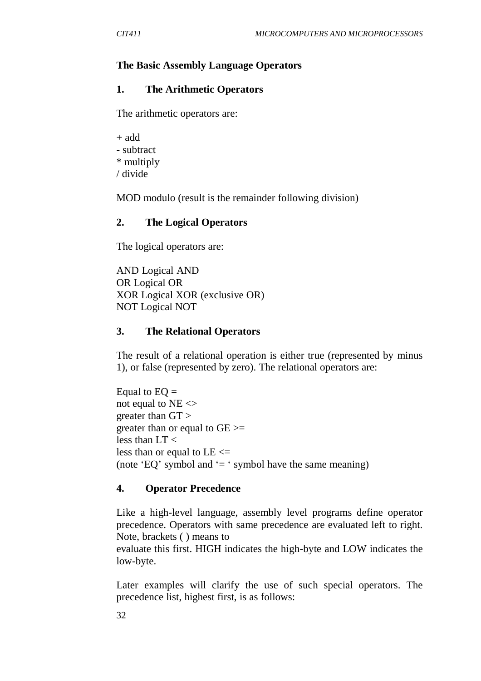#### **The Basic Assembly Language Operators**

#### **1. The Arithmetic Operators**

The arithmetic operators are:

+ add - subtract \* multiply / divide

MOD modulo (result is the remainder following division)

#### **2. The Logical Operators**

The logical operators are:

AND Logical AND OR Logical OR XOR Logical XOR (exclusive OR) NOT Logical NOT

#### **3. The Relational Operators**

The result of a relational operation is either true (represented by minus 1), or false (represented by zero). The relational operators are:

Equal to  $EQ =$ not equal to  $NE <$ greater than GT > greater than or equal to GE >= less than LT < less than or equal to  $LE \leq$ (note 'EQ' symbol and  $=$  ' symbol have the same meaning)

#### **4. Operator Precedence**

Like a high-level language, assembly level programs define operator precedence. Operators with same precedence are evaluated left to right. Note, brackets ( ) means to

evaluate this first. HIGH indicates the high-byte and LOW indicates the low-byte.

Later examples will clarify the use of such special operators. The precedence list, highest first, is as follows: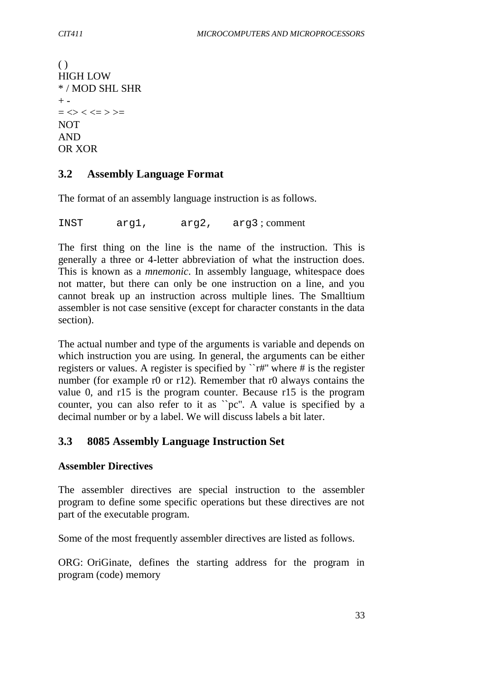```
( )
HIGH LOW
* / MOD SHL SHR
+ -= \lt \lt \lt \lt \lt \lt \gt \gt \gt \gtNOT
AND
OR XOR
```
## **3.2 Assembly Language Format**

The format of an assembly language instruction is as follows.

INST arg1, arg2, arg3 ; comment

The first thing on the line is the name of the instruction. This is generally a three or 4-letter abbreviation of what the instruction does. This is known as a *mnemonic*. In assembly language, whitespace does not matter, but there can only be one instruction on a line, and you cannot break up an instruction across multiple lines. The Smalltium assembler is not case sensitive (except for character constants in the data section).

The actual number and type of the arguments is variable and depends on which instruction you are using. In general, the arguments can be either registers or values. A register is specified by ``r#'' where # is the register number (for example r0 or r12). Remember that r0 always contains the value 0, and r15 is the program counter. Because r15 is the program counter, you can also refer to it as ``pc''. A value is specified by a decimal number or by a label. We will discuss labels a bit later.

### **3.3 8085 Assembly Language Instruction Set**

#### **Assembler Directives**

The assembler directives are special instruction to the assembler program to define some specific operations but these directives are not part of the executable program.

Some of the most frequently assembler directives are listed as follows.

ORG: OriGinate, defines the starting address for the program in program (code) memory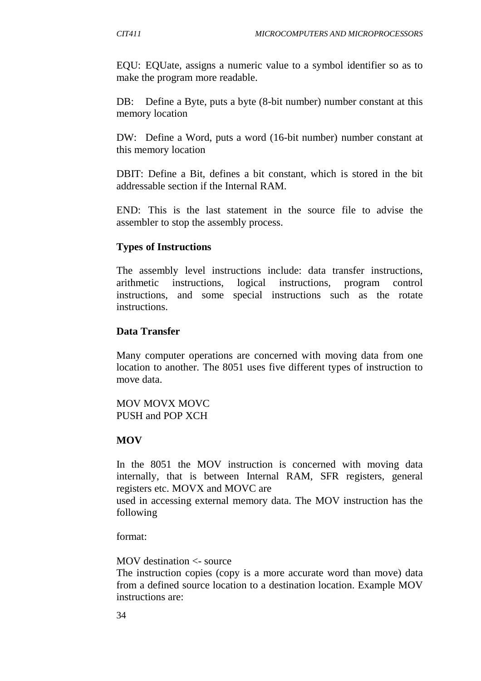EQU: EQUate, assigns a numeric value to a symbol identifier so as to make the program more readable.

DB: Define a Byte, puts a byte (8-bit number) number constant at this memory location

DW: Define a Word, puts a word (16-bit number) number constant at this memory location

DBIT: Define a Bit, defines a bit constant, which is stored in the bit addressable section if the Internal RAM.

END: This is the last statement in the source file to advise the assembler to stop the assembly process.

### **Types of Instructions**

The assembly level instructions include: data transfer instructions, arithmetic instructions, logical instructions, program control instructions, and some special instructions such as the rotate instructions.

#### **Data Transfer**

Many computer operations are concerned with moving data from one location to another. The 8051 uses five different types of instruction to move data.

MOV MOVX MOVC PUSH and POP XCH

#### **MOV**

In the 8051 the MOV instruction is concerned with moving data internally, that is between Internal RAM, SFR registers, general registers etc. MOVX and MOVC are

used in accessing external memory data. The MOV instruction has the following

format:

#### MOV destination <- source

The instruction copies (copy is a more accurate word than move) data from a defined source location to a destination location. Example MOV instructions are: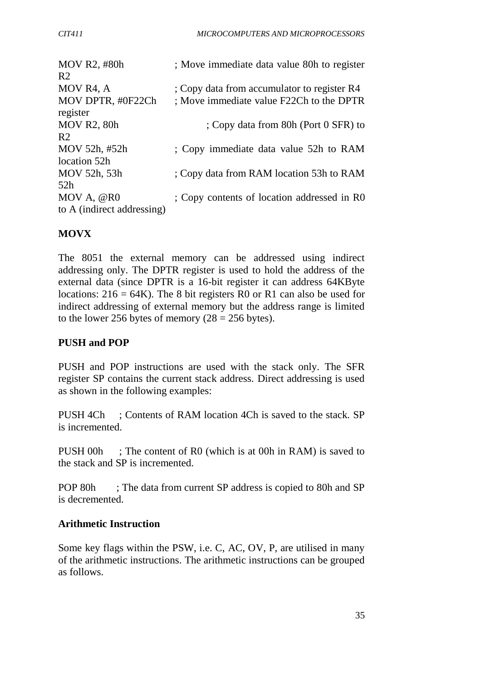| MOV R2, #80h               | ; Move immediate data value 80h to register |
|----------------------------|---------------------------------------------|
| R <sub>2</sub>             |                                             |
| MOV R4, A                  | ; Copy data from accumulator to register R4 |
| MOV DPTR, #0F22Ch          | ; Move immediate value F22Ch to the DPTR    |
| register                   |                                             |
| <b>MOV R2, 80h</b>         | ; Copy data from 80h (Port 0 SFR) to        |
| R <sub>2</sub>             |                                             |
| MOV 52h, #52h              | ; Copy immediate data value 52h to RAM      |
| location 52h               |                                             |
| MOV 52h, 53h               | ; Copy data from RAM location 53h to RAM    |
| 52h                        |                                             |
| MOV A, @R0                 | ; Copy contents of location addressed in R0 |
| to A (indirect addressing) |                                             |
|                            |                                             |

## **MOVX**

The 8051 the external memory can be addressed using indirect addressing only. The DPTR register is used to hold the address of the external data (since DPTR is a 16-bit register it can address 64KByte locations:  $216 = 64K$ ). The 8 bit registers R0 or R1 can also be used for indirect addressing of external memory but the address range is limited to the lower 256 bytes of memory  $(28 = 256$  bytes).

## **PUSH and POP**

PUSH and POP instructions are used with the stack only. The SFR register SP contains the current stack address. Direct addressing is used as shown in the following examples:

PUSH 4Ch ; Contents of RAM location 4Ch is saved to the stack. SP is incremented.

PUSH 00h ; The content of R0 (which is at 00h in RAM) is saved to the stack and SP is incremented.

POP 80h ; The data from current SP address is copied to 80h and SP is decremented.

### **Arithmetic Instruction**

Some key flags within the PSW, i.e. C, AC, OV, P, are utilised in many of the arithmetic instructions. The arithmetic instructions can be grouped as follows.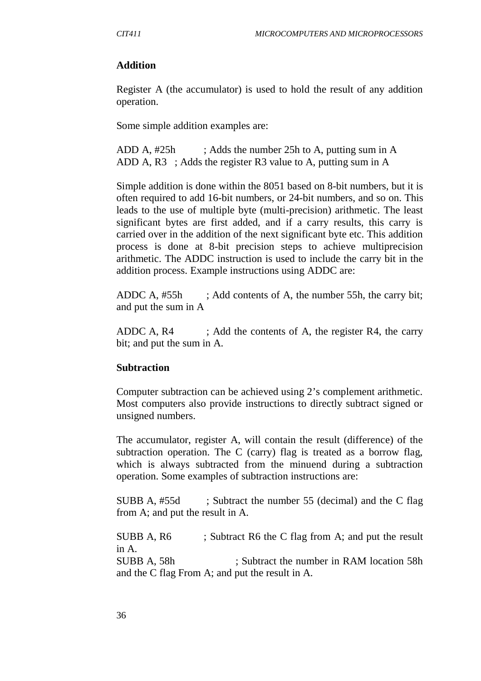#### **Addition**

Register A (the accumulator) is used to hold the result of any addition operation.

Some simple addition examples are:

ADD A, #25h ; Adds the number 25h to A, putting sum in A ADD A, R3 ; Adds the register R3 value to A, putting sum in A

Simple addition is done within the 8051 based on 8-bit numbers, but it is often required to add 16-bit numbers, or 24-bit numbers, and so on. This leads to the use of multiple byte (multi-precision) arithmetic. The least significant bytes are first added, and if a carry results, this carry is carried over in the addition of the next significant byte etc. This addition process is done at 8-bit precision steps to achieve multiprecision arithmetic. The ADDC instruction is used to include the carry bit in the addition process. Example instructions using ADDC are:

ADDC A, #55h ; Add contents of A, the number 55h, the carry bit; and put the sum in A

ADDC A,  $R4$  ; Add the contents of A, the register  $R4$ , the carry bit; and put the sum in A.

### **Subtraction**

Computer subtraction can be achieved using 2's complement arithmetic. Most computers also provide instructions to directly subtract signed or unsigned numbers.

The accumulator, register A, will contain the result (difference) of the subtraction operation. The C (carry) flag is treated as a borrow flag, which is always subtracted from the minuend during a subtraction operation. Some examples of subtraction instructions are:

SUBB A, #55d ; Subtract the number 55 (decimal) and the C flag from A; and put the result in A.

SUBB A, R6 ; Subtract R6 the C flag from A; and put the result in A. SUBB A, 58h ; Subtract the number in RAM location 58h and the C flag From A; and put the result in A.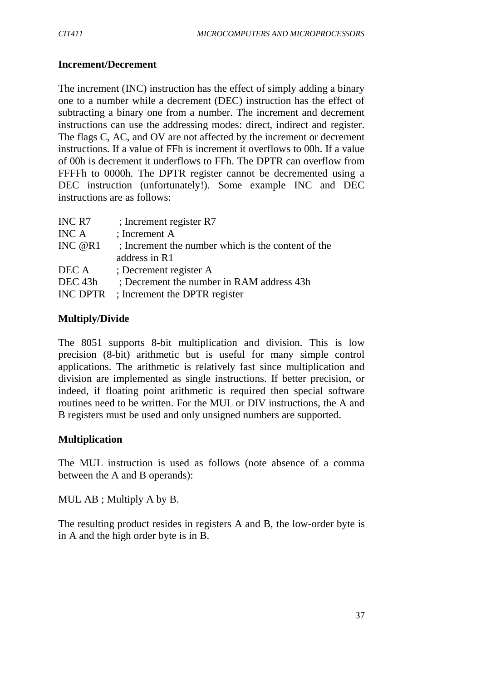## **Increment/Decrement**

The increment (INC) instruction has the effect of simply adding a binary one to a number while a decrement (DEC) instruction has the effect of subtracting a binary one from a number. The increment and decrement instructions can use the addressing modes: direct, indirect and register. The flags C, AC, and OV are not affected by the increment or decrement instructions. If a value of FFh is increment it overflows to 00h. If a value of 00h is decrement it underflows to FFh. The DPTR can overflow from FFFFh to 0000h. The DPTR register cannot be decremented using a DEC instruction (unfortunately!). Some example INC and DEC instructions are as follows:

| INC R7             | ; Increment register R7                            |
|--------------------|----------------------------------------------------|
| INC A              | ; Increment A                                      |
| INC $@R1$          | ; Increment the number which is the content of the |
|                    | address in R1                                      |
| DEC A              | ; Decrement register A                             |
| DEC <sub>43h</sub> | ; Decrement the number in RAM address 43h          |
| <b>INC DPTR</b>    | ; Increment the DPTR register                      |

### **Multiply/Divide**

The 8051 supports 8-bit multiplication and division. This is low precision (8-bit) arithmetic but is useful for many simple control applications. The arithmetic is relatively fast since multiplication and division are implemented as single instructions. If better precision, or indeed, if floating point arithmetic is required then special software routines need to be written. For the MUL or DIV instructions, the A and B registers must be used and only unsigned numbers are supported.

### **Multiplication**

The MUL instruction is used as follows (note absence of a comma between the A and B operands):

MUL AB ; Multiply A by B.

The resulting product resides in registers A and B, the low-order byte is in A and the high order byte is in B.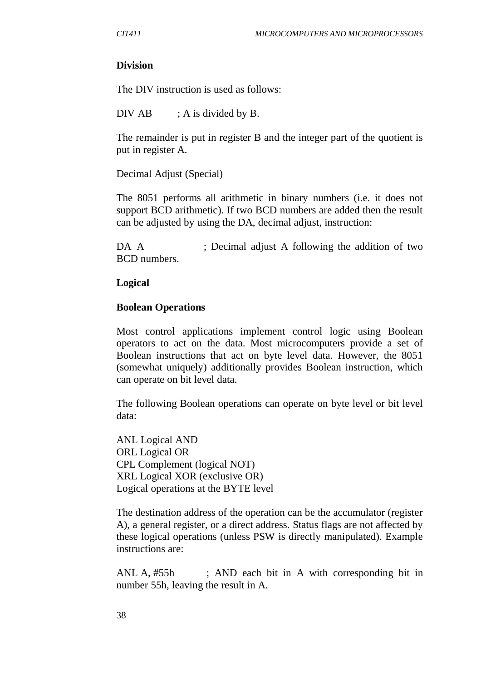#### **Division**

The DIV instruction is used as follows:

DIV AB  $; A$  is divided by B.

The remainder is put in register B and the integer part of the quotient is put in register A.

Decimal Adjust (Special)

The 8051 performs all arithmetic in binary numbers (i.e. it does not support BCD arithmetic). If two BCD numbers are added then the result can be adjusted by using the DA, decimal adjust, instruction:

DA A ; Decimal adjust A following the addition of two BCD numbers.

#### **Logical**

#### **Boolean Operations**

Most control applications implement control logic using Boolean operators to act on the data. Most microcomputers provide a set of Boolean instructions that act on byte level data. However, the 8051 (somewhat uniquely) additionally provides Boolean instruction, which can operate on bit level data.

The following Boolean operations can operate on byte level or bit level data:

ANL Logical AND ORL Logical OR CPL Complement (logical NOT) XRL Logical XOR (exclusive OR) Logical operations at the BYTE level

The destination address of the operation can be the accumulator (register A), a general register, or a direct address. Status flags are not affected by these logical operations (unless PSW is directly manipulated). Example instructions are:

ANL A, #55h ; AND each bit in A with corresponding bit in number 55h, leaving the result in A.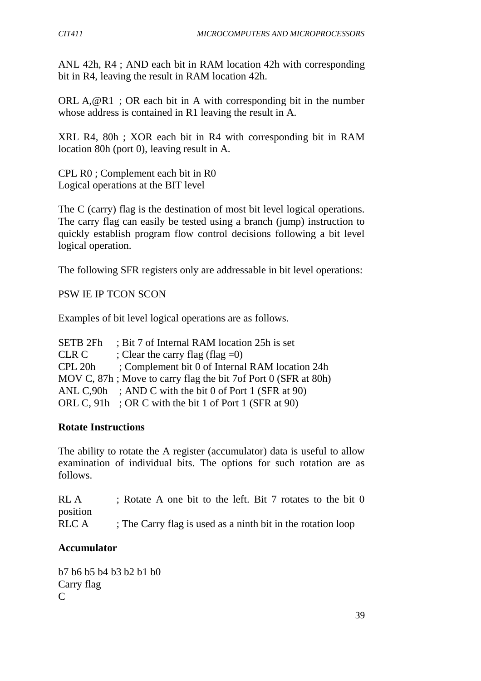ANL 42h, R4 ; AND each bit in RAM location 42h with corresponding bit in R4, leaving the result in RAM location 42h.

ORL  $A, @R1$ ; OR each bit in A with corresponding bit in the number whose address is contained in R1 leaving the result in A.

XRL R4, 80h ; XOR each bit in R4 with corresponding bit in RAM location 80h (port 0), leaving result in A.

CPL R0 ; Complement each bit in R0 Logical operations at the BIT level

The C (carry) flag is the destination of most bit level logical operations. The carry flag can easily be tested using a branch (jump) instruction to quickly establish program flow control decisions following a bit level logical operation.

The following SFR registers only are addressable in bit level operations:

PSW IE IP TCON SCON

Examples of bit level logical operations are as follows.

| <b>SETB 2Fh</b> | : Bit 7 of Internal RAM location 25h is set                    |
|-----------------|----------------------------------------------------------------|
| <b>CLR C</b>    | ; Clear the carry flag (flag $=0$ )                            |
| CPL 20h         | ; Complement bit 0 of Internal RAM location 24h                |
|                 | MOV C, 87h; Move to carry flag the bit 7of Port 0 (SFR at 80h) |
|                 | ANL C,90h ; AND C with the bit 0 of Port 1 (SFR at 90)         |
|                 | ORL C, 91h; OR C with the bit 1 of Port 1 (SFR at 90)          |

### **Rotate Instructions**

The ability to rotate the A register (accumulator) data is useful to allow examination of individual bits. The options for such rotation are as follows.

RL A ; Rotate A one bit to the left. Bit 7 rotates to the bit 0 position RLC A ; The Carry flag is used as a ninth bit in the rotation loop

### **Accumulator**

b7 b6 b5 b4 b3 b2 b1 b0 Carry flag C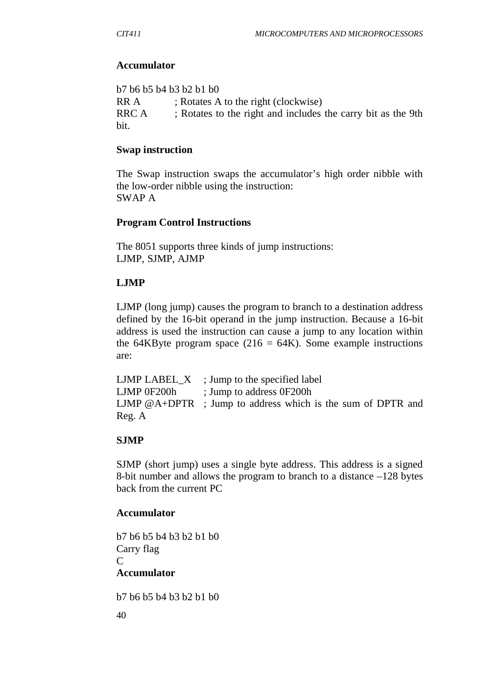### **Accumulator**

b7 b6 b5 b4 b3 b2 b1 b0 RR A ; Rotates A to the right (clockwise) RRC A ; Rotates to the right and includes the carry bit as the 9th bit.

### **Swap instruction**

The Swap instruction swaps the accumulator's high order nibble with the low-order nibble using the instruction: SWAP A

## **Program Control Instructions**

The 8051 supports three kinds of jump instructions: LJMP, SJMP, AJMP

## **LJMP**

LJMP (long jump) causes the program to branch to a destination address defined by the 16-bit operand in the jump instruction. Because a 16-bit address is used the instruction can cause a jump to any location within the 64KByte program space (216 = 64K). Some example instructions are:

LJMP  $LABEL_X$ ; Jump to the specified label LJMP 0F200h ; Jump to address 0F200h LJMP @A+DPTR ; Jump to address which is the sum of DPTR and Reg. A

### **SJMP**

SJMP (short jump) uses a single byte address. This address is a signed 8-bit number and allows the program to branch to a distance –128 bytes back from the current PC

### **Accumulator**

b7 b6 b5 b4 b3 b2 b1 b0 Carry flag C **Accumulator**

b7 b6 b5 b4 b3 b2 b1 b0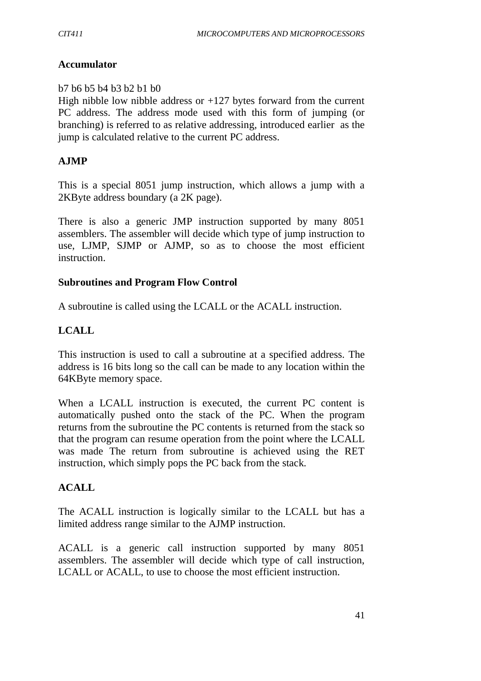### **Accumulator**

#### b7 b6 b5 b4 b3 b2 b1 b0

High nibble low nibble address or  $+127$  bytes forward from the current PC address. The address mode used with this form of jumping (or branching) is referred to as relative addressing, introduced earlier as the jump is calculated relative to the current PC address.

### **AJMP**

This is a special 8051 jump instruction, which allows a jump with a 2KByte address boundary (a 2K page).

There is also a generic JMP instruction supported by many 8051 assemblers. The assembler will decide which type of jump instruction to use, LJMP, SJMP or AJMP, so as to choose the most efficient instruction.

#### **Subroutines and Program Flow Control**

A subroutine is called using the LCALL or the ACALL instruction.

### **LCALL**

This instruction is used to call a subroutine at a specified address. The address is 16 bits long so the call can be made to any location within the 64KByte memory space.

When a LCALL instruction is executed, the current PC content is automatically pushed onto the stack of the PC. When the program returns from the subroutine the PC contents is returned from the stack so that the program can resume operation from the point where the LCALL was made The return from subroutine is achieved using the RET instruction, which simply pops the PC back from the stack.

### **ACALL**

The ACALL instruction is logically similar to the LCALL but has a limited address range similar to the AJMP instruction.

ACALL is a generic call instruction supported by many 8051 assemblers. The assembler will decide which type of call instruction, LCALL or ACALL, to use to choose the most efficient instruction.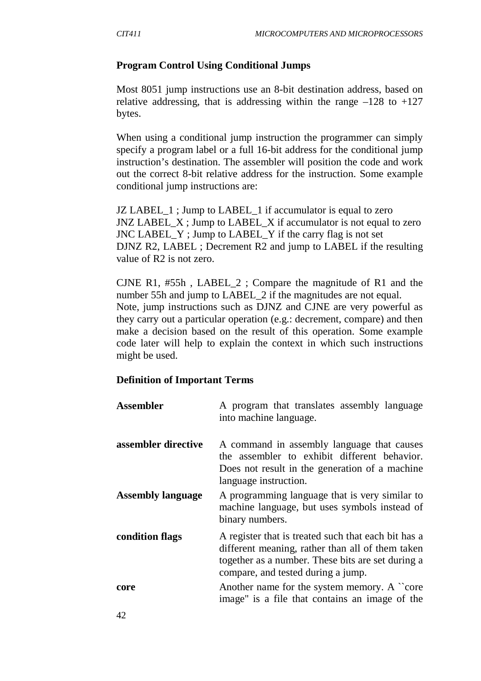#### **Program Control Using Conditional Jumps**

Most 8051 jump instructions use an 8-bit destination address, based on relative addressing, that is addressing within the range  $-128$  to  $+127$ bytes.

When using a conditional jump instruction the programmer can simply specify a program label or a full 16-bit address for the conditional jump instruction's destination. The assembler will position the code and work out the correct 8-bit relative address for the instruction. Some example conditional jump instructions are:

JZ LABEL 1; Jump to LABEL 1 if accumulator is equal to zero JNZ LABEL\_X ; Jump to LABEL\_X if accumulator is not equal to zero JNC LABEL\_Y ; Jump to LABEL\_Y if the carry flag is not set DJNZ R2, LABEL ; Decrement R2 and jump to LABEL if the resulting value of R2 is not zero.

CJNE R1, #55h , LABEL\_2 ; Compare the magnitude of R1 and the number 55h and jump to LABEL\_2 if the magnitudes are not equal. Note, jump instructions such as DJNZ and CJNE are very powerful as they carry out a particular operation (e.g.: decrement, compare) and then make a decision based on the result of this operation. Some example code later will help to explain the context in which such instructions might be used.

#### **Definition of Important Terms**

| <b>Assembler</b>         | A program that translates assembly language<br>into machine language.                                                                                                                              |
|--------------------------|----------------------------------------------------------------------------------------------------------------------------------------------------------------------------------------------------|
| assembler directive      | A command in assembly language that causes<br>the assembler to exhibit different behavior.<br>Does not result in the generation of a machine<br>language instruction.                              |
| <b>Assembly language</b> | A programming language that is very similar to<br>machine language, but uses symbols instead of<br>binary numbers.                                                                                 |
| condition flags          | A register that is treated such that each bit has a<br>different meaning, rather than all of them taken<br>together as a number. These bits are set during a<br>compare, and tested during a jump. |
| core                     | Another name for the system memory. A "core"<br>image" is a file that contains an image of the                                                                                                     |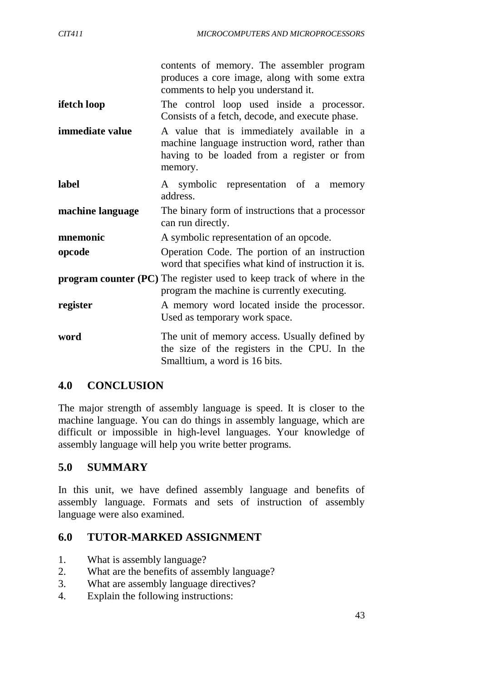|                  | contents of memory. The assembler program                                                                                                              |
|------------------|--------------------------------------------------------------------------------------------------------------------------------------------------------|
|                  | produces a core image, along with some extra<br>comments to help you understand it.                                                                    |
| ifetch loop      | The control loop used inside a processor.<br>Consists of a fetch, decode, and execute phase.                                                           |
| immediate value  | A value that is immediately available in a<br>machine language instruction word, rather than<br>having to be loaded from a register or from<br>memory. |
| label            | A symbolic representation of a memory<br>address.                                                                                                      |
| machine language | The binary form of instructions that a processor<br>can run directly.                                                                                  |
| mnemonic         | A symbolic representation of an opcode.                                                                                                                |
| opcode           | Operation Code. The portion of an instruction<br>word that specifies what kind of instruction it is.                                                   |
|                  | <b>program counter (PC)</b> The register used to keep track of where in the<br>program the machine is currently executing.                             |
| register         | A memory word located inside the processor.<br>Used as temporary work space.                                                                           |
| word             | The unit of memory access. Usually defined by<br>the size of the registers in the CPU. In the<br>Smalltium, a word is 16 bits.                         |

## **4.0 CONCLUSION**

The major strength of assembly language is speed. It is closer to the machine language. You can do things in assembly language, which are difficult or impossible in high-level languages. Your knowledge of assembly language will help you write better programs.

## **5.0 SUMMARY**

In this unit, we have defined assembly language and benefits of assembly language. Formats and sets of instruction of assembly language were also examined.

### **6.0 TUTOR-MARKED ASSIGNMENT**

- 1. What is assembly language?
- 2. What are the benefits of assembly language?
- 3. What are assembly language directives?
- 4. Explain the following instructions: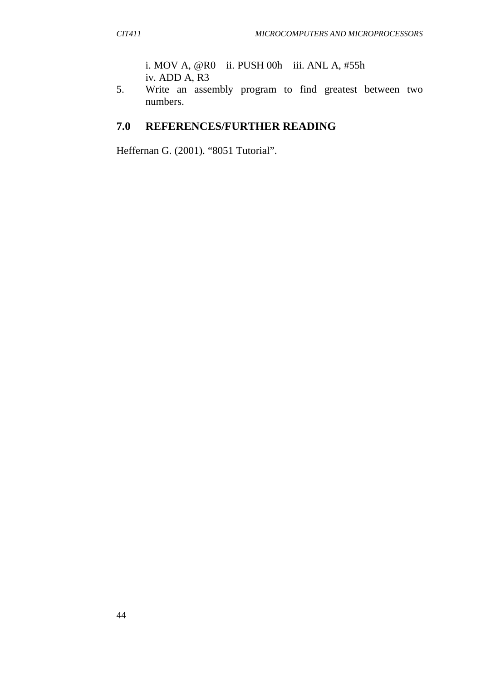i. MOV A, @R0 ii. PUSH 00h iii. ANL A, #55h iv. ADD A, R3

5. Write an assembly program to find greatest between two numbers.

## **7.0 REFERENCES/FURTHER READING**

Heffernan G. (2001). "8051 Tutorial".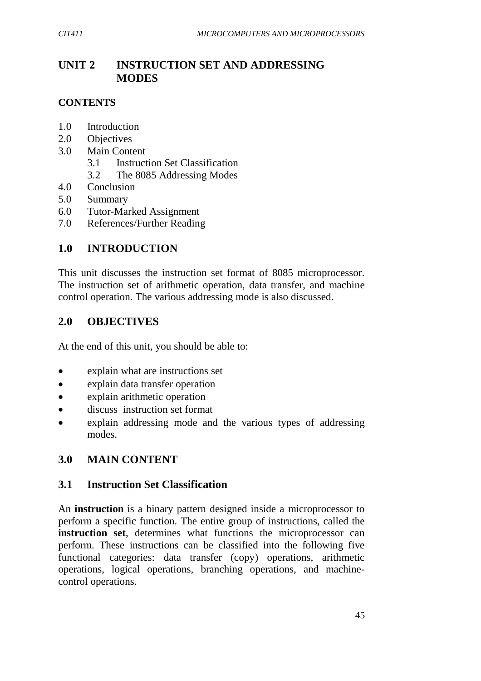# **UNIT 2 INSTRUCTION SET AND ADDRESSING MODES**

## **CONTENTS**

- 1.0 Introduction
- 2.0 Objectives
- 3.0 Main Content
	- 3.1 Instruction Set Classification
	- 3.2 The 8085 Addressing Modes
- 4.0 Conclusion
- 5.0 Summary
- 6.0 Tutor-Marked Assignment
- 7.0 References/Further Reading

## **1.0 INTRODUCTION**

This unit discusses the instruction set format of 8085 microprocessor. The instruction set of arithmetic operation, data transfer, and machine control operation. The various addressing mode is also discussed.

## **2.0 OBJECTIVES**

At the end of this unit, you should be able to:

- explain what are instructions set
- explain data transfer operation
- explain arithmetic operation
- discuss instruction set format
- explain addressing mode and the various types of addressing modes.

# **3.0 MAIN CONTENT**

## **3.1 Instruction Set Classification**

An **instruction** is a binary pattern designed inside a microprocessor to perform a specific function. The entire group of instructions, called the **instruction set**, determines what functions the microprocessor can perform. These instructions can be classified into the following five functional categories: data transfer (copy) operations, arithmetic operations, logical operations, branching operations, and machinecontrol operations.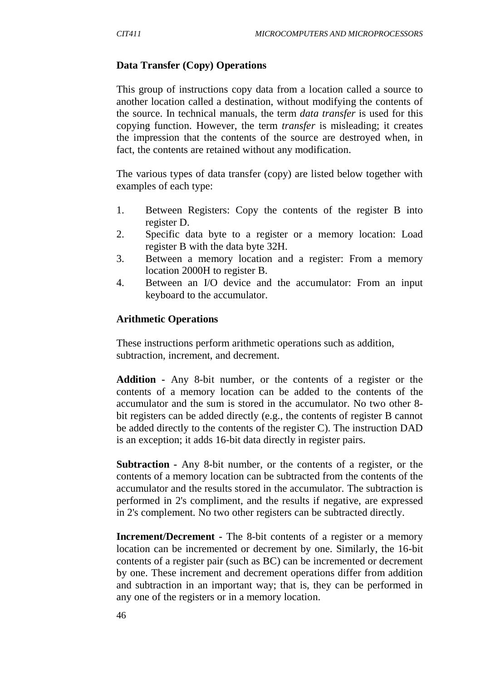### **Data Transfer (Copy) Operations**

This group of instructions copy data from a location called a source to another location called a destination, without modifying the contents of the source. In technical manuals, the term *data transfer* is used for this copying function. However, the term *transfer* is misleading; it creates the impression that the contents of the source are destroyed when, in fact, the contents are retained without any modification.

The various types of data transfer (copy) are listed below together with examples of each type:

- 1. Between Registers: Copy the contents of the register B into register D.
- 2. Specific data byte to a register or a memory location: Load register B with the data byte 32H.
- 3. Between a memory location and a register: From a memory location 2000H to register B.
- 4. Between an I/O device and the accumulator: From an input keyboard to the accumulator.

## **Arithmetic Operations**

These instructions perform arithmetic operations such as addition, subtraction, increment, and decrement.

**Addition -** Any 8-bit number, or the contents of a register or the contents of a memory location can be added to the contents of the accumulator and the sum is stored in the accumulator. No two other 8 bit registers can be added directly (e.g., the contents of register B cannot be added directly to the contents of the register C). The instruction DAD is an exception; it adds 16-bit data directly in register pairs.

**Subtraction -** Any 8-bit number, or the contents of a register, or the contents of a memory location can be subtracted from the contents of the accumulator and the results stored in the accumulator. The subtraction is performed in 2's compliment, and the results if negative, are expressed in 2's complement. No two other registers can be subtracted directly.

**Increment/Decrement -** The 8-bit contents of a register or a memory location can be incremented or decrement by one. Similarly, the 16-bit contents of a register pair (such as BC) can be incremented or decrement by one. These increment and decrement operations differ from addition and subtraction in an important way; that is, they can be performed in any one of the registers or in a memory location.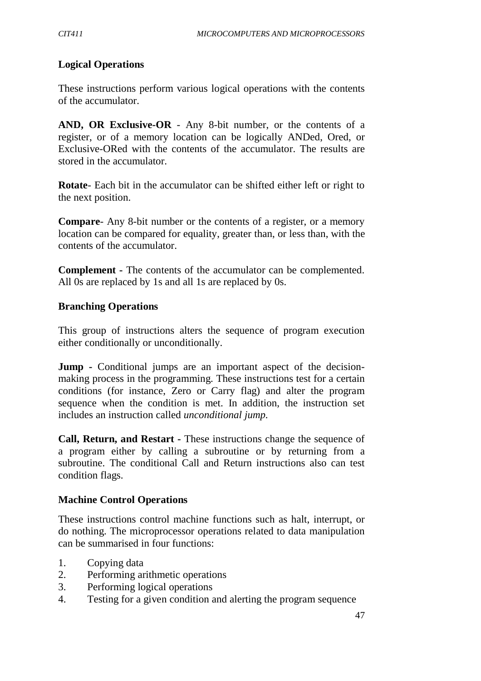## **Logical Operations**

These instructions perform various logical operations with the contents of the accumulator.

**AND, OR Exclusive-OR** - Any 8-bit number, or the contents of a register, or of a memory location can be logically ANDed, Ored, or Exclusive-ORed with the contents of the accumulator. The results are stored in the accumulator.

**Rotate**- Each bit in the accumulator can be shifted either left or right to the next position.

**Compare**- Any 8-bit number or the contents of a register, or a memory location can be compared for equality, greater than, or less than, with the contents of the accumulator.

**Complement -** The contents of the accumulator can be complemented. All 0s are replaced by 1s and all 1s are replaced by 0s.

### **Branching Operations**

This group of instructions alters the sequence of program execution either conditionally or unconditionally.

**Jump** - Conditional jumps are an important aspect of the decisionmaking process in the programming. These instructions test for a certain conditions (for instance, Zero or Carry flag) and alter the program sequence when the condition is met. In addition, the instruction set includes an instruction called *unconditional jump.*

**Call, Return, and Restart -** These instructions change the sequence of a program either by calling a subroutine or by returning from a subroutine. The conditional Call and Return instructions also can test condition flags.

### **Machine Control Operations**

These instructions control machine functions such as halt, interrupt, or do nothing. The microprocessor operations related to data manipulation can be summarised in four functions:

- 1. Copying data
- 2. Performing arithmetic operations
- 3. Performing logical operations
- 4. Testing for a given condition and alerting the program sequence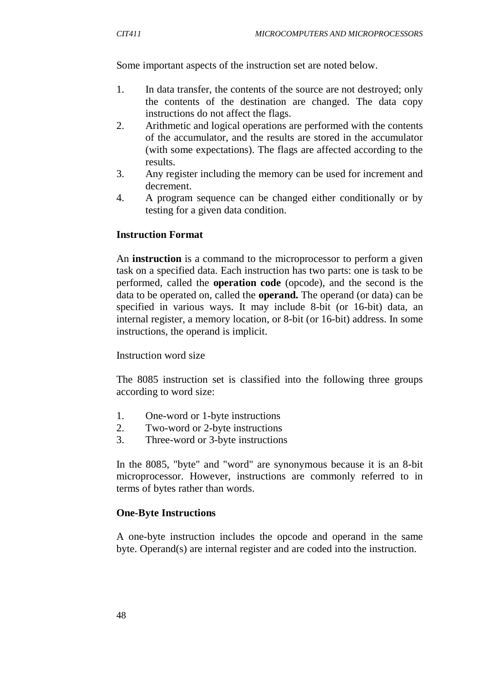Some important aspects of the instruction set are noted below.

- 1. In data transfer, the contents of the source are not destroyed; only the contents of the destination are changed. The data copy instructions do not affect the flags.
- 2. Arithmetic and logical operations are performed with the contents of the accumulator, and the results are stored in the accumulator (with some expectations). The flags are affected according to the results.
- 3. Any register including the memory can be used for increment and decrement.
- 4. A program sequence can be changed either conditionally or by testing for a given data condition.

### **Instruction Format**

An **instruction** is a command to the microprocessor to perform a given task on a specified data. Each instruction has two parts: one is task to be performed, called the **operation code** (opcode), and the second is the data to be operated on, called the **operand.** The operand (or data) can be specified in various ways. It may include 8-bit (or 16-bit) data, an internal register, a memory location, or 8-bit (or 16-bit) address. In some instructions, the operand is implicit.

#### Instruction word size

The 8085 instruction set is classified into the following three groups according to word size:

- 1. One-word or 1-byte instructions
- 2. Two-word or 2-byte instructions
- 3. Three-word or 3-byte instructions

In the 8085, "byte" and "word" are synonymous because it is an 8-bit microprocessor. However, instructions are commonly referred to in terms of bytes rather than words.

### **One-Byte Instructions**

A one-byte instruction includes the opcode and operand in the same byte. Operand(s) are internal register and are coded into the instruction.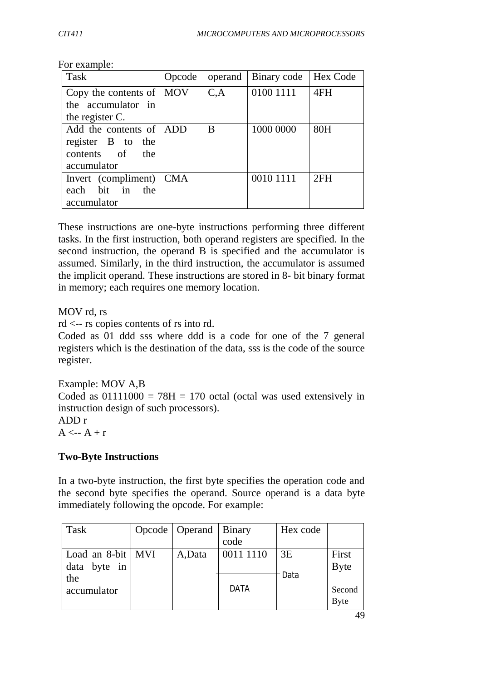| Task                       | Opcode |      | operand   Binary code | Hex Code |
|----------------------------|--------|------|-----------------------|----------|
| Copy the contents of   MOV |        | C, A | 0100 1111             | 4FH      |
| the accumulator in         |        |      |                       |          |
| the register C.            |        |      |                       |          |
| Add the contents of ADD    |        | B    | 1000 0000             | 80H      |
| register B to the          |        |      |                       |          |
| contents of the            |        |      |                       |          |
| accumulator                |        |      |                       |          |
| Invert (compliment)   CMA  |        |      | 0010 1111             | 2FH      |
| each bit in the            |        |      |                       |          |
| accumulator                |        |      |                       |          |

For example:

These instructions are one-byte instructions performing three different tasks. In the first instruction, both operand registers are specified. In the second instruction, the operand B is specified and the accumulator is assumed. Similarly, in the third instruction, the accumulator is assumed the implicit operand. These instructions are stored in 8- bit binary format in memory; each requires one memory location.

MOV rd, rs

rd <-- rs copies contents of rs into rd.

Coded as 01 ddd sss where ddd is a code for one of the 7 general registers which is the destination of the data, sss is the code of the source register.

Example: MOV A,B Coded as  $01111000 = 78H = 170$  octal (octal was used extensively in instruction design of such processors). ADD r

 $A \leftarrow A + r$ 

#### **Two-Byte Instructions**

In a two-byte instruction, the first byte specifies the operation code and the second byte specifies the operand. Source operand is a data byte immediately following the opcode. For example:

| Task                | Opcode   Operand   Binary |             | Hex code |             |
|---------------------|---------------------------|-------------|----------|-------------|
|                     |                           | code        |          |             |
| Load an 8-bit   MVI | A, Data                   | 0011 1110   | 3E       | First       |
| data byte in        |                           |             |          | <b>Byte</b> |
| the                 |                           |             | Data     |             |
| accumulator         |                           | <b>DATA</b> |          | Second      |
|                     |                           |             |          | <b>Byte</b> |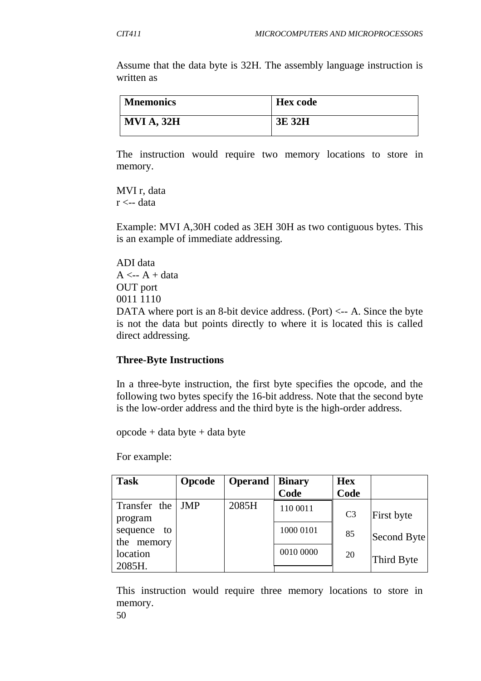Assume that the data byte is 32H. The assembly language instruction is written as

| <b>Mnemonics</b>  | <b>Hex</b> code |
|-------------------|-----------------|
| <b>MVI A, 32H</b> | 3E 32H          |

The instruction would require two memory locations to store in memory.

MVI r, data  $r < -$  data

Example: MVI A,30H coded as 3EH 30H as two contiguous bytes. This is an example of immediate addressing.

ADI data  $A \leftarrow A + data$ OUT port 0011 1110 DATA where port is an 8-bit device address. (Port)  $\leq$  - A. Since the byte is not the data but points directly to where it is located this is called direct addressing.

#### **Three-Byte Instructions**

In a three-byte instruction, the first byte specifies the opcode, and the following two bytes specify the 16-bit address. Note that the second byte is the low-order address and the third byte is the high-order address.

opcode + data byte + data byte

For example:

| <b>Task</b>    | Opcode | <b>Operand</b> | <b>Binary</b> | <b>Hex</b>     |             |
|----------------|--------|----------------|---------------|----------------|-------------|
|                |        |                | Code          | Code           |             |
| Transfer the   | JMP    | 2085H          | 110 0011      |                |             |
| program        |        |                |               | C <sub>3</sub> | First byte  |
| sequence<br>to |        |                | 1000 0101     | 85             |             |
| the memory     |        |                |               |                | Second Byte |
| location       |        |                | 0010 0000     | 20             |             |
| 2085H.         |        |                |               |                | Third Byte  |

This instruction would require three memory locations to store in memory.

50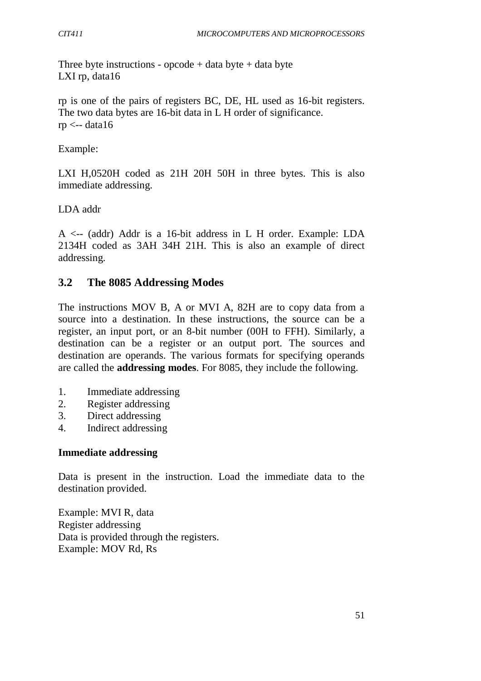Three byte instructions - opcode  $+$  data byte  $+$  data byte LXI rp, data16

rp is one of the pairs of registers BC, DE, HL used as 16-bit registers. The two data bytes are 16-bit data in L H order of significance.  $rp \leftarrow data16$ 

Example:

LXI H,0520H coded as 21H 20H 50H in three bytes. This is also immediate addressing.

LDA addr

A <-- (addr) Addr is a 16-bit address in L H order. Example: LDA 2134H coded as 3AH 34H 21H. This is also an example of direct addressing.

## **3.2 The 8085 Addressing Modes**

The instructions MOV B, A or MVI A, 82H are to copy data from a source into a destination. In these instructions, the source can be a register, an input port, or an 8-bit number (00H to FFH). Similarly, a destination can be a register or an output port. The sources and destination are operands. The various formats for specifying operands are called the **addressing modes**. For 8085, they include the following.

- 1. Immediate addressing
- 2. Register addressing
- 3. Direct addressing
- 4. Indirect addressing

### **Immediate addressing**

Data is present in the instruction. Load the immediate data to the destination provided.

Example: MVI R, data Register addressing Data is provided through the registers. Example: MOV Rd, Rs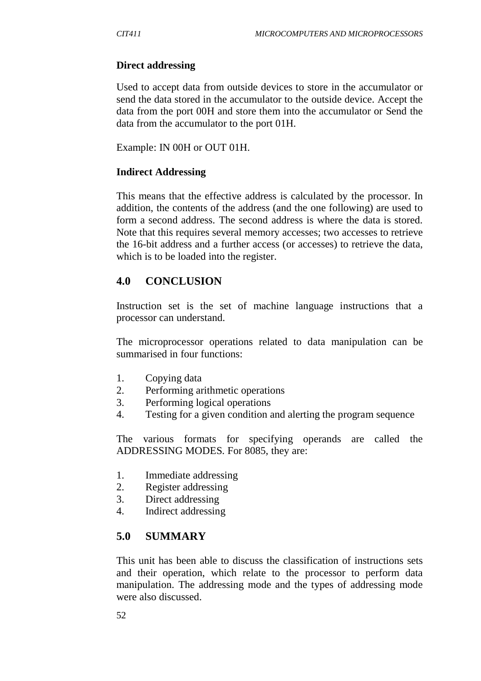#### **Direct addressing**

Used to accept data from outside devices to store in the accumulator or send the data stored in the accumulator to the outside device. Accept the data from the port 00H and store them into the accumulator or Send the data from the accumulator to the port 01H.

Example: IN 00H or OUT 01H.

#### **Indirect Addressing**

This means that the effective address is calculated by the processor. In addition, the contents of the address (and the one following) are used to form a second address. The second address is where the data is stored. Note that this requires several memory accesses; two accesses to retrieve the 16-bit address and a further access (or accesses) to retrieve the data, which is to be loaded into the register.

## **4.0 CONCLUSION**

Instruction set is the set of machine language instructions that a processor can understand.

The microprocessor operations related to data manipulation can be summarised in four functions:

- 1. Copying data
- 2. Performing arithmetic operations
- 3. Performing logical operations
- 4. Testing for a given condition and alerting the program sequence

The various formats for specifying operands are called the ADDRESSING MODES. For 8085, they are:

- 1. Immediate addressing
- 2. Register addressing
- 3. Direct addressing
- 4. Indirect addressing

### **5.0 SUMMARY**

This unit has been able to discuss the classification of instructions sets and their operation, which relate to the processor to perform data manipulation. The addressing mode and the types of addressing mode were also discussed.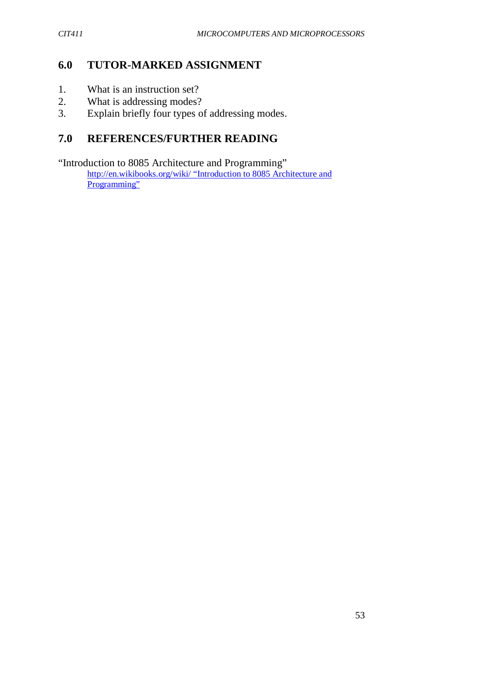## **6.0 TUTOR-MARKED ASSIGNMENT**

- 1. What is an instruction set?
- 2. What is addressing modes?<br>3. Explain briefly four types of
- Explain briefly four types of addressing modes.

# **7.0 REFERENCES/FURTHER READING**

"Introduction to 8085 Architecture and Programming" http://en.wikibooks.org/wiki/ "Introduction to 8085 Architecture and Programming"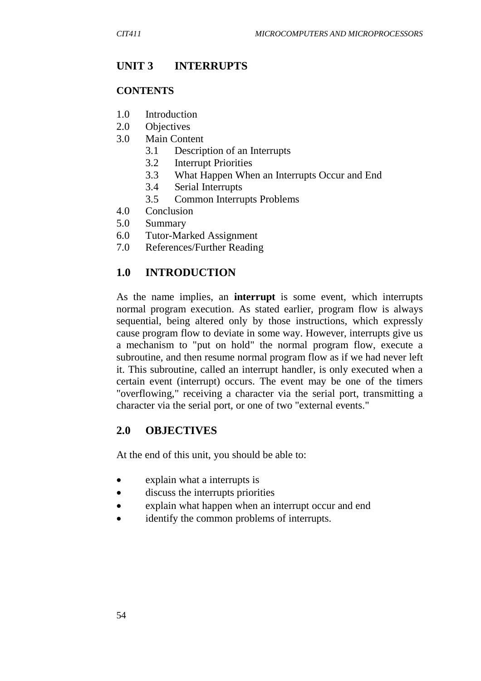## **UNIT 3 INTERRUPTS**

#### **CONTENTS**

- 1.0 Introduction
- 2.0 Objectives
- 3.0 Main Content
	- 3.1 Description of an Interrupts
	- 3.2 Interrupt Priorities
	- 3.3 What Happen When an Interrupts Occur and End
	- 3.4 Serial Interrupts
	- 3.5 Common Interrupts Problems
- 4.0 Conclusion
- 5.0 Summary
- 6.0 Tutor-Marked Assignment
- 7.0 References/Further Reading

## **1.0 INTRODUCTION**

As the name implies, an **interrupt** is some event, which interrupts normal program execution. As stated earlier, program flow is always sequential, being altered only by those instructions, which expressly cause program flow to deviate in some way. However, interrupts give us a mechanism to "put on hold" the normal program flow, execute a subroutine, and then resume normal program flow as if we had never left it. This subroutine, called an interrupt handler, is only executed when a certain event (interrupt) occurs. The event may be one of the timers "overflowing," receiving a character via the serial port, transmitting a character via the serial port, or one of two "external events."

### **2.0 OBJECTIVES**

At the end of this unit, you should be able to:

- explain what a interrupts is
- discuss the interrupts priorities
- explain what happen when an interrupt occur and end
- identify the common problems of interrupts.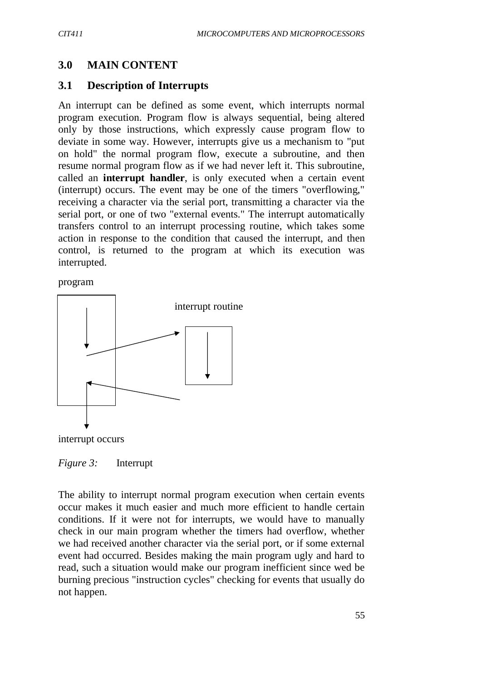### **3.0 MAIN CONTENT**

#### **3.1 Description of Interrupts**

An interrupt can be defined as some event, which interrupts normal program execution. Program flow is always sequential, being altered only by those instructions, which expressly cause program flow to deviate in some way. However, interrupts give us a mechanism to "put on hold" the normal program flow, execute a subroutine, and then resume normal program flow as if we had never left it. This subroutine, called an **interrupt handler**, is only executed when a certain event (interrupt) occurs. The event may be one of the timers "overflowing," receiving a character via the serial port, transmitting a character via the serial port, or one of two "external events." The interrupt automatically transfers control to an interrupt processing routine, which takes some action in response to the condition that caused the interrupt, and then control, is returned to the program at which its execution was interrupted.

program



interrupt occurs

*Figure 3:* Interrupt

The ability to interrupt normal program execution when certain events occur makes it much easier and much more efficient to handle certain conditions. If it were not for interrupts, we would have to manually check in our main program whether the timers had overflow, whether we had received another character via the serial port, or if some external event had occurred. Besides making the main program ugly and hard to read, such a situation would make our program inefficient since wed be burning precious "instruction cycles" checking for events that usually do not happen.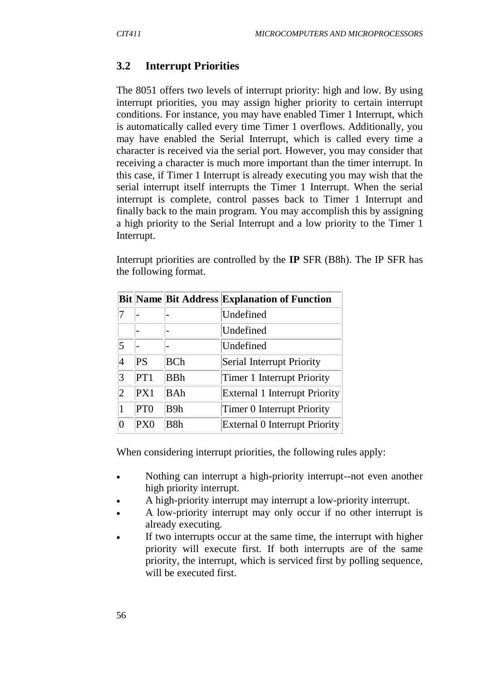## **3.2 Interrupt Priorities**

The 8051 offers two levels of interrupt priority: high and low. By using interrupt priorities, you may assign higher priority to certain interrupt conditions. For instance, you may have enabled Timer 1 Interrupt, which is automatically called every time Timer 1 overflows. Additionally, you may have enabled the Serial Interrupt, which is called every time a character is received via the serial port. However, you may consider that receiving a character is much more important than the timer interrupt. In this case, if Timer 1 Interrupt is already executing you may wish that the serial interrupt itself interrupts the Timer 1 Interrupt. When the serial interrupt is complete, control passes back to Timer 1 Interrupt and finally back to the main program. You may accomplish this by assigning a high priority to the Serial Interrupt and a low priority to the Timer 1 Interrupt.

Interrupt priorities are controlled by the **IP** SFR (B8h). The IP SFR has the following format.

|                |                 |            | <b>Bit Name Bit Address Explanation of Function</b> |
|----------------|-----------------|------------|-----------------------------------------------------|
|                |                 |            | Undefined                                           |
|                |                 |            | Undefined                                           |
| $\overline{5}$ |                 |            | Undefined                                           |
| 4              | <b>PS</b>       | <b>BCh</b> | Serial Interrupt Priority                           |
| 3              | PT1             | <b>BBh</b> | Timer 1 Interrupt Priority                          |
| 2              | PX1             | <b>BAh</b> | <b>External 1 Interrupt Priority</b>                |
| 1              | PT <sub>0</sub> | B9h        | Timer 0 Interrupt Priority                          |
| 0              | PX <sub>0</sub> | B8h        | <b>External 0 Interrupt Priority</b>                |

When considering interrupt priorities, the following rules apply:

- Nothing can interrupt a high-priority interrupt--not even another high priority interrupt.
- A high-priority interrupt may interrupt a low-priority interrupt.
- A low-priority interrupt may only occur if no other interrupt is already executing.
- If two interrupts occur at the same time, the interrupt with higher priority will execute first. If both interrupts are of the same priority, the interrupt, which is serviced first by polling sequence, will be executed first.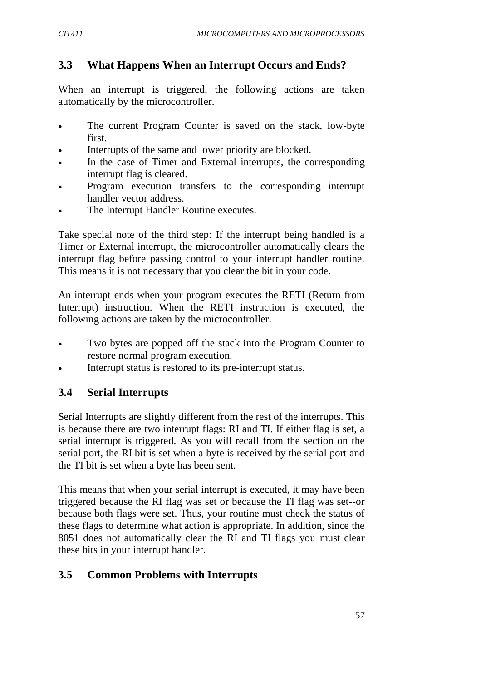# **3.3 What Happens When an Interrupt Occurs and Ends?**

When an interrupt is triggered, the following actions are taken automatically by the microcontroller.

- The current Program Counter is saved on the stack, low-byte first.
- Interrupts of the same and lower priority are blocked.
- In the case of Timer and External interrupts, the corresponding interrupt flag is cleared.
- Program execution transfers to the corresponding interrupt handler vector address.
- The Interrupt Handler Routine executes.

Take special note of the third step: If the interrupt being handled is a Timer or External interrupt, the microcontroller automatically clears the interrupt flag before passing control to your interrupt handler routine. This means it is not necessary that you clear the bit in your code.

An interrupt ends when your program executes the RETI (Return from Interrupt) instruction. When the RETI instruction is executed, the following actions are taken by the microcontroller.

- Two bytes are popped off the stack into the Program Counter to restore normal program execution.
- Interrupt status is restored to its pre-interrupt status.

## **3.4 Serial Interrupts**

Serial Interrupts are slightly different from the rest of the interrupts. This is because there are two interrupt flags: RI and TI. If either flag is set, a serial interrupt is triggered. As you will recall from the section on the serial port, the RI bit is set when a byte is received by the serial port and the TI bit is set when a byte has been sent.

This means that when your serial interrupt is executed, it may have been triggered because the RI flag was set or because the TI flag was set--or because both flags were set. Thus, your routine must check the status of these flags to determine what action is appropriate. In addition, since the 8051 does not automatically clear the RI and TI flags you must clear these bits in your interrupt handler.

# **3.5 Common Problems with Interrupts**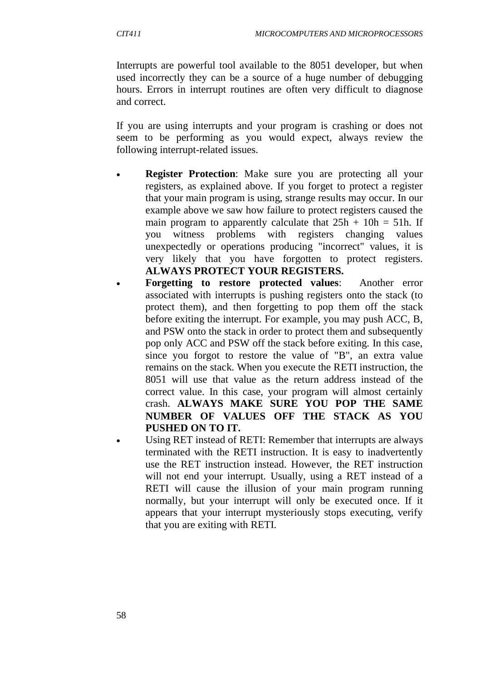Interrupts are powerful tool available to the 8051 developer, but when used incorrectly they can be a source of a huge number of debugging hours. Errors in interrupt routines are often very difficult to diagnose and correct.

If you are using interrupts and your program is crashing or does not seem to be performing as you would expect, always review the following interrupt-related issues.

- **Register Protection**: Make sure you are protecting all your registers, as explained above. If you forget to protect a register that your main program is using, strange results may occur. In our example above we saw how failure to protect registers caused the main program to apparently calculate that  $25h + 10h = 51h$ . If you witness problems with registers changing values unexpectedly or operations producing "incorrect" values, it is very likely that you have forgotten to protect registers. **ALWAYS PROTECT YOUR REGISTERS.**
- **Forgetting to restore protected values**: Another error associated with interrupts is pushing registers onto the stack (to protect them), and then forgetting to pop them off the stack before exiting the interrupt. For example, you may push ACC, B, and PSW onto the stack in order to protect them and subsequently pop only ACC and PSW off the stack before exiting. In this case, since you forgot to restore the value of "B", an extra value remains on the stack. When you execute the RETI instruction, the 8051 will use that value as the return address instead of the correct value. In this case, your program will almost certainly crash. **ALWAYS MAKE SURE YOU POP THE SAME NUMBER OF VALUES OFF THE STACK AS YOU PUSHED ON TO IT.**
	- Using RET instead of RETI: Remember that interrupts are always terminated with the RETI instruction. It is easy to inadvertently use the RET instruction instead. However, the RET instruction will not end your interrupt. Usually, using a RET instead of a RETI will cause the illusion of your main program running normally, but your interrupt will only be executed once. If it appears that your interrupt mysteriously stops executing, verify that you are exiting with RETI.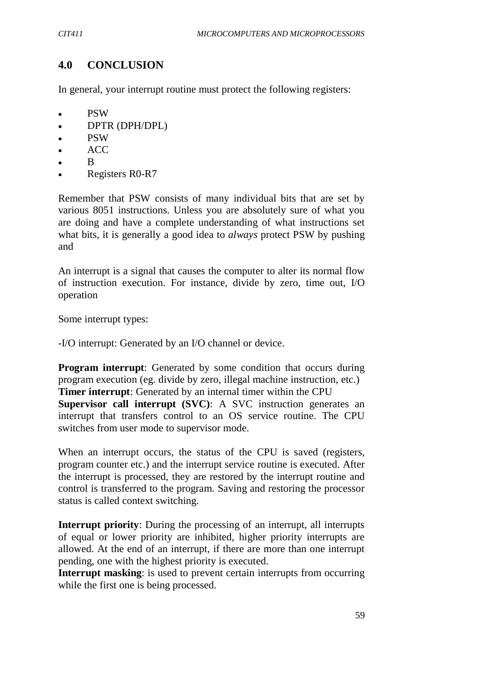# **4.0 CONCLUSION**

In general, your interrupt routine must protect the following registers:

- PSW
- DPTR (DPH/DPL)
- PSW
- ACC
- B
- Registers R0-R7

Remember that PSW consists of many individual bits that are set by various 8051 instructions. Unless you are absolutely sure of what you are doing and have a complete understanding of what instructions set what bits, it is generally a good idea to *always* protect PSW by pushing and

An interrupt is a signal that causes the computer to alter its normal flow of instruction execution. For instance, divide by zero, time out, I/O operation

Some interrupt types:

-I/O interrupt: Generated by an I/O channel or device.

**Program interrupt:** Generated by some condition that occurs during program execution (eg. divide by zero, illegal machine instruction, etc.) **Timer interrupt**: Generated by an internal timer within the CPU **Supervisor call interrupt (SVC):** A SVC instruction generates an interrupt that transfers control to an OS service routine. The CPU switches from user mode to supervisor mode.

When an interrupt occurs, the status of the CPU is saved (registers, program counter etc.) and the interrupt service routine is executed. After the interrupt is processed, they are restored by the interrupt routine and control is transferred to the program. Saving and restoring the processor status is called context switching.

**Interrupt priority**: During the processing of an interrupt, all interrupts of equal or lower priority are inhibited, higher priority interrupts are allowed. At the end of an interrupt, if there are more than one interrupt pending, one with the highest priority is executed.

**Interrupt masking**: is used to prevent certain interrupts from occurring while the first one is being processed.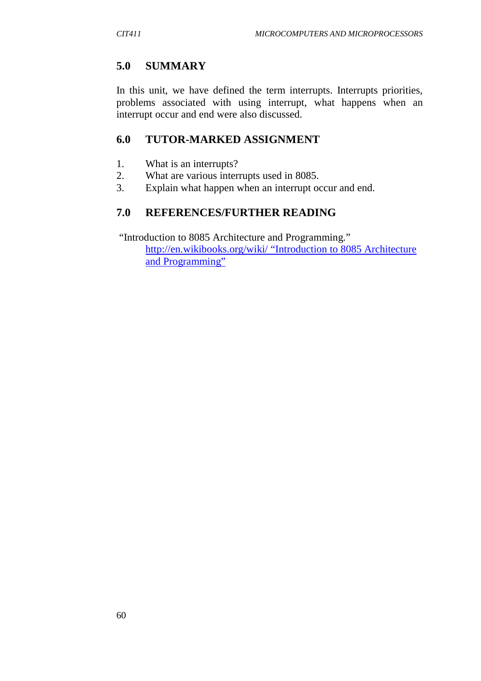## **5.0 SUMMARY**

In this unit, we have defined the term interrupts. Interrupts priorities, problems associated with using interrupt, what happens when an interrupt occur and end were also discussed.

## **6.0 TUTOR-MARKED ASSIGNMENT**

- 1. What is an interrupts?
- 2. What are various interrupts used in 8085.
- 3. Explain what happen when an interrupt occur and end.

## **7.0 REFERENCES/FURTHER READING**

"Introduction to 8085 Architecture and Programming." http://en.wikibooks.org/wiki/ "Introduction to 8085 Architecture

and Programming"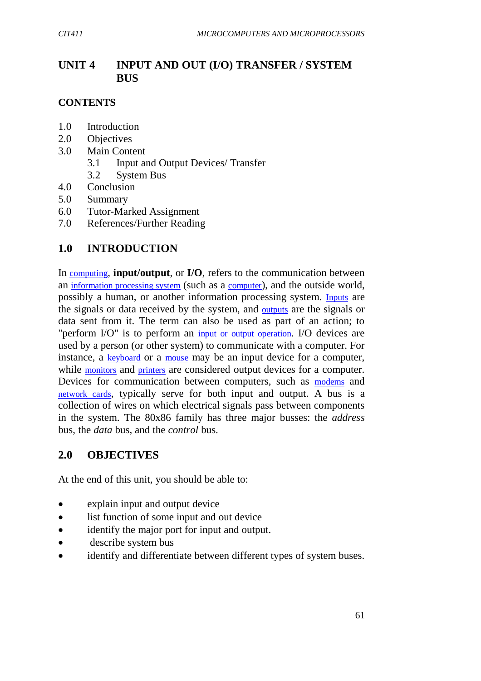# **UNIT 4 INPUT AND OUT (I/O) TRANSFER / SYSTEM BUS**

## **CONTENTS**

- 1.0 Introduction
- 2.0 Objectives
- 3.0 Main Content
	- 3.1 Input and Output Devices/ Transfer
	- 3.2 System Bus
- 4.0 Conclusion
- 5.0 Summary
- 6.0 Tutor-Marked Assignment
- 7.0 References/Further Reading

# **1.0 INTRODUCTION**

In computing, **input/output**, or **I/O**, refers to the communication between an information processing system (such as a computer), and the outside world, possibly a human, or another information processing system. Inputs are the signals or data received by the system, and outputs are the signals or data sent from it. The term can also be used as part of an action; to "perform I/O" is to perform an input or output operation. I/O devices are used by a person (or other system) to communicate with a computer. For instance, a keyboard or a mouse may be an input device for a computer, while monitors and printers are considered output devices for a computer. Devices for communication between computers, such as modems and network cards, typically serve for both input and output. A bus is a collection of wires on which electrical signals pass between components in the system. The 80x86 family has three major busses: the *address*  bus, the *data* bus, and the *control* bus.

## **2.0 OBJECTIVES**

At the end of this unit, you should be able to:

- explain input and output device
- list function of some input and out device
- identify the major port for input and output.
- describe system bus
- identify and differentiate between different types of system buses.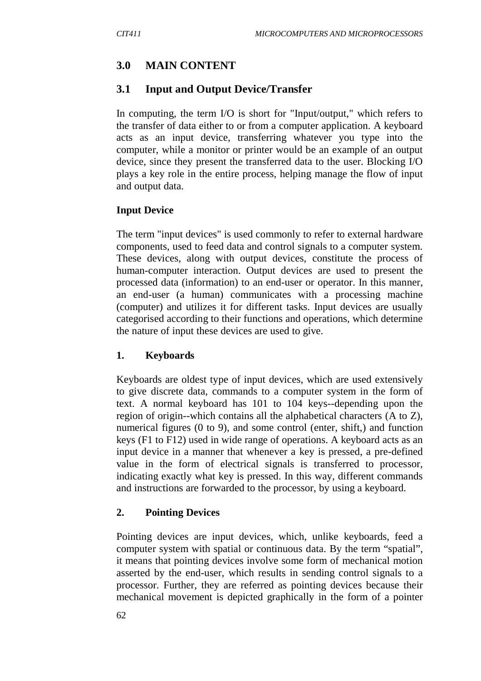# **3.0 MAIN CONTENT**

## **3.1 Input and Output Device/Transfer**

In computing, the term I/O is short for "Input/output," which refers to the transfer of data either to or from a computer application. A keyboard acts as an input device, transferring whatever you type into the computer, while a monitor or printer would be an example of an output device, since they present the transferred data to the user. Blocking I/O plays a key role in the entire process, helping manage the flow of input and output data.

#### **Input Device**

The term "input devices" is used commonly to refer to external hardware components, used to feed data and control signals to a computer system. These devices, along with output devices, constitute the process of human-computer interaction. Output devices are used to present the processed data (information) to an end-user or operator. In this manner, an end-user (a human) communicates with a processing machine (computer) and utilizes it for different tasks. Input devices are usually categorised according to their functions and operations, which determine the nature of input these devices are used to give.

#### **1. Keyboards**

Keyboards are oldest type of input devices, which are used extensively to give discrete data, commands to a computer system in the form of text. A normal keyboard has 101 to 104 keys--depending upon the region of origin--which contains all the alphabetical characters (A to Z), numerical figures (0 to 9), and some control (enter, shift,) and function keys (F1 to F12) used in wide range of operations. A keyboard acts as an input device in a manner that whenever a key is pressed, a pre-defined value in the form of electrical signals is transferred to processor, indicating exactly what key is pressed. In this way, different commands and instructions are forwarded to the processor, by using a keyboard.

#### **2. Pointing Devices**

Pointing devices are input devices, which, unlike keyboards, feed a computer system with spatial or continuous data. By the term "spatial", it means that pointing devices involve some form of mechanical motion asserted by the end-user, which results in sending control signals to a processor. Further, they are referred as pointing devices because their mechanical movement is depicted graphically in the form of a pointer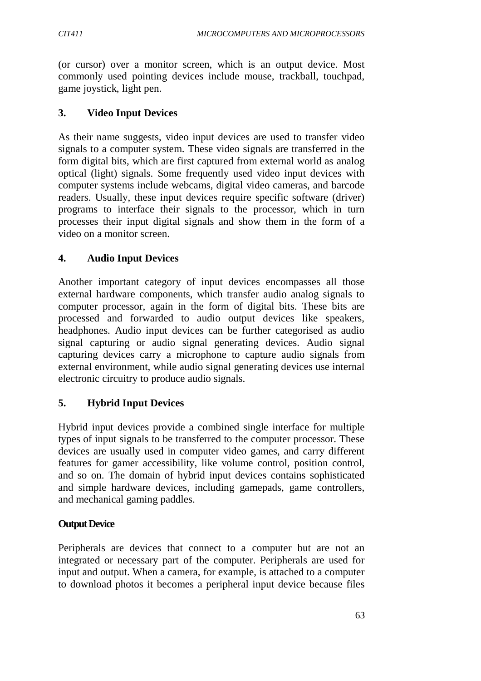(or cursor) over a monitor screen, which is an output device. Most commonly used pointing devices include mouse, trackball, touchpad, game joystick, light pen.

## **3. Video Input Devices**

As their name suggests, video input devices are used to transfer video signals to a computer system. These video signals are transferred in the form digital bits, which are first captured from external world as analog optical (light) signals. Some frequently used video input devices with computer systems include webcams, digital video cameras, and barcode readers. Usually, these input devices require specific software (driver) programs to interface their signals to the processor, which in turn processes their input digital signals and show them in the form of a video on a monitor screen.

## **4. Audio Input Devices**

Another important category of input devices encompasses all those external hardware components, which transfer audio analog signals to computer processor, again in the form of digital bits. These bits are processed and forwarded to audio output devices like speakers, headphones. Audio input devices can be further categorised as audio signal capturing or audio signal generating devices. Audio signal capturing devices carry a microphone to capture audio signals from external environment, while audio signal generating devices use internal electronic circuitry to produce audio signals.

## **5. Hybrid Input Devices**

Hybrid input devices provide a combined single interface for multiple types of input signals to be transferred to the computer processor. These devices are usually used in computer video games, and carry different features for gamer accessibility, like volume control, position control, and so on. The domain of hybrid input devices contains sophisticated and simple hardware devices, including gamepads, game controllers, and mechanical gaming paddles.

#### **Output Device**

Peripherals are devices that connect to a computer but are not an integrated or necessary part of the computer. Peripherals are used for input and output. When a camera, for example, is attached to a computer to download photos it becomes a peripheral input device because files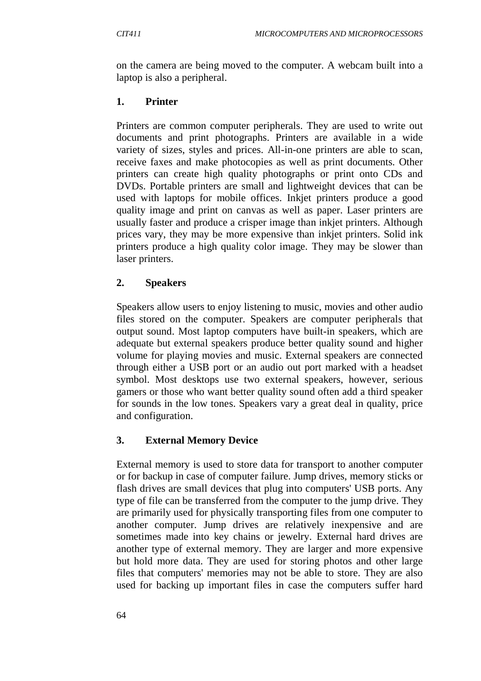on the camera are being moved to the computer. A webcam built into a laptop is also a peripheral.

## **1. Printer**

Printers are common computer peripherals. They are used to write out documents and print photographs. Printers are available in a wide variety of sizes, styles and prices. All-in-one printers are able to scan, receive faxes and make photocopies as well as print documents. Other printers can create high quality photographs or print onto CDs and DVDs. Portable printers are small and lightweight devices that can be used with laptops for mobile offices. Inkjet printers produce a good quality image and print on canvas as well as paper. Laser printers are usually faster and produce a crisper image than inkjet printers. Although prices vary, they may be more expensive than inkjet printers. Solid ink printers produce a high quality color image. They may be slower than laser printers.

# **2. Speakers**

Speakers allow users to enjoy listening to music, movies and other audio files stored on the computer. Speakers are computer peripherals that output sound. Most laptop computers have built-in speakers, which are adequate but external speakers produce better quality sound and higher volume for playing movies and music. External speakers are connected through either a USB port or an audio out port marked with a headset symbol. Most desktops use two external speakers, however, serious gamers or those who want better quality sound often add a third speaker for sounds in the low tones. Speakers vary a great deal in quality, price and configuration.

# **3. External Memory Device**

External memory is used to store data for transport to another computer or for backup in case of computer failure. Jump drives, memory sticks or flash drives are small devices that plug into computers' USB ports. Any type of file can be transferred from the computer to the jump drive. They are primarily used for physically transporting files from one computer to another computer. Jump drives are relatively inexpensive and are sometimes made into key chains or jewelry. External hard drives are another type of external memory. They are larger and more expensive but hold more data. They are used for storing photos and other large files that computers' memories may not be able to store. They are also used for backing up important files in case the computers suffer hard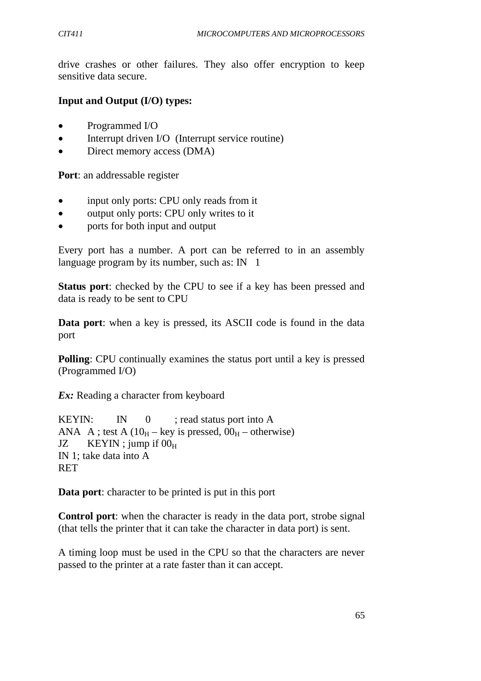drive crashes or other failures. They also offer encryption to keep sensitive data secure.

## **Input and Output (I/O) types:**

- Programmed I/O
- Interrupt driven I/O (Interrupt service routine)
- Direct memory access (DMA)

**Port**: an addressable register

- input only ports: CPU only reads from it
- output only ports: CPU only writes to it
- ports for both input and output

Every port has a number. A port can be referred to in an assembly language program by its number, such as:  $IN$  1

**Status port**: checked by the CPU to see if a key has been pressed and data is ready to be sent to CPU

**Data port**: when a key is pressed, its ASCII code is found in the data port

**Polling:** CPU continually examines the status port until a key is pressed (Programmed I/O)

*Ex:* Reading a character from keyboard

KEYIN: IN  $0$  ; read status port into A ANA A ; test A ( $10_H$  – key is pressed,  $00_H$  – otherwise) JZ  $KEYIN$ ; jump if  $00<sub>H</sub>$ IN 1; take data into A **RET** 

**Data port**: character to be printed is put in this port

**Control port**: when the character is ready in the data port, strobe signal (that tells the printer that it can take the character in data port) is sent.

A timing loop must be used in the CPU so that the characters are never passed to the printer at a rate faster than it can accept.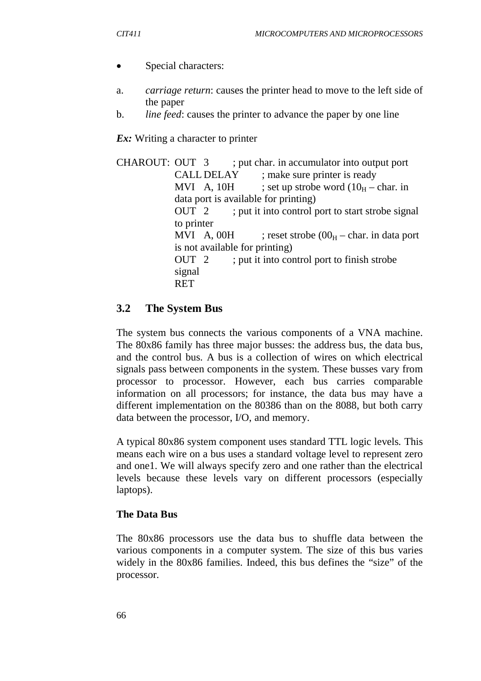- Special characters:
- a. *carriage return*: causes the printer head to move to the left side of the paper
- b. *line feed*: causes the printer to advance the paper by one line

*Ex:* Writing a character to printer

CHAROUT: OUT 3 ; put char. in accumulator into output port CALL DELAY ; make sure printer is ready MVI A, 10H ; set up strobe word  $(10<sub>H</sub> - char.$  in data port is available for printing) OUT 2 ; put it into control port to start strobe signal to printer MVI A, 00H ; reset strobe  $(00<sub>H</sub> - char.$  in data port is not available for printing) OUT 2 ; put it into control port to finish strobe signal **RET** 

## **3.2 The System Bus**

The system bus connects the various components of a VNA machine. The 80x86 family has three major busses: the address bus, the data bus, and the control bus. A bus is a collection of wires on which electrical signals pass between components in the system. These busses vary from processor to processor. However, each bus carries comparable information on all processors; for instance, the data bus may have a different implementation on the 80386 than on the 8088, but both carry data between the processor, I/O, and memory.

A typical 80x86 system component uses standard TTL logic levels*.* This means each wire on a bus uses a standard voltage level to represent zero and one1. We will always specify zero and one rather than the electrical levels because these levels vary on different processors (especially laptops).

#### **The Data Bus**

The 80x86 processors use the data bus to shuffle data between the various components in a computer system. The size of this bus varies widely in the 80x86 families. Indeed, this bus defines the "size" of the processor.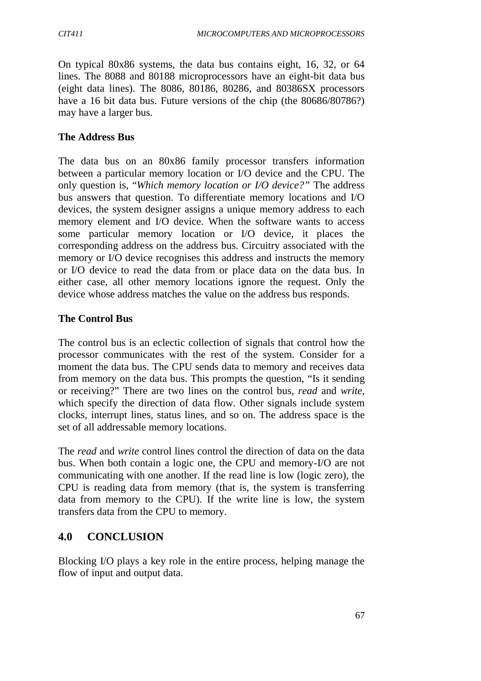On typical 80x86 systems, the data bus contains eight, 16, 32, or 64 lines. The 8088 and 80188 microprocessors have an eight-bit data bus (eight data lines). The 8086, 80186, 80286, and 80386SX processors have a 16 bit data bus. Future versions of the chip (the 80686/80786?) may have a larger bus.

#### **The Address Bus**

The data bus on an 80x86 family processor transfers information between a particular memory location or I/O device and the CPU. The only question is, "*Which memory location or I/O device?"* The address bus answers that question. To differentiate memory locations and I/O devices, the system designer assigns a unique memory address to each memory element and I/O device. When the software wants to access some particular memory location or I/O device, it places the corresponding address on the address bus. Circuitry associated with the memory or I/O device recognises this address and instructs the memory or I/O device to read the data from or place data on the data bus. In either case, all other memory locations ignore the request. Only the device whose address matches the value on the address bus responds.

#### **The Control Bus**

The control bus is an eclectic collection of signals that control how the processor communicates with the rest of the system. Consider for a moment the data bus. The CPU sends data to memory and receives data from memory on the data bus. This prompts the question, "Is it sending or receiving?" There are two lines on the control bus, *read* and *write*, which specify the direction of data flow. Other signals include system clocks, interrupt lines, status lines, and so on. The address space is the set of all addressable memory locations.

The *read* and *write* control lines control the direction of data on the data bus. When both contain a logic one, the CPU and memory-I/O are not communicating with one another. If the read line is low (logic zero), the CPU is reading data from memory (that is, the system is transferring data from memory to the CPU). If the write line is low, the system transfers data from the CPU to memory.

## **4.0 CONCLUSION**

Blocking I/O plays a key role in the entire process, helping manage the flow of input and output data.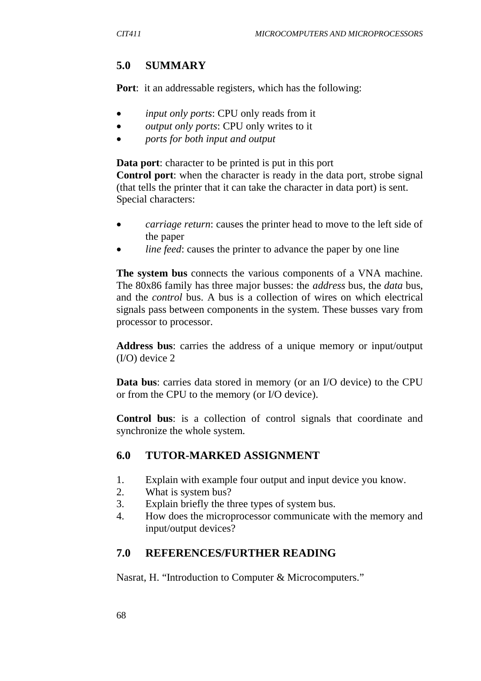## **5.0 SUMMARY**

**Port**: it an addressable registers, which has the following:

- *input only ports*: CPU only reads from it
- *output only ports*: CPU only writes to it
- *ports for both input and output*

**Data port**: character to be printed is put in this port

**Control port**: when the character is ready in the data port, strobe signal (that tells the printer that it can take the character in data port) is sent. Special characters:

- *carriage return*: causes the printer head to move to the left side of the paper
- *line feed*: causes the printer to advance the paper by one line

**The system bus** connects the various components of a VNA machine. The 80x86 family has three major busses: the *address* bus, the *data* bus, and the *control* bus. A bus is a collection of wires on which electrical signals pass between components in the system. These busses vary from processor to processor.

**Address bus**: carries the address of a unique memory or input/output (I/O) device 2

**Data bus**: carries data stored in memory (or an I/O device) to the CPU or from the CPU to the memory (or I/O device).

**Control bus**: is a collection of control signals that coordinate and synchronize the whole system.

#### **6.0 TUTOR-MARKED ASSIGNMENT**

- 1. Explain with example four output and input device you know.
- 2. What is system bus?
- 3. Explain briefly the three types of system bus.
- 4. How does the microprocessor communicate with the memory and input/output devices?

#### **7.0 REFERENCES/FURTHER READING**

Nasrat, H. "Introduction to Computer & Microcomputers."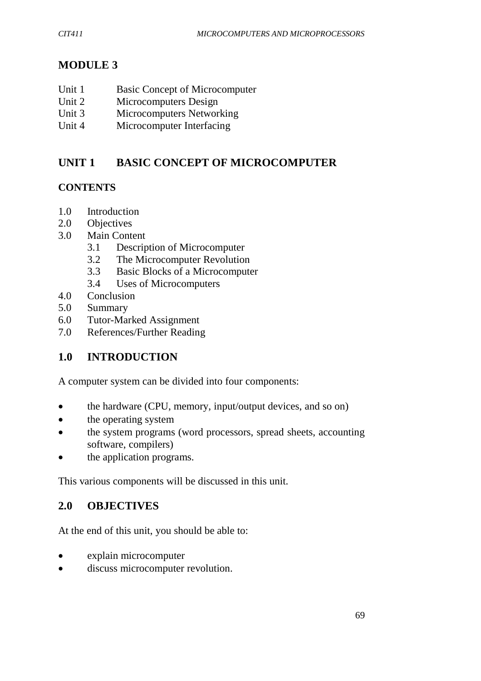# **MODULE 3**

| Unit 1 | <b>Basic Concept of Microcomputer</b> |
|--------|---------------------------------------|
| -- -   |                                       |

- Unit 2 Microcomputers Design
- Unit 3 Microcomputers Networking
- Unit 4 Microcomputer Interfacing

# **UNIT 1 BASIC CONCEPT OF MICROCOMPUTER**

## **CONTENTS**

- 1.0 Introduction
- 2.0 Objectives
- 3.0 Main Content
	- 3.1 Description of Microcomputer
	- 3.2 The Microcomputer Revolution
	- 3.3 Basic Blocks of a Microcomputer
	- 3.4 Uses of Microcomputers
- 4.0 Conclusion
- 5.0 Summary
- 6.0 Tutor-Marked Assignment
- 7.0 References/Further Reading

# **1.0 INTRODUCTION**

A computer system can be divided into four components:

- the hardware (CPU, memory, input/output devices, and so on)
- the operating system
- the system programs (word processors, spread sheets, accounting software, compilers)
- the application programs.

This various components will be discussed in this unit.

## **2.0 OBJECTIVES**

At the end of this unit, you should be able to:

- explain microcomputer
- discuss microcomputer revolution.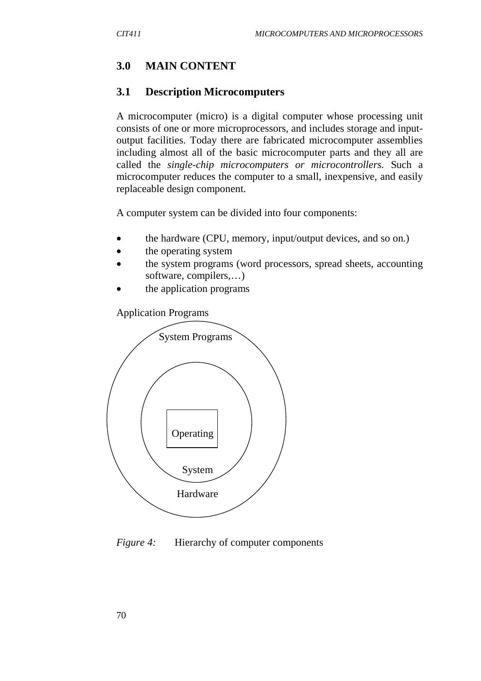## **3.0 MAIN CONTENT**

#### **3.1 Description Microcomputers**

A microcomputer (micro) is a digital computer whose processing unit consists of one or more microprocessors, and includes storage and inputoutput facilities. Today there are fabricated microcomputer assemblies including almost all of the basic microcomputer parts and they all are called the *single-chip microcomputers or microcontrollers.* Such a microcomputer reduces the computer to a small, inexpensive, and easily replaceable design component.

A computer system can be divided into four components:

- the hardware (CPU, memory, input/output devices, and so on.)
- the operating system
- the system programs (word processors, spread sheets, accounting software, compilers,…)
- the application programs

Application Programs



*Figure 4:* Hierarchy of computer components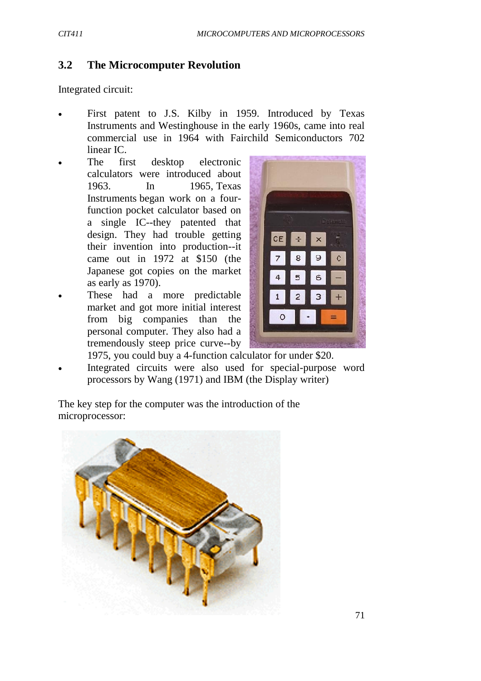## **3.2 The Microcomputer Revolution**

Integrated circuit:

- First patent to J.S. Kilby in 1959. Introduced by Texas Instruments and Westinghouse in the early 1960s, came into real commercial use in 1964 with Fairchild Semiconductors 702 linear IC.
- The first desktop electronic calculators were introduced about 1963. In 1965, Texas Instruments began work on a fourfunction pocket calculator based on a single IC--they patented that design. They had trouble getting their invention into production--it came out in 1972 at \$150 (the Japanese got copies on the market as early as 1970).
- These had a more predictable market and got more initial interest from big companies than the personal computer. They also had a tremendously steep price curve--by



1975, you could buy a 4-function calculator for under \$20. Integrated circuits were also used for special-purpose word processors by Wang (1971) and IBM (the Display writer)

The key step for the computer was the introduction of the microprocessor:

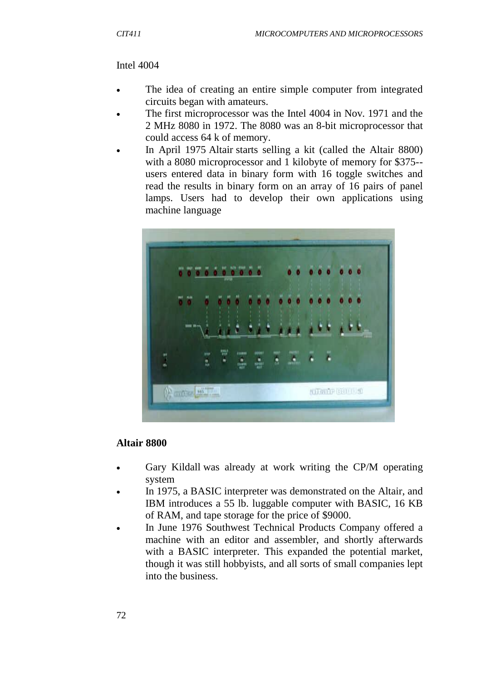## Intel 4004

- The idea of creating an entire simple computer from integrated circuits began with amateurs.
- The first microprocessor was the Intel 4004 in Nov. 1971 and the 2 MHz 8080 in 1972. The 8080 was an 8-bit microprocessor that could access 64 k of memory.
- In April 1975 Altair starts selling a kit (called the Altair 8800) with a 8080 microprocessor and 1 kilobyte of memory for \$375- users entered data in binary form with 16 toggle switches and read the results in binary form on an array of 16 pairs of panel lamps. Users had to develop their own applications using machine language



## **Altair 8800**

- Gary Kildall was already at work writing the CP/M operating system
- In 1975, a BASIC interpreter was demonstrated on the Altair, and IBM introduces a 55 lb. luggable computer with BASIC, 16 KB of RAM, and tape storage for the price of \$9000.
- In June 1976 Southwest Technical Products Company offered a machine with an editor and assembler, and shortly afterwards with a BASIC interpreter. This expanded the potential market, though it was still hobbyists, and all sorts of small companies lept into the business.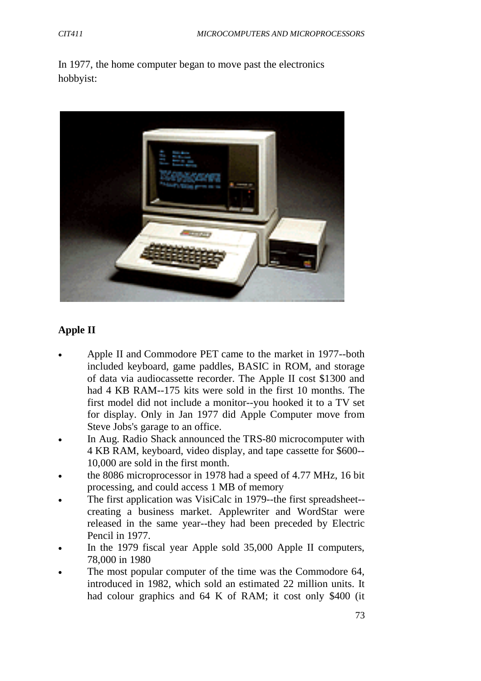In 1977, the home computer began to move past the electronics hobbyist:



# **Apple II**

- Apple II and Commodore PET came to the market in 1977--both included keyboard, game paddles, BASIC in ROM, and storage of data via audiocassette recorder. The Apple II cost \$1300 and had 4 KB RAM--175 kits were sold in the first 10 months. The first model did not include a monitor--you hooked it to a TV set for display. Only in Jan 1977 did Apple Computer move from Steve Jobs's garage to an office.
- In Aug. Radio Shack announced the TRS-80 microcomputer with 4 KB RAM, keyboard, video display, and tape cassette for \$600-- 10,000 are sold in the first month.
- the 8086 microprocessor in 1978 had a speed of 4.77 MHz, 16 bit processing, and could access 1 MB of memory
- The first application was VisiCalc in 1979--the first spreadsheet- creating a business market. Applewriter and WordStar were released in the same year--they had been preceded by Electric Pencil in 1977.
- In the 1979 fiscal year Apple sold 35,000 Apple II computers, 78,000 in 1980
- The most popular computer of the time was the Commodore 64, introduced in 1982, which sold an estimated 22 million units. It had colour graphics and 64 K of RAM; it cost only \$400 (it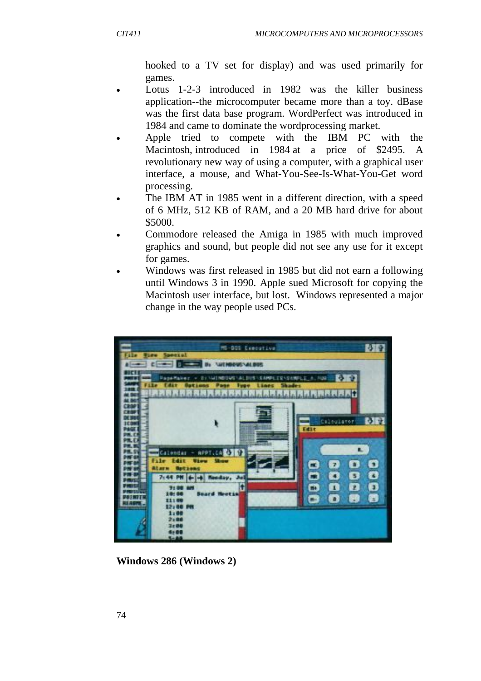hooked to a TV set for display) and was used primarily for games.

- Lotus 1-2-3 introduced in 1982 was the killer business application--the microcomputer became more than a toy. dBase was the first data base program. WordPerfect was introduced in 1984 and came to dominate the wordprocessing market.
- Apple tried to compete with the IBM PC with the Macintosh, introduced in 1984 at a price of \$2495. A revolutionary new way of using a computer, with a graphical user interface, a mouse, and What-You-See-Is-What-You-Get word processing.
- The IBM AT in 1985 went in a different direction, with a speed of 6 MHz, 512 KB of RAM, and a 20 MB hard drive for about \$5000.
- Commodore released the Amiga in 1985 with much improved graphics and sound, but people did not see any use for it except for games.
- Windows was first released in 1985 but did not earn a following until Windows 3 in 1990. Apple sued Microsoft for copying the Macintosh user interface, but lost. Windows represented a major change in the way people used PCs.



**Windows 286 (Windows 2)**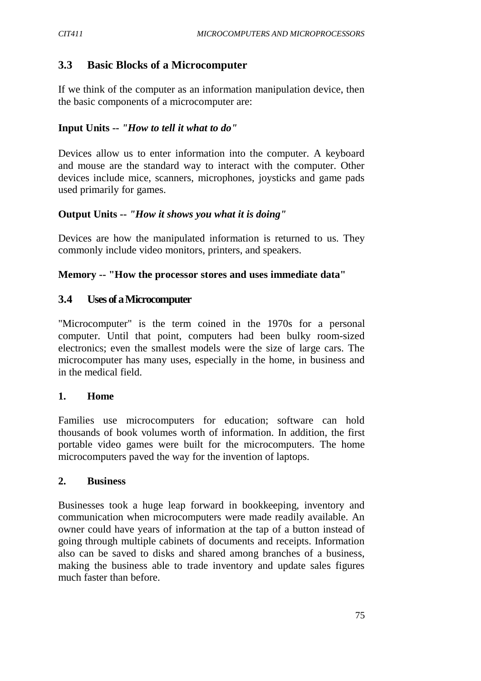## **3.3 Basic Blocks of a Microcomputer**

If we think of the computer as an information manipulation device, then the basic components of a microcomputer are:

#### **Input Units --** *"How to tell it what to do"*

Devices allow us to enter information into the computer. A keyboard and mouse are the standard way to interact with the computer. Other devices include mice, scanners, microphones, joysticks and game pads used primarily for games.

#### **Output Units --** *"How it shows you what it is doing"*

Devices are how the manipulated information is returned to us. They commonly include video monitors, printers, and speakers.

#### **Memory -- "How the processor stores and uses immediate data"**

#### **3.4 Uses of a Microcomputer**

"Microcomputer" is the term coined in the 1970s for a personal computer. Until that point, computers had been bulky room-sized electronics; even the smallest models were the size of large cars. The microcomputer has many uses, especially in the home, in business and in the medical field.

#### **1. Home**

Families use microcomputers for education; software can hold thousands of book volumes worth of information. In addition, the first portable video games were built for the microcomputers. The home microcomputers paved the way for the invention of laptops.

#### **2. Business**

Businesses took a huge leap forward in bookkeeping, inventory and communication when microcomputers were made readily available. An owner could have years of information at the tap of a button instead of going through multiple cabinets of documents and receipts. Information also can be saved to disks and shared among branches of a business, making the business able to trade inventory and update sales figures much faster than before.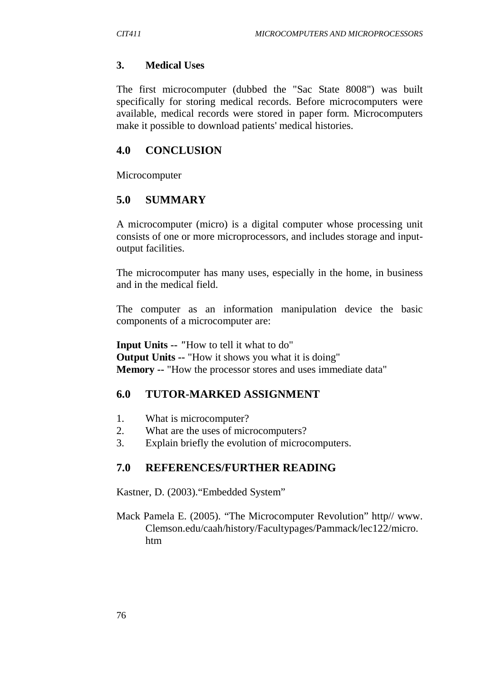#### **3. Medical Uses**

The first microcomputer (dubbed the "Sac State 8008") was built specifically for storing medical records. Before microcomputers were available, medical records were stored in paper form. Microcomputers make it possible to download patients' medical histories.

#### **4.0 CONCLUSION**

Microcomputer

#### **5.0 SUMMARY**

A microcomputer (micro) is a digital computer whose processing unit consists of one or more microprocessors, and includes storage and inputoutput facilities.

The microcomputer has many uses, especially in the home, in business and in the medical field.

The computer as an information manipulation device the basic components of a microcomputer are:

**Input Units --** *"*How to tell it what to do" **Output Units --** "How it shows you what it is doing" **Memory --** "How the processor stores and uses immediate data"

#### **6.0 TUTOR-MARKED ASSIGNMENT**

- 1. What is microcomputer?
- 2. What are the uses of microcomputers?
- 3. Explain briefly the evolution of microcomputers.

#### **7.0 REFERENCES/FURTHER READING**

Kastner, D. (2003)."Embedded System"

Mack Pamela E. (2005). "The Microcomputer Revolution" http// www. Clemson.edu/caah/history/Facultypages/Pammack/lec122/micro. htm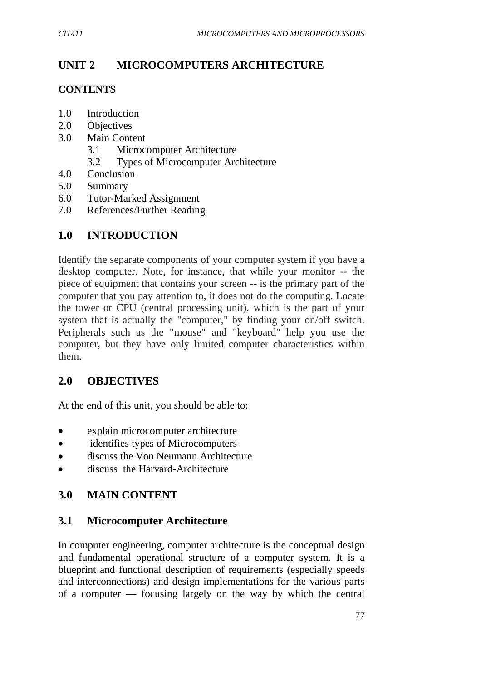# **UNIT 2 MICROCOMPUTERS ARCHITECTURE**

## **CONTENTS**

- 1.0 Introduction
- 2.0 Objectives
- 3.0 Main Content
	- 3.1 Microcomputer Architecture
	- 3.2 Types of Microcomputer Architecture
- 4.0 Conclusion
- 5.0 Summary
- 6.0 Tutor-Marked Assignment
- 7.0 References/Further Reading

# **1.0 INTRODUCTION**

Identify the separate components of your computer system if you have a desktop computer. Note, for instance, that while your monitor -- the piece of equipment that contains your screen -- is the primary part of the computer that you pay attention to, it does not do the computing. Locate the tower or CPU (central processing unit), which is the part of your system that is actually the "computer," by finding your on/off switch. Peripherals such as the "mouse" and "keyboard" help you use the computer, but they have only limited computer characteristics within them.

## **2.0 OBJECTIVES**

At the end of this unit, you should be able to:

- explain microcomputer architecture
- identifies types of Microcomputers
- discuss the Von Neumann Architecture
- discuss the Harvard-Architecture

## **3.0 MAIN CONTENT**

## **3.1 Microcomputer Architecture**

In computer engineering, computer architecture is the conceptual design and fundamental operational structure of a computer system. It is a blueprint and functional description of requirements (especially speeds and interconnections) and design implementations for the various parts of a computer — focusing largely on the way by which the central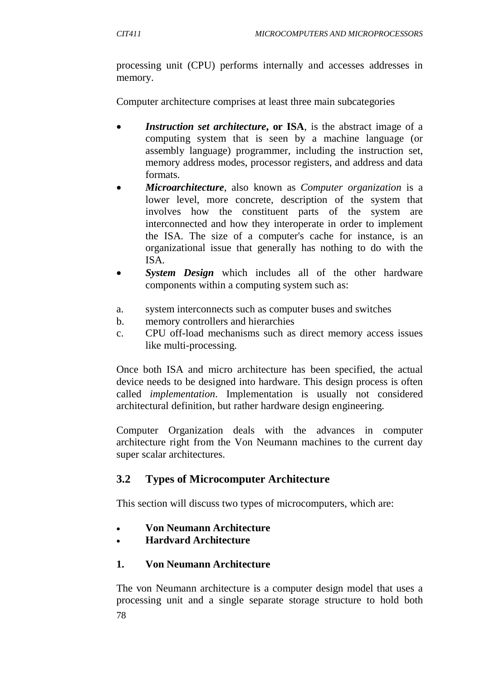processing unit (CPU) performs internally and accesses addresses in memory.

Computer architecture comprises at least three main subcategories

- *Instruction set architecture*, or ISA, is the abstract image of a computing system that is seen by a machine language (or assembly language) programmer, including the instruction set, memory address modes, processor registers, and address and data formats.
- *Microarchitecture*, also known as *Computer organization* is a lower level, more concrete, description of the system that involves how the constituent parts of the system are interconnected and how they interoperate in order to implement the ISA. The size of a computer's cache for instance, is an organizational issue that generally has nothing to do with the ISA.
- *System Design* which includes all of the other hardware components within a computing system such as:
- a. system interconnects such as computer buses and switches
- b. memory controllers and hierarchies
- c. CPU off-load mechanisms such as direct memory access issues like multi-processing.

Once both ISA and micro architecture has been specified, the actual device needs to be designed into hardware. This design process is often called *implementation*. Implementation is usually not considered architectural definition, but rather hardware design engineering.

Computer Organization deals with the advances in computer architecture right from the Von Neumann machines to the current day super scalar architectures.

# **3.2 Types of Microcomputer Architecture**

This section will discuss two types of microcomputers, which are:

- **Von Neumann Architecture**
- **Hardvard Architecture**

# **1. Von Neumann Architecture**

78 The von Neumann architecture is a computer design model that uses a processing unit and a single separate storage structure to hold both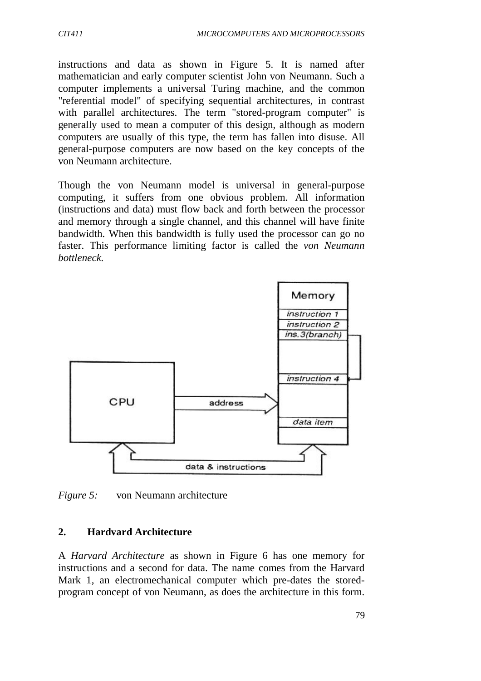instructions and data as shown in Figure 5. It is named after mathematician and early computer scientist John von Neumann. Such a computer implements a universal Turing machine, and the common "referential model" of specifying sequential architectures, in contrast with parallel architectures. The term "stored-program computer" is generally used to mean a computer of this design, although as modern computers are usually of this type, the term has fallen into disuse. All general-purpose computers are now based on the key concepts of the von Neumann architecture.

Though the von Neumann model is universal in general-purpose computing, it suffers from one obvious problem. All information (instructions and data) must flow back and forth between the processor and memory through a single channel, and this channel will have finite bandwidth. When this bandwidth is fully used the processor can go no faster. This performance limiting factor is called the *von Neumann bottleneck.*



*Figure 5:* von Neumann architecture

#### **2. Hardvard Architecture**

A *Harvard Architecture* as shown in Figure 6 has one memory for instructions and a second for data. The name comes from the Harvard Mark 1, an electromechanical computer which pre-dates the storedprogram concept of von Neumann, as does the architecture in this form.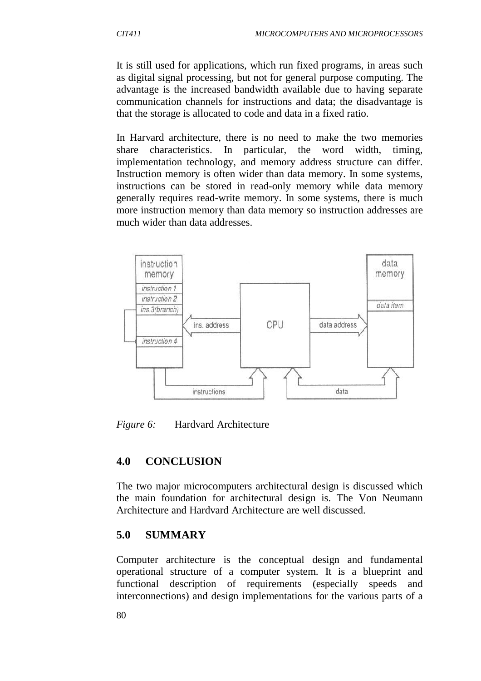It is still used for applications, which run fixed programs, in areas such as digital signal processing, but not for general purpose computing. The advantage is the increased bandwidth available due to having separate communication channels for instructions and data; the disadvantage is that the storage is allocated to code and data in a fixed ratio.

In Harvard architecture, there is no need to make the two memories share characteristics. In particular, the word width, timing, implementation technology, and memory address structure can differ. Instruction memory is often wider than data memory. In some systems, instructions can be stored in read-only memory while data memory generally requires read-write memory. In some systems, there is much more instruction memory than data memory so instruction addresses are much wider than data addresses.



*Figure 6:* Hardvard Architecture

## **4.0 CONCLUSION**

The two major microcomputers architectural design is discussed which the main foundation for architectural design is. The Von Neumann Architecture and Hardvard Architecture are well discussed.

#### **5.0 SUMMARY**

Computer architecture is the conceptual design and fundamental operational structure of a computer system. It is a blueprint and functional description of requirements (especially speeds and interconnections) and design implementations for the various parts of a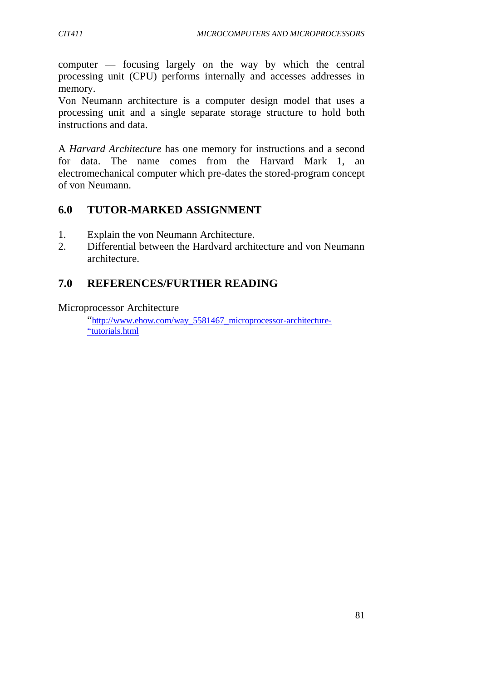computer — focusing largely on the way by which the central processing unit (CPU) performs internally and accesses addresses in memory.

Von Neumann architecture is a computer design model that uses a processing unit and a single separate storage structure to hold both instructions and data.

A *Harvard Architecture* has one memory for instructions and a second for data. The name comes from the Harvard Mark 1, an electromechanical computer which pre-dates the stored-program concept of von Neumann.

## **6.0 TUTOR-MARKED ASSIGNMENT**

- 1. Explain the von Neumann Architecture.
- 2. Differential between the Hardvard architecture and von Neumann architecture.

## **7.0 REFERENCES/FURTHER READING**

Microprocessor Architecture

"http://www.ehow.com/way\_5581467\_microprocessor-architecture- "tutorials.html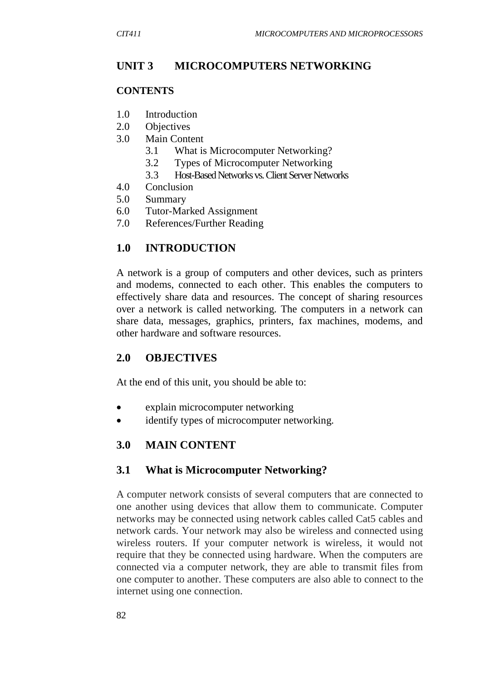## **UNIT 3 MICROCOMPUTERS NETWORKING**

#### **CONTENTS**

- 1.0 Introduction
- 2.0 Objectives
- 3.0 Main Content
	- 3.1 What is Microcomputer Networking?
	- 3.2 Types of Microcomputer Networking
	- 3.3 Host-Based Networks vs. Client Server Networks
- 4.0 Conclusion
- 5.0 Summary
- 6.0 Tutor-Marked Assignment
- 7.0 References/Further Reading

## **1.0 INTRODUCTION**

A network is a group of computers and other devices, such as printers and modems, connected to each other. This enables the computers to effectively share data and resources. The concept of sharing resources over a network is called networking. The computers in a network can share data, messages, graphics, printers, fax machines, modems, and other hardware and software resources.

#### **2.0 OBJECTIVES**

At the end of this unit, you should be able to:

- explain microcomputer networking
- identify types of microcomputer networking.

#### **3.0 MAIN CONTENT**

#### **3.1 What is Microcomputer Networking?**

A computer network consists of several computers that are connected to one another using devices that allow them to communicate. Computer networks may be connected using network cables called Cat5 cables and network cards. Your network may also be wireless and connected using wireless routers. If your computer network is wireless, it would not require that they be connected using hardware. When the computers are connected via a computer network, they are able to transmit files from one computer to another. These computers are also able to connect to the internet using one connection.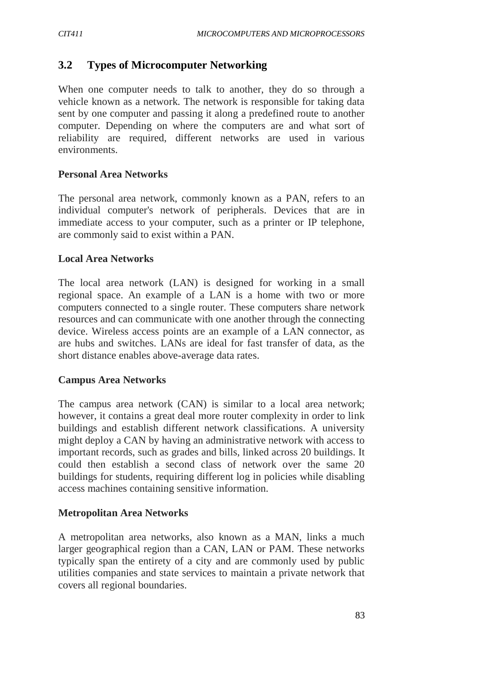## **3.2 Types of Microcomputer Networking**

When one computer needs to talk to another, they do so through a vehicle known as a network. The network is responsible for taking data sent by one computer and passing it along a predefined route to another computer. Depending on where the computers are and what sort of reliability are required, different networks are used in various environments.

#### **Personal Area Networks**

The personal area network, commonly known as a PAN, refers to an individual computer's network of peripherals. Devices that are in immediate access to your computer, such as a printer or IP telephone, are commonly said to exist within a PAN.

#### **Local Area Networks**

The local area network (LAN) is designed for working in a small regional space. An example of a LAN is a home with two or more computers connected to a single router. These computers share network resources and can communicate with one another through the connecting device. Wireless access points are an example of a LAN connector, as are hubs and switches. LANs are ideal for fast transfer of data, as the short distance enables above-average data rates.

#### **Campus Area Networks**

The campus area network (CAN) is similar to a local area network; however, it contains a great deal more router complexity in order to link buildings and establish different network classifications. A university might deploy a CAN by having an administrative network with access to important records, such as grades and bills, linked across 20 buildings. It could then establish a second class of network over the same 20 buildings for students, requiring different log in policies while disabling access machines containing sensitive information.

#### **Metropolitan Area Networks**

A metropolitan area networks, also known as a MAN, links a much larger geographical region than a CAN, LAN or PAM. These networks typically span the entirety of a city and are commonly used by public utilities companies and state services to maintain a private network that covers all regional boundaries.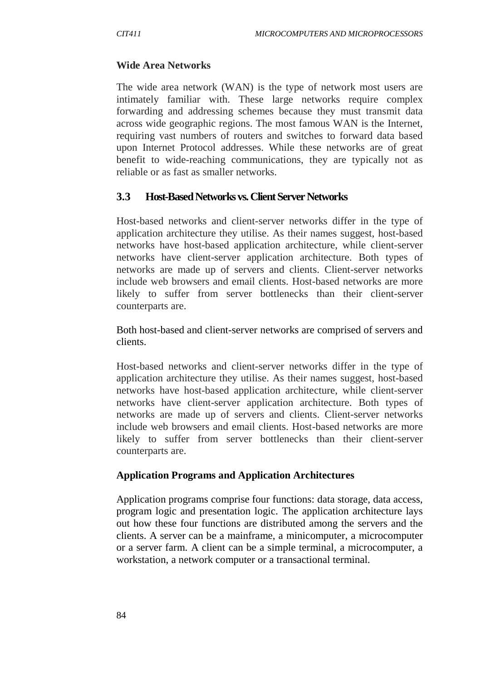#### **Wide Area Networks**

The wide area network (WAN) is the type of network most users are intimately familiar with. These large networks require complex forwarding and addressing schemes because they must transmit data across wide geographic regions. The most famous WAN is the Internet, requiring vast numbers of routers and switches to forward data based upon Internet Protocol addresses. While these networks are of great benefit to wide-reaching communications, they are typically not as reliable or as fast as smaller networks.

#### **3.3 Host-Based Networks vs. Client Server Networks**

Host-based networks and client-server networks differ in the type of application architecture they utilise. As their names suggest, host-based networks have host-based application architecture, while client-server networks have client-server application architecture. Both types of networks are made up of servers and clients. Client-server networks include web browsers and email clients. Host-based networks are more likely to suffer from server bottlenecks than their client-server counterparts are.

Both host-based and client-server networks are comprised of servers and clients.

Host-based networks and client-server networks differ in the type of application architecture they utilise. As their names suggest, host-based networks have host-based application architecture, while client-server networks have client-server application architecture. Both types of networks are made up of servers and clients. Client-server networks include web browsers and email clients. Host-based networks are more likely to suffer from server bottlenecks than their client-server counterparts are.

#### **Application Programs and Application Architectures**

Application programs comprise four functions: data storage, data access, program logic and presentation logic. The application architecture lays out how these four functions are distributed among the servers and the clients. A server can be a mainframe, a minicomputer, a microcomputer or a server farm. A client can be a simple terminal, a microcomputer, a workstation, a network computer or a transactional terminal.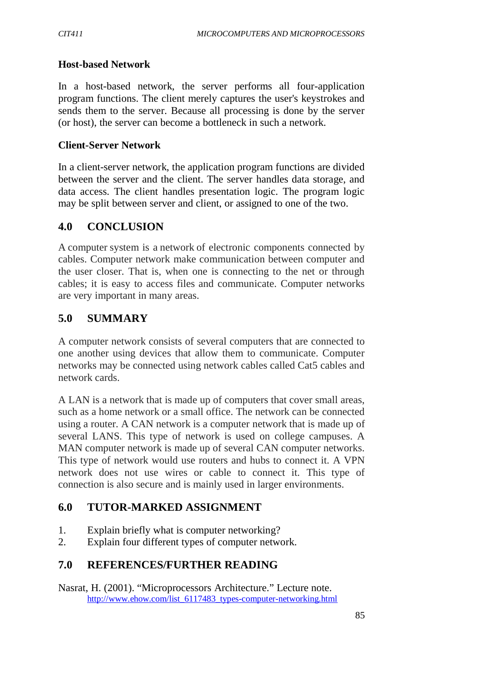#### **Host-based Network**

In a host-based network, the server performs all four-application program functions. The client merely captures the user's keystrokes and sends them to the server. Because all processing is done by the server (or host), the server can become a bottleneck in such a network.

#### **Client-Server Network**

In a client-server network, the application program functions are divided between the server and the client. The server handles data storage, and data access. The client handles presentation logic. The program logic may be split between server and client, or assigned to one of the two.

## **4.0 CONCLUSION**

A computer system is a network of electronic components connected by cables. Computer network make communication between computer and the user closer. That is, when one is connecting to the net or through cables; it is easy to access files and communicate. Computer networks are very important in many areas.

## **5.0 SUMMARY**

A computer network consists of several computers that are connected to one another using devices that allow them to communicate. Computer networks may be connected using network cables called Cat5 cables and network cards.

A LAN is a network that is made up of computers that cover small areas, such as a home network or a small office. The network can be connected using a router. A CAN network is a computer network that is made up of several LANS. This type of network is used on college campuses. A MAN computer network is made up of several CAN computer networks. This type of network would use routers and hubs to connect it. A VPN network does not use wires or cable to connect it. This type of connection is also secure and is mainly used in larger environments.

# **6.0 TUTOR-MARKED ASSIGNMENT**

- 1. Explain briefly what is computer networking?
- 2. Explain four different types of computer network.

# **7.0 REFERENCES/FURTHER READING**

Nasrat, H. (2001). "Microprocessors Architecture." Lecture note. http://www.ehow.com/list\_6117483\_types-computer-networking.html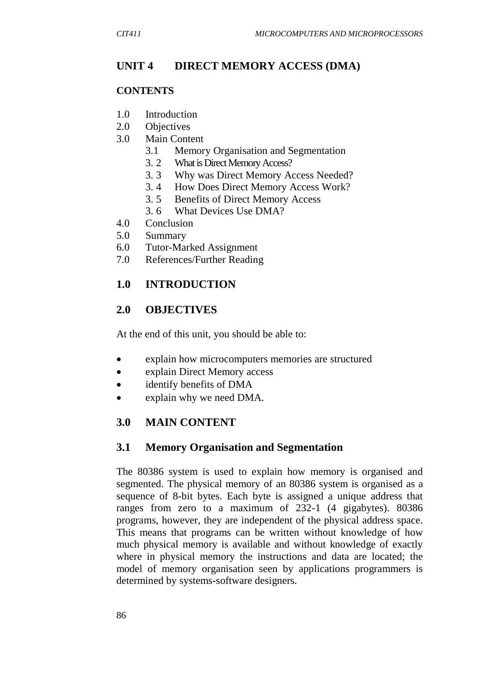# **UNIT 4 DIRECT MEMORY ACCESS (DMA)**

#### **CONTENTS**

- 1.0 Introduction
- 2.0 Objectives
- 3.0 Main Content
	- 3.1 Memory Organisation and Segmentation
	- 3. 2 What is Direct Memory Access?
	- 3. 3 Why was Direct Memory Access Needed?
	- 3. 4 How Does Direct Memory Access Work?
	- 3. 5 Benefits of Direct Memory Access
	- 3. 6 What Devices Use DMA?
- 4.0 Conclusion
- 5.0 Summary
- 6.0 Tutor-Marked Assignment
- 7.0 References/Further Reading

## **1.0 INTRODUCTION**

#### **2.0 OBJECTIVES**

At the end of this unit, you should be able to:

- explain how microcomputers memories are structured
- explain Direct Memory access
- identify benefits of DMA
- explain why we need DMA.

## **3.0 MAIN CONTENT**

## **3.1 Memory Organisation and Segmentation**

The 80386 system is used to explain how memory is organised and segmented. The physical memory of an 80386 system is organised as a sequence of 8-bit bytes. Each byte is assigned a unique address that ranges from zero to a maximum of 232-1 (4 gigabytes). 80386 programs, however, they are independent of the physical address space. This means that programs can be written without knowledge of how much physical memory is available and without knowledge of exactly where in physical memory the instructions and data are located; the model of memory organisation seen by applications programmers is determined by systems-software designers.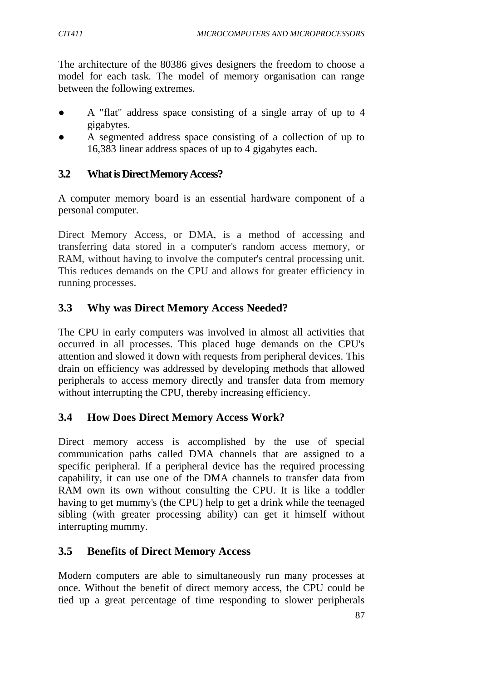The architecture of the 80386 gives designers the freedom to choose a model for each task. The model of memory organisation can range between the following extremes.

- A "flat" address space consisting of a single array of up to 4 gigabytes.
- A segmented address space consisting of a collection of up to 16,383 linear address spaces of up to 4 gigabytes each.

# **3.2 What is Direct Memory Access?**

A computer memory board is an essential hardware component of a personal computer.

Direct Memory Access, or DMA, is a method of accessing and transferring data stored in a computer's random access memory, or RAM, without having to involve the computer's central processing unit. This reduces demands on the CPU and allows for greater efficiency in running processes.

# **3.3 Why was Direct Memory Access Needed?**

The CPU in early computers was involved in almost all activities that occurred in all processes. This placed huge demands on the CPU's attention and slowed it down with requests from peripheral devices. This drain on efficiency was addressed by developing methods that allowed peripherals to access memory directly and transfer data from memory without interrupting the CPU, thereby increasing efficiency.

# **3.4 How Does Direct Memory Access Work?**

Direct memory access is accomplished by the use of special communication paths called DMA channels that are assigned to a specific peripheral. If a peripheral device has the required processing capability, it can use one of the DMA channels to transfer data from RAM own its own without consulting the CPU. It is like a toddler having to get mummy's (the CPU) help to get a drink while the teenaged sibling (with greater processing ability) can get it himself without interrupting mummy.

# **3.5 Benefits of Direct Memory Access**

Modern computers are able to simultaneously run many processes at once. Without the benefit of direct memory access, the CPU could be tied up a great percentage of time responding to slower peripherals